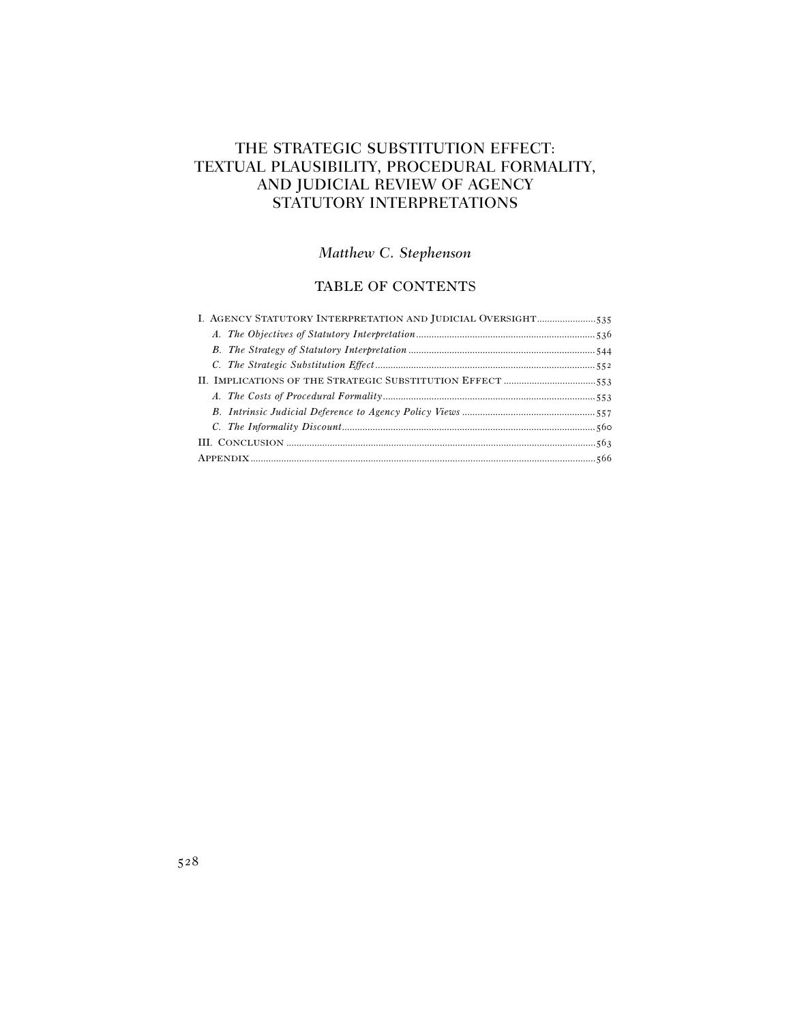# THE STRATEGIC SUBSTITUTION EFFECT: TEXTUAL PLAUSIBILITY, PROCEDURAL FORMALITY, AND JUDICIAL REVIEW OF AGENCY STATUTORY INTERPRETATIONS

*Matthew C. Stephenson* 

# TABLE OF CONTENTS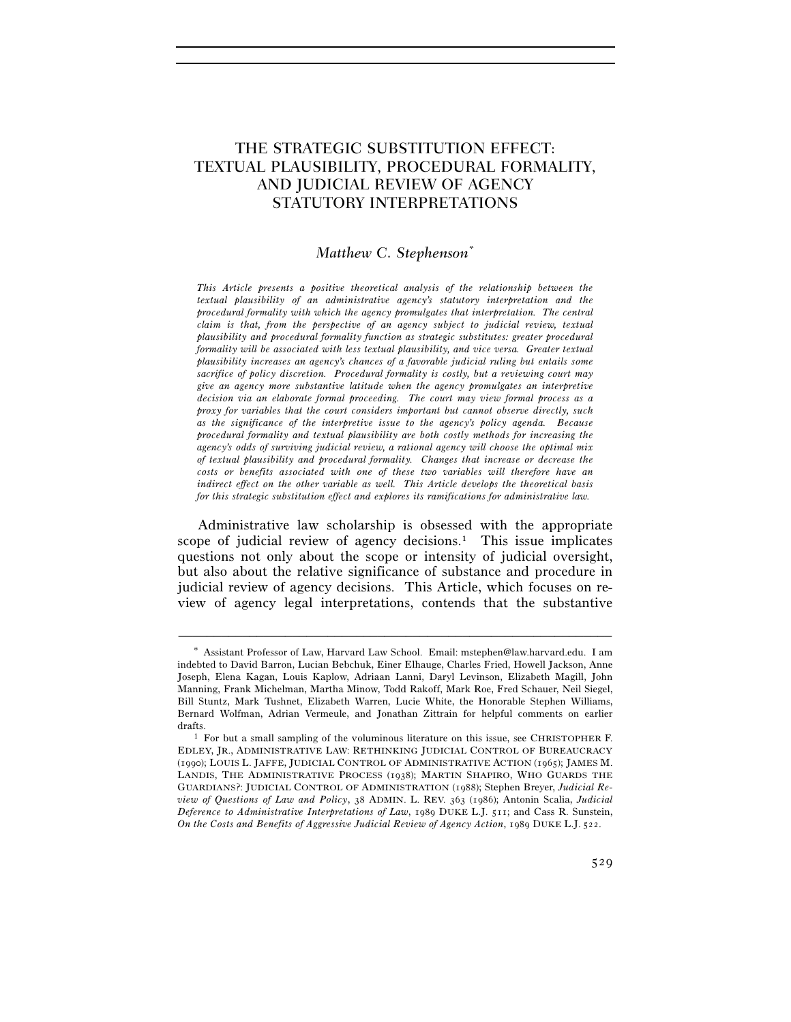# THE STRATEGIC SUBSTITUTION EFFECT: TEXTUAL PLAUSIBILITY, PROCEDURAL FORMALITY, AND JUDICIAL REVIEW OF AGENCY STATUTORY INTERPRETATIONS

# *Matthew C. Stephenson\**

*This Article presents a positive theoretical analysis of the relationship between the textual plausibility of an administrative agency's statutory interpretation and the procedural formality with which the agency promulgates that interpretation. The central claim is that, from the perspective of an agency subject to judicial review, textual plausibility and procedural formality function as strategic substitutes: greater procedural formality will be associated with less textual plausibility, and vice versa. Greater textual plausibility increases an agency's chances of a favorable judicial ruling but entails some sacrifice of policy discretion. Procedural formality is costly, but a reviewing court may give an agency more substantive latitude when the agency promulgates an interpretive decision via an elaborate formal proceeding. The court may view formal process as a proxy for variables that the court considers important but cannot observe directly, such as the significance of the interpretive issue to the agency's policy agenda. Because procedural formality and textual plausibility are both costly methods for increasing the agency's odds of surviving judicial review, a rational agency will choose the optimal mix of textual plausibility and procedural formality. Changes that increase or decrease the costs or benefits associated with one of these two variables will therefore have an indirect effect on the other variable as well. This Article develops the theoretical basis for this strategic substitution effect and explores its ramifications for administrative law.* 

Administrative law scholarship is obsessed with the appropriate scope of judicial review of agency decisions.1 This issue implicates questions not only about the scope or intensity of judicial oversight, but also about the relative significance of substance and procedure in judicial review of agency decisions. This Article, which focuses on review of agency legal interpretations, contends that the substantive

<sup>\*</sup> Assistant Professor of Law, Harvard Law School. Email: mstephen@law.harvard.edu. I am indebted to David Barron, Lucian Bebchuk, Einer Elhauge, Charles Fried, Howell Jackson, Anne Joseph, Elena Kagan, Louis Kaplow, Adriaan Lanni, Daryl Levinson, Elizabeth Magill, John Manning, Frank Michelman, Martha Minow, Todd Rakoff, Mark Roe, Fred Schauer, Neil Siegel, Bill Stuntz, Mark Tushnet, Elizabeth Warren, Lucie White, the Honorable Stephen Williams, Bernard Wolfman, Adrian Vermeule, and Jonathan Zittrain for helpful comments on earlier drafts. 1 For but a small sampling of the voluminous literature on this issue, see CHRISTOPHER F.

EDLEY, JR., ADMINISTRATIVE LAW: RETHINKING JUDICIAL CONTROL OF BUREAUCRACY (1990); LOUIS L. JAFFE, JUDICIAL CONTROL OF ADMINISTRATIVE ACTION (1965); JAMES M. LANDIS, THE ADMINISTRATIVE PROCESS (1938); MARTIN SHAPIRO, WHO GUARDS THE GUARDIANS?: JUDICIAL CONTROL OF ADMINISTRATION (1988); Stephen Breyer, *Judicial Review of Questions of Law and Policy*, 38 ADMIN. L. REV. 363 (1986); Antonin Scalia, *Judicial Deference to Administrative Interpretations of Law*, 1989 DUKE L.J. 511; and Cass R. Sunstein, *On the Costs and Benefits of Aggressive Judicial Review of Agency Action*, 1989 DUKE L.J. 522.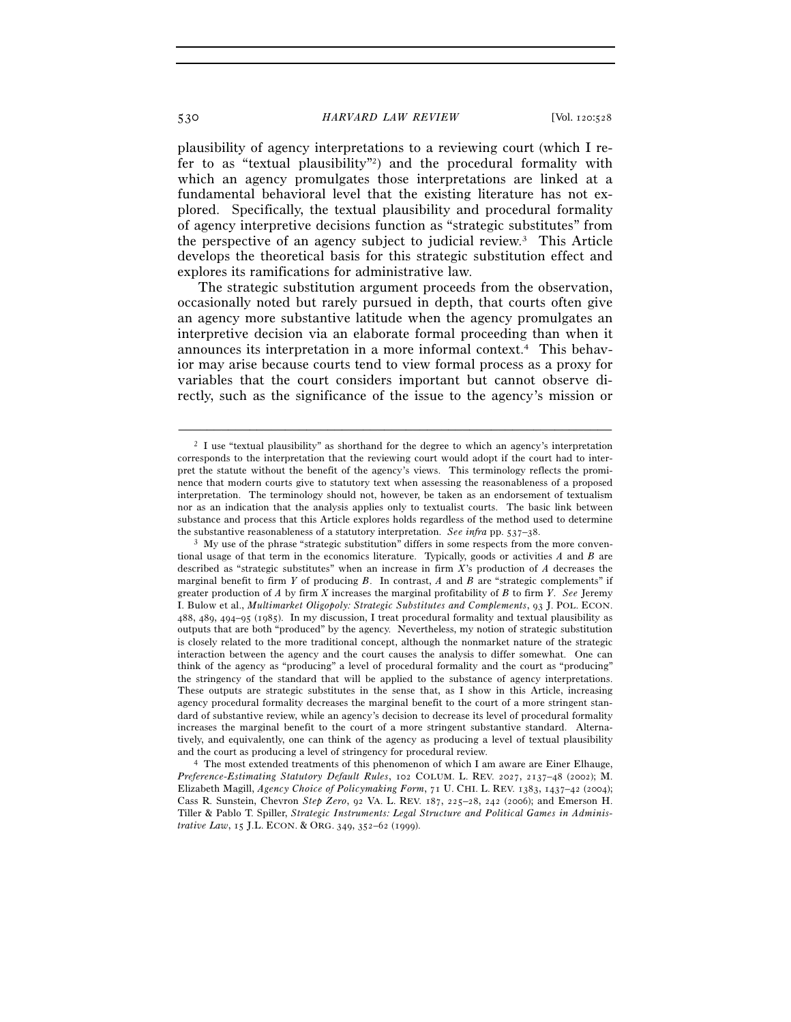plausibility of agency interpretations to a reviewing court (which I refer to as "textual plausibility"2) and the procedural formality with which an agency promulgates those interpretations are linked at a fundamental behavioral level that the existing literature has not explored. Specifically, the textual plausibility and procedural formality of agency interpretive decisions function as "strategic substitutes" from the perspective of an agency subject to judicial review.3 This Article develops the theoretical basis for this strategic substitution effect and explores its ramifications for administrative law.

The strategic substitution argument proceeds from the observation, occasionally noted but rarely pursued in depth, that courts often give an agency more substantive latitude when the agency promulgates an interpretive decision via an elaborate formal proceeding than when it announces its interpretation in a more informal context.4 This behavior may arise because courts tend to view formal process as a proxy for variables that the court considers important but cannot observe directly, such as the significance of the issue to the agency's mission or

<sup>2</sup> I use "textual plausibility" as shorthand for the degree to which an agency's interpretation corresponds to the interpretation that the reviewing court would adopt if the court had to interpret the statute without the benefit of the agency's views. This terminology reflects the prominence that modern courts give to statutory text when assessing the reasonableness of a proposed interpretation. The terminology should not, however, be taken as an endorsement of textualism nor as an indication that the analysis applies only to textualist courts. The basic link between substance and process that this Article explores holds regardless of the method used to determine the substantive reasonableness of a statutory interpretation. *See infra* pp. 537–38.<br><sup>3</sup> My use of the phrase "strategic substitution" differs in some respects from the more conven-

tional usage of that term in the economics literature. Typically, goods or activities *A* and *B* are described as "strategic substitutes" when an increase in firm *X*'s production of *A* decreases the marginal benefit to firm *Y* of producing *B*. In contrast, *A* and *B* are "strategic complements" if greater production of *A* by firm *X* increases the marginal profitability of *B* to firm *Y*. *See* Jeremy I. Bulow et al., *Multimarket Oligopoly: Strategic Substitutes and Complements*, 93 J. POL. ECON. 488, 489, 494–95 (1985). In my discussion, I treat procedural formality and textual plausibility as outputs that are both "produced" by the agency. Nevertheless, my notion of strategic substitution is closely related to the more traditional concept, although the nonmarket nature of the strategic interaction between the agency and the court causes the analysis to differ somewhat. One can think of the agency as "producing" a level of procedural formality and the court as "producing" the stringency of the standard that will be applied to the substance of agency interpretations. These outputs are strategic substitutes in the sense that, as I show in this Article, increasing agency procedural formality decreases the marginal benefit to the court of a more stringent standard of substantive review, while an agency's decision to decrease its level of procedural formality increases the marginal benefit to the court of a more stringent substantive standard. Alternatively, and equivalently, one can think of the agency as producing a level of textual plausibility

and the court as producing a level of stringency for procedural review. 4 The most extended treatments of this phenomenon of which I am aware are Einer Elhauge, *Preference-Estimating Statutory Default Rules*, 102 COLUM. L. REV. 2027, 2137–48 (2002); M. Elizabeth Magill, *Agency Choice of Policymaking Form*, 71 U. CHI. L. REV. 1383, 1437–42 (2004); Cass R. Sunstein, Chevron *Step Zero*, 92 VA. L. REV. 187, 225–28, 242 (2006); and Emerson H. Tiller & Pablo T. Spiller, *Strategic Instruments: Legal Structure and Political Games in Administrative Law*, 15 J.L. ECON. & ORG. 349, 352–62 (1999).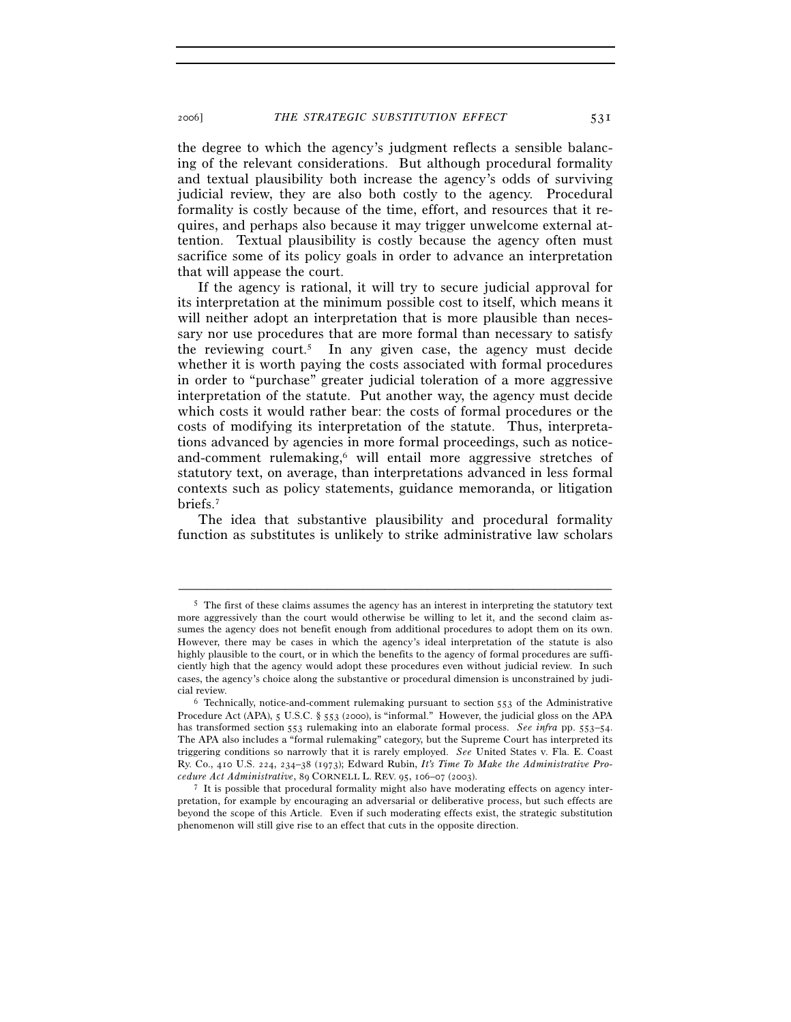the degree to which the agency's judgment reflects a sensible balancing of the relevant considerations. But although procedural formality and textual plausibility both increase the agency's odds of surviving judicial review, they are also both costly to the agency. Procedural formality is costly because of the time, effort, and resources that it requires, and perhaps also because it may trigger unwelcome external attention. Textual plausibility is costly because the agency often must sacrifice some of its policy goals in order to advance an interpretation that will appease the court.

If the agency is rational, it will try to secure judicial approval for its interpretation at the minimum possible cost to itself, which means it will neither adopt an interpretation that is more plausible than necessary nor use procedures that are more formal than necessary to satisfy the reviewing court.<sup>5</sup> In any given case, the agency must decide whether it is worth paying the costs associated with formal procedures in order to "purchase" greater judicial toleration of a more aggressive interpretation of the statute. Put another way, the agency must decide which costs it would rather bear: the costs of formal procedures or the costs of modifying its interpretation of the statute. Thus, interpretations advanced by agencies in more formal proceedings, such as noticeand-comment rulemaking,<sup>6</sup> will entail more aggressive stretches of statutory text, on average, than interpretations advanced in less formal contexts such as policy statements, guidance memoranda, or litigation briefs.7

The idea that substantive plausibility and procedural formality function as substitutes is unlikely to strike administrative law scholars

<sup>5</sup> The first of these claims assumes the agency has an interest in interpreting the statutory text more aggressively than the court would otherwise be willing to let it, and the second claim assumes the agency does not benefit enough from additional procedures to adopt them on its own. However, there may be cases in which the agency's ideal interpretation of the statute is also highly plausible to the court, or in which the benefits to the agency of formal procedures are sufficiently high that the agency would adopt these procedures even without judicial review. In such cases, the agency's choice along the substantive or procedural dimension is unconstrained by judicial review. 6 Technically, notice-and-comment rulemaking pursuant to section 553 of the Administrative

Procedure Act (APA), 5 U.S.C. § 553 (2000), is "informal." However, the judicial gloss on the APA has transformed section 553 rulemaking into an elaborate formal process. *See infra* pp. 553–54. The APA also includes a "formal rulemaking" category, but the Supreme Court has interpreted its triggering conditions so narrowly that it is rarely employed. *See* United States v. Fla. E. Coast Ry. Co., 410 U.S. 224, 234–38 (1973); Edward Rubin, *It's Time To Make the Administrative Procedure Act Administrative*, <sup>89</sup> CORNELL L. REV. <sup>95</sup>, 106–07 (2003). 7 It is possible that procedural formality might also have moderating effects on agency inter-

pretation, for example by encouraging an adversarial or deliberative process, but such effects are beyond the scope of this Article. Even if such moderating effects exist, the strategic substitution phenomenon will still give rise to an effect that cuts in the opposite direction.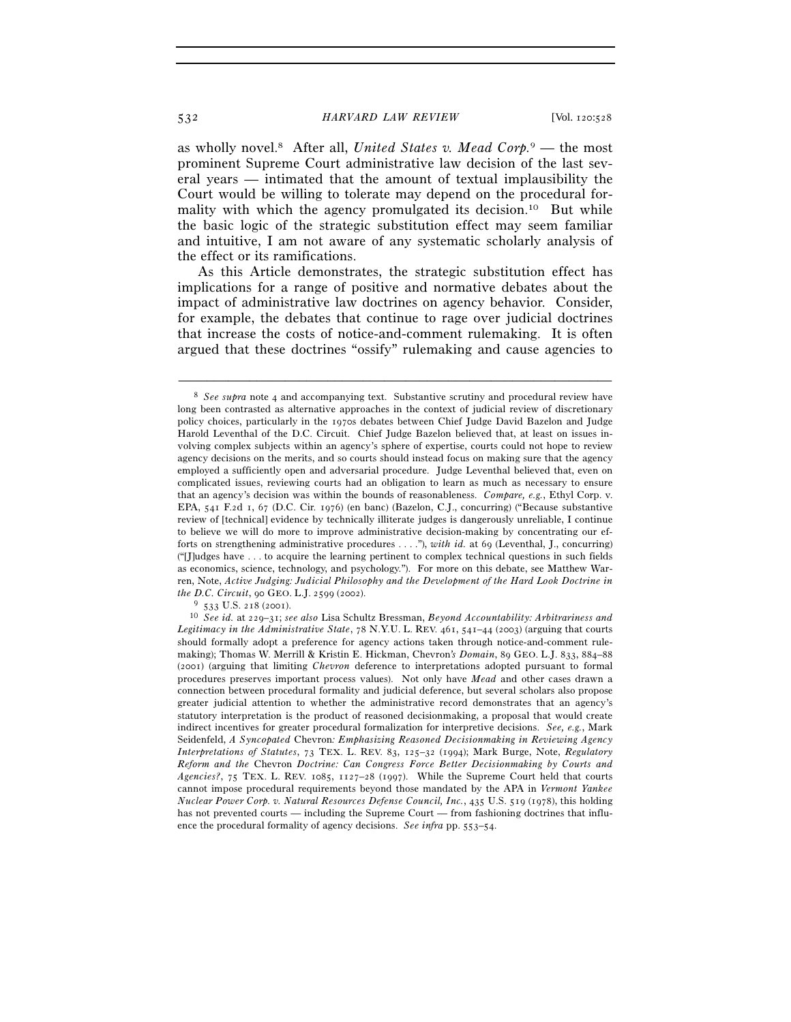as wholly novel.8 After all, *United States v. Mead Corp.*9 — the most prominent Supreme Court administrative law decision of the last several years — intimated that the amount of textual implausibility the Court would be willing to tolerate may depend on the procedural formality with which the agency promulgated its decision.<sup>10</sup> But while the basic logic of the strategic substitution effect may seem familiar and intuitive, I am not aware of any systematic scholarly analysis of the effect or its ramifications.

As this Article demonstrates, the strategic substitution effect has implications for a range of positive and normative debates about the impact of administrative law doctrines on agency behavior. Consider, for example, the debates that continue to rage over judicial doctrines that increase the costs of notice-and-comment rulemaking. It is often argued that these doctrines "ossify" rulemaking and cause agencies to

<sup>8</sup> *See supra* note 4 and accompanying text. Substantive scrutiny and procedural review have long been contrasted as alternative approaches in the context of judicial review of discretionary policy choices, particularly in the 1970s debates between Chief Judge David Bazelon and Judge Harold Leventhal of the D.C. Circuit. Chief Judge Bazelon believed that, at least on issues involving complex subjects within an agency's sphere of expertise, courts could not hope to review agency decisions on the merits, and so courts should instead focus on making sure that the agency employed a sufficiently open and adversarial procedure. Judge Leventhal believed that, even on complicated issues, reviewing courts had an obligation to learn as much as necessary to ensure that an agency's decision was within the bounds of reasonableness. *Compare, e.g.*, Ethyl Corp. v. EPA, 541 F.2d 1, 67 (D.C. Cir. 1976) (en banc) (Bazelon, C.J., concurring) ("Because substantive review of [technical] evidence by technically illiterate judges is dangerously unreliable, I continue to believe we will do more to improve administrative decision-making by concentrating our efforts on strengthening administrative procedures . . . ."), *with id.* at 69 (Leventhal, J., concurring) ("[J]udges have . . . to acquire the learning pertinent to complex technical questions in such fields as economics, science, technology, and psychology."). For more on this debate, see Matthew Warren, Note, *Active Judging: Judicial Philosophy and the Development of the Hard Look Doctrine in* 

*the D.C. Circuit*, 90 GEO. L.J. <sup>2599</sup> (2002). 9 <sup>533</sup> U.S. 218 (2001). 10 *See id.* at 229–31; *see also* Lisa Schultz Bressman, *Beyond Accountability: Arbitrariness and Legitimacy in the Administrative State*, 78 N.Y.U. L. REV. 461, 541–44 (2003) (arguing that courts should formally adopt a preference for agency actions taken through notice-and-comment rulemaking); Thomas W. Merrill & Kristin E. Hickman, Chevron*'s Domain*, 89 GEO. L.J. 833, 884–88 (2001) (arguing that limiting *Chevron* deference to interpretations adopted pursuant to formal procedures preserves important process values). Not only have *Mead* and other cases drawn a connection between procedural formality and judicial deference, but several scholars also propose greater judicial attention to whether the administrative record demonstrates that an agency's statutory interpretation is the product of reasoned decisionmaking, a proposal that would create indirect incentives for greater procedural formalization for interpretive decisions. *See, e.g.*, Mark Seidenfeld, *A Syncopated* Chevron*: Emphasizing Reasoned Decisionmaking in Reviewing Agency Interpretations of Statutes*, 73 TEX. L. REV. 83, 125–32 (1994); Mark Burge, Note, *Regulatory Reform and the* Chevron *Doctrine: Can Congress Force Better Decisionmaking by Courts and Agencies?*, 75 TEX. L. REV. 1085, 1127–28 (1997). While the Supreme Court held that courts cannot impose procedural requirements beyond those mandated by the APA in *Vermont Yankee Nuclear Power Corp. v. Natural Resources Defense Council, Inc.*, 435 U.S. 519 (1978), this holding has not prevented courts — including the Supreme Court — from fashioning doctrines that influence the procedural formality of agency decisions. *See infra* pp. 553–54.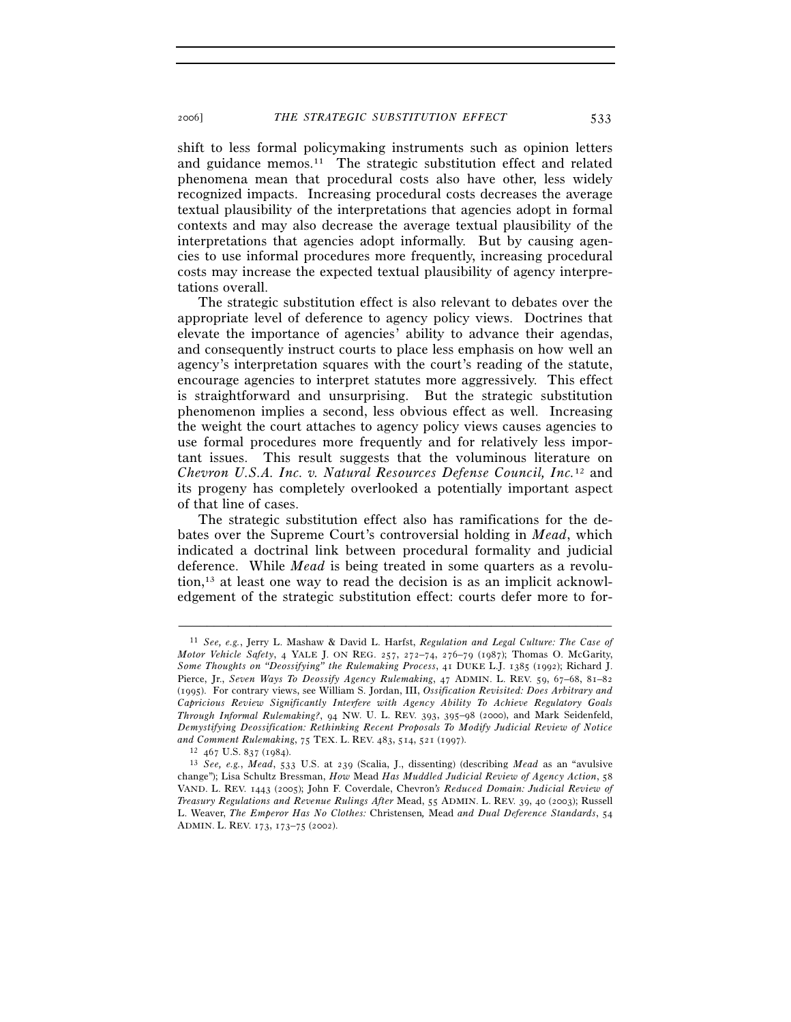shift to less formal policymaking instruments such as opinion letters and guidance memos.<sup>11</sup> The strategic substitution effect and related phenomena mean that procedural costs also have other, less widely recognized impacts. Increasing procedural costs decreases the average textual plausibility of the interpretations that agencies adopt in formal contexts and may also decrease the average textual plausibility of the interpretations that agencies adopt informally. But by causing agencies to use informal procedures more frequently, increasing procedural costs may increase the expected textual plausibility of agency interpretations overall.

The strategic substitution effect is also relevant to debates over the appropriate level of deference to agency policy views. Doctrines that elevate the importance of agencies' ability to advance their agendas, and consequently instruct courts to place less emphasis on how well an agency's interpretation squares with the court's reading of the statute, encourage agencies to interpret statutes more aggressively. This effect is straightforward and unsurprising. But the strategic substitution phenomenon implies a second, less obvious effect as well. Increasing the weight the court attaches to agency policy views causes agencies to use formal procedures more frequently and for relatively less important issues. This result suggests that the voluminous literature on *Chevron U.S.A. Inc. v. Natural Resources Defense Council, Inc.*12 and its progeny has completely overlooked a potentially important aspect of that line of cases.

The strategic substitution effect also has ramifications for the debates over the Supreme Court's controversial holding in *Mead*, which indicated a doctrinal link between procedural formality and judicial deference. While *Mead* is being treated in some quarters as a revolution,13 at least one way to read the decision is as an implicit acknowledgement of the strategic substitution effect: courts defer more to for-

<sup>11</sup> *See, e.g.*, Jerry L. Mashaw & David L. Harfst, *Regulation and Legal Culture: The Case of Motor Vehicle Safety*, 4 YALE J. ON REG. 257, 272–74, 276–79 (1987); Thomas O. McGarity, *Some Thoughts on "Deossifying" the Rulemaking Process*, 41 DUKE L.J. 1385 (1992); Richard J. Pierce, Jr., *Seven Ways To Deossify Agency Rulemaking*, 47 ADMIN. L. REV. 59, 67–68, 81–82 (1995). For contrary views, see William S. Jordan, III, *Ossification Revisited: Does Arbitrary and Capricious Review Significantly Interfere with Agency Ability To Achieve Regulatory Goals Through Informal Rulemaking?*, 94 NW. U. L. REV. 393, 395–98 (2000), and Mark Seidenfeld, *Demystifying Deossification: Rethinking Recent Proposals To Modify Judicial Review of Notice* 

*and Comment Rulemaking*, 75 TEX. L. REV. 483, 514, 521 (1997). 12 <sup>467</sup> U.S. 837 (1984). 13 *See, e.g.*, *Mead*, 533 U.S. at 239 (Scalia, J., dissenting) (describing *Mead* as an "avulsive change"); Lisa Schultz Bressman, *How* Mead *Has Muddled Judicial Review of Agency Action*, 58 VAND. L. REV. 1443 (2005); John F. Coverdale, Chevron*'s Reduced Domain: Judicial Review of Treasury Regulations and Revenue Rulings After* Mead, 55 ADMIN. L. REV. 39, 40 (2003); Russell L. Weaver, *The Emperor Has No Clothes:* Christensen*,* Mead *and Dual Deference Standards*, 54 ADMIN. L. REV. 173, 173–75 (2002).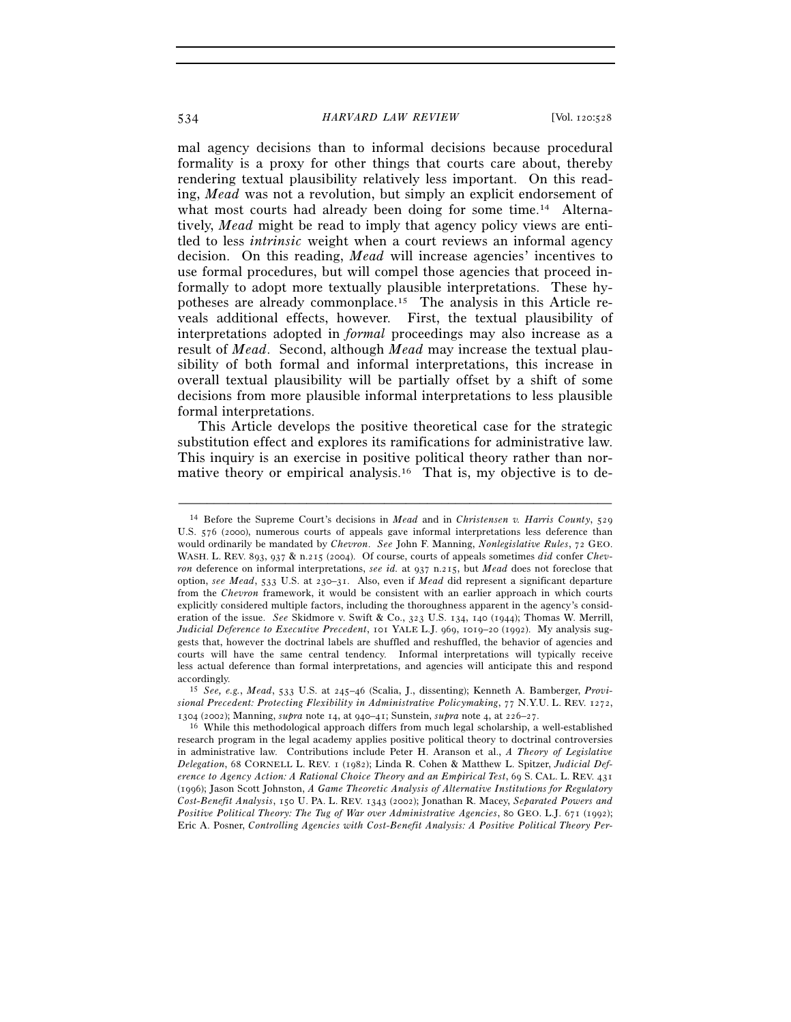mal agency decisions than to informal decisions because procedural formality is a proxy for other things that courts care about, thereby rendering textual plausibility relatively less important. On this reading, *Mead* was not a revolution, but simply an explicit endorsement of what most courts had already been doing for some time.<sup>14</sup> Alternatively, *Mead* might be read to imply that agency policy views are entitled to less *intrinsic* weight when a court reviews an informal agency decision. On this reading, *Mead* will increase agencies' incentives to use formal procedures, but will compel those agencies that proceed informally to adopt more textually plausible interpretations. These hypotheses are already commonplace.15 The analysis in this Article reveals additional effects, however. First, the textual plausibility of interpretations adopted in *formal* proceedings may also increase as a result of *Mead*. Second, although *Mead* may increase the textual plausibility of both formal and informal interpretations, this increase in overall textual plausibility will be partially offset by a shift of some decisions from more plausible informal interpretations to less plausible formal interpretations.

This Article develops the positive theoretical case for the strategic substitution effect and explores its ramifications for administrative law. This inquiry is an exercise in positive political theory rather than normative theory or empirical analysis.<sup>16</sup> That is, my objective is to de-

<sup>14</sup> Before the Supreme Court's decisions in *Mead* and in *Christensen v. Harris County*, 529 U.S. 576 (2000), numerous courts of appeals gave informal interpretations less deference than would ordinarily be mandated by *Chevron*. *See* John F. Manning, *Nonlegislative Rules*, 72 GEO. WASH. L. REV. 893, 937 & n.215 (2004). Of course, courts of appeals sometimes *did* confer *Chevron* deference on informal interpretations, *see id.* at 937 n.215, but *Mead* does not foreclose that option, *see Mead*, 533 U.S. at 230–31. Also, even if *Mead* did represent a significant departure from the *Chevron* framework, it would be consistent with an earlier approach in which courts explicitly considered multiple factors, including the thoroughness apparent in the agency's consideration of the issue. *See* Skidmore v. Swift & Co., 323 U.S. 134, 140 (1944); Thomas W. Merrill, *Judicial Deference to Executive Precedent*, 101 YALE L.J. 969, 1019–20 (1992). My analysis suggests that, however the doctrinal labels are shuffled and reshuffled, the behavior of agencies and courts will have the same central tendency. Informal interpretations will typically receive less actual deference than formal interpretations, and agencies will anticipate this and respond accordingly. 15 *See, e.g.*, *Mead*, 533 U.S. at 245–46 (Scalia, J., dissenting); Kenneth A. Bamberger, *Provi-*

*sional Precedent: Protecting Flexibility in Administrative Policymaking*, 77 N.Y.U. L. REV. 1272,

<sup>1304</sup> (2002); Manning, *supra* note 14, at 940–41; Sunstein, *supra* note 4, at 226–27. 16 While this methodological approach differs from much legal scholarship, a well-established research program in the legal academy applies positive political theory to doctrinal controversies in administrative law. Contributions include Peter H. Aranson et al., *A Theory of Legislative Delegation*, 68 CORNELL L. REV. 1 (1982); Linda R. Cohen & Matthew L. Spitzer, *Judicial Deference to Agency Action: A Rational Choice Theory and an Empirical Test*, 69 S. CAL. L. REV. 431 (1996); Jason Scott Johnston, *A Game Theoretic Analysis of Alternative Institutions for Regulatory Cost-Benefit Analysis*, 150 U. PA. L. REV. 1343 (2002); Jonathan R. Macey, *Separated Powers and Positive Political Theory: The Tug of War over Administrative Agencies*, 80 GEO. L.J. 671 (1992); Eric A. Posner, *Controlling Agencies with Cost-Benefit Analysis: A Positive Political Theory Per-*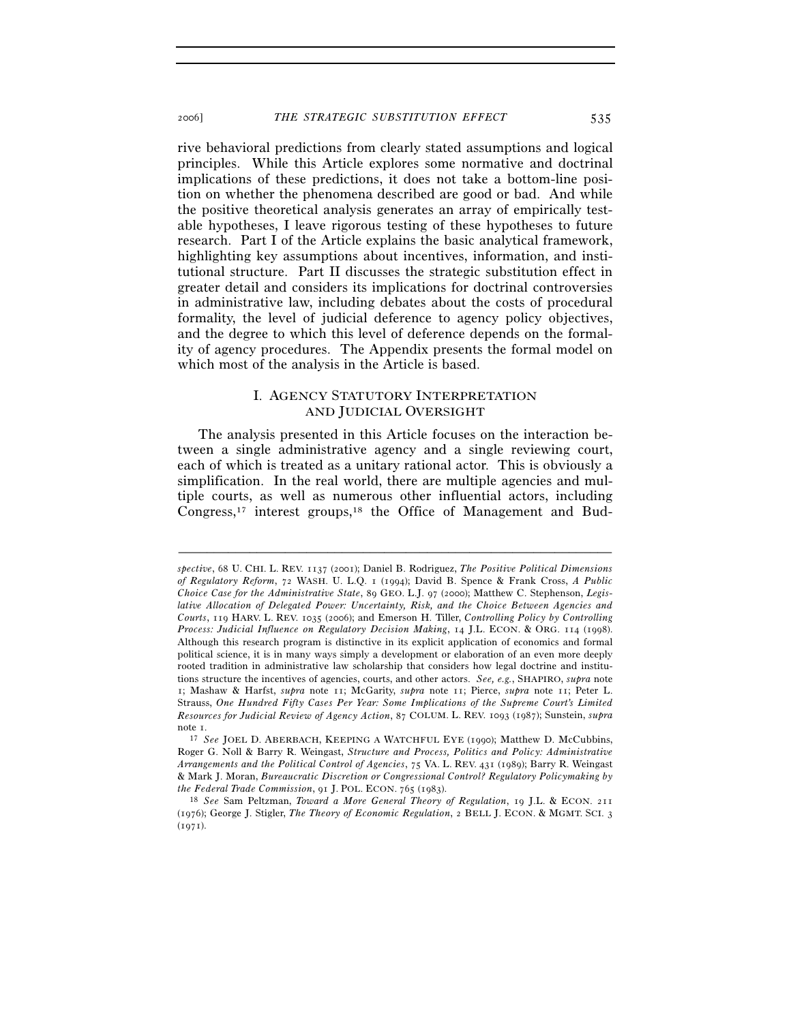rive behavioral predictions from clearly stated assumptions and logical principles. While this Article explores some normative and doctrinal implications of these predictions, it does not take a bottom-line position on whether the phenomena described are good or bad. And while the positive theoretical analysis generates an array of empirically testable hypotheses, I leave rigorous testing of these hypotheses to future research. Part I of the Article explains the basic analytical framework, highlighting key assumptions about incentives, information, and institutional structure. Part II discusses the strategic substitution effect in greater detail and considers its implications for doctrinal controversies in administrative law, including debates about the costs of procedural formality, the level of judicial deference to agency policy objectives, and the degree to which this level of deference depends on the formality of agency procedures. The Appendix presents the formal model on which most of the analysis in the Article is based.

## I. AGENCY STATUTORY INTERPRETATION AND JUDICIAL OVERSIGHT

The analysis presented in this Article focuses on the interaction between a single administrative agency and a single reviewing court, each of which is treated as a unitary rational actor. This is obviously a simplification. In the real world, there are multiple agencies and multiple courts, as well as numerous other influential actors, including Congress,17 interest groups,18 the Office of Management and Bud-

*spective*, 68 U. CHI. L. REV. 1137 (2001); Daniel B. Rodriguez, *The Positive Political Dimensions of Regulatory Reform*, 72 WASH. U. L.Q. 1 (1994); David B. Spence & Frank Cross, *A Public Choice Case for the Administrative State*, 89 GEO. L.J. 97 (2000); Matthew C. Stephenson, *Legislative Allocation of Delegated Power: Uncertainty, Risk, and the Choice Between Agencies and Courts*, 119 HARV. L. REV. 1035 (2006); and Emerson H. Tiller, *Controlling Policy by Controlling Process: Judicial Influence on Regulatory Decision Making*, 14 J.L. ECON. & ORG. 114 (1998). Although this research program is distinctive in its explicit application of economics and formal political science, it is in many ways simply a development or elaboration of an even more deeply rooted tradition in administrative law scholarship that considers how legal doctrine and institutions structure the incentives of agencies, courts, and other actors. *See, e.g.*, SHAPIRO, *supra* note 1; Mashaw & Harfst, *supra* note 11; McGarity, *supra* note 11; Pierce, *supra* note 11; Peter L. Strauss, *One Hundred Fifty Cases Per Year: Some Implications of the Supreme Court's Limited Resources for Judicial Review of Agency Action*, 87 COLUM. L. REV. 1093 (1987); Sunstein, *supra* note 1.<br><sup>17</sup> *See* JOEL D. ABERBACH, KEEPING A WATCHFUL EYE (1990); Matthew D. McCubbins,

Roger G. Noll & Barry R. Weingast, *Structure and Process, Politics and Policy: Administrative Arrangements and the Political Control of Agencies*, 75 VA. L. REV. 431 (1989); Barry R. Weingast & Mark J. Moran, *Bureaucratic Discretion or Congressional Control? Regulatory Policymaking by the Federal Trade Commission*, 91 J. POL. ECON. <sup>765</sup> (1983). 18 *See* Sam Peltzman, *Toward a More General Theory of Regulation*, 19 J.L. & ECON. <sup>211</sup>

<sup>(</sup>1976); George J. Stigler, *The Theory of Economic Regulation*, 2 BELL J. ECON. & MGMT. SCI. 3 (1971).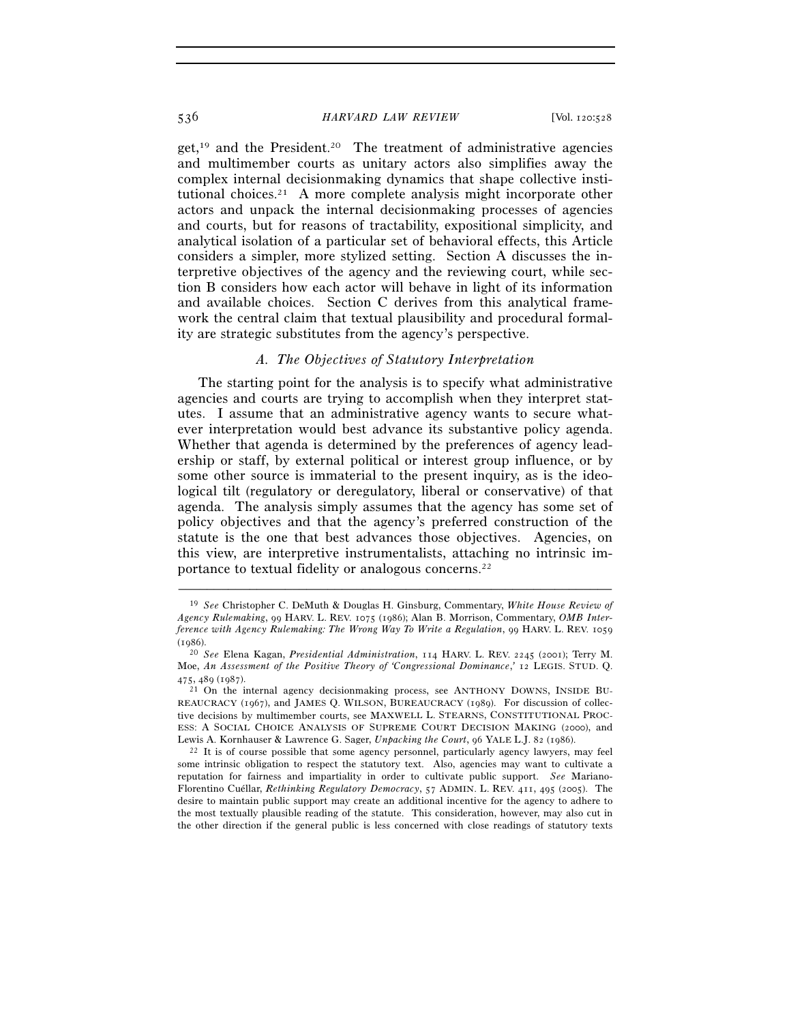get,19 and the President.20 The treatment of administrative agencies and multimember courts as unitary actors also simplifies away the complex internal decisionmaking dynamics that shape collective institutional choices.21 A more complete analysis might incorporate other actors and unpack the internal decisionmaking processes of agencies and courts, but for reasons of tractability, expositional simplicity, and analytical isolation of a particular set of behavioral effects, this Article considers a simpler, more stylized setting. Section A discusses the interpretive objectives of the agency and the reviewing court, while section B considers how each actor will behave in light of its information and available choices. Section C derives from this analytical framework the central claim that textual plausibility and procedural formality are strategic substitutes from the agency's perspective.

# *A. The Objectives of Statutory Interpretation*

The starting point for the analysis is to specify what administrative agencies and courts are trying to accomplish when they interpret statutes. I assume that an administrative agency wants to secure whatever interpretation would best advance its substantive policy agenda. Whether that agenda is determined by the preferences of agency leadership or staff, by external political or interest group influence, or by some other source is immaterial to the present inquiry, as is the ideological tilt (regulatory or deregulatory, liberal or conservative) of that agenda. The analysis simply assumes that the agency has some set of policy objectives and that the agency's preferred construction of the statute is the one that best advances those objectives. Agencies, on this view, are interpretive instrumentalists, attaching no intrinsic importance to textual fidelity or analogous concerns.22

<sup>19</sup> *See* Christopher C. DeMuth & Douglas H. Ginsburg, Commentary, *White House Review of Agency Rulemaking*, 99 HARV. L. REV. 1075 (1986); Alan B. Morrison, Commentary, *OMB Interference with Agency Rulemaking: The Wrong Way To Write a Regulation*, 99 HARV. L. REV. 1059

<sup>(</sup>1986). 20 *See* Elena Kagan, *Presidential Administration*, 114 HARV. L. REV. <sup>2245</sup> (2001); Terry M. Moe, *An Assessment of the Positive Theory of 'Congressional Dominance*,*'* 12 LEGIS. STUD. Q.  $475, 489$  (1987).<br><sup>21</sup> On the internal agency decisionmaking process, see ANTHONY DOWNS, INSIDE BU-

REAUCRACY (1967), and JAMES Q. WILSON, BUREAUCRACY (1989). For discussion of collective decisions by multimember courts, see MAXWELL L. STEARNS, CONSTITUTIONAL PROC-ESS: A SOCIAL CHOICE ANALYSIS OF SUPREME COURT DECISION MAKING (2000), and Lewis A. Kornhauser & Lawrence G. Sager, Unpacking the Court, 96 YALE L.J. 82 (1986).

<sup>&</sup>lt;sup>22</sup> It is of course possible that some agency personnel, particularly agency lawyers, may feel some intrinsic obligation to respect the statutory text. Also, agencies may want to cultivate a reputation for fairness and impartiality in order to cultivate public support. *See* Mariano-Florentino Cuéllar, *Rethinking Regulatory Democracy*, 57 ADMIN. L. REV. 411, 495 (2005). The desire to maintain public support may create an additional incentive for the agency to adhere to the most textually plausible reading of the statute. This consideration, however, may also cut in the other direction if the general public is less concerned with close readings of statutory texts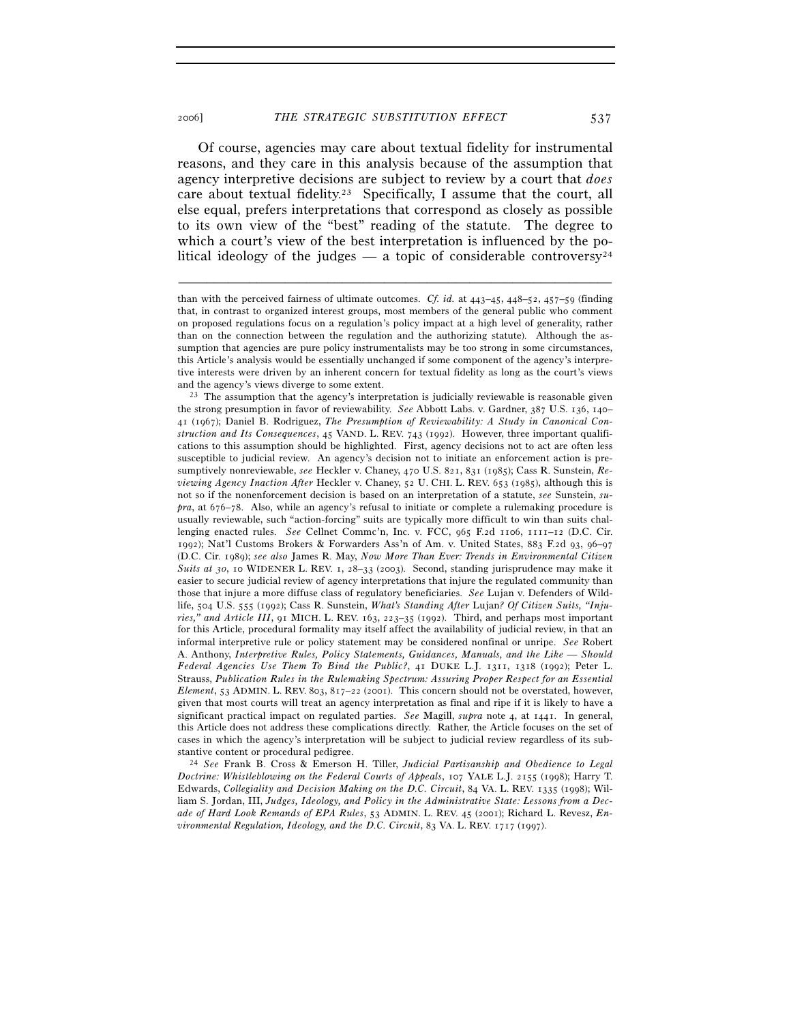Of course, agencies may care about textual fidelity for instrumental reasons, and they care in this analysis because of the assumption that agency interpretive decisions are subject to review by a court that *does* care about textual fidelity.<sup>23</sup> Specifically, I assume that the court, all else equal, prefers interpretations that correspond as closely as possible to its own view of the "best" reading of the statute. The degree to which a court's view of the best interpretation is influenced by the political ideology of the judges — a topic of considerable controversy<sup>24</sup>

–––––––––––––––––––––––––––––––––––––––––––––––––––––––––––––

stantive content or procedural pedigree. 24 *See* Frank B. Cross & Emerson H. Tiller, *Judicial Partisanship and Obedience to Legal Doctrine: Whistleblowing on the Federal Courts of Appeals*, 107 YALE L.J. 2155 (1998); Harry T. Edwards, *Collegiality and Decision Making on the D.C. Circuit*, 84 VA. L. REV. 1335 (1998); William S. Jordan, III, *Judges, Ideology, and Policy in the Administrative State: Lessons from a Decade of Hard Look Remands of EPA Rules*, 53 ADMIN. L. REV. 45 (2001); Richard L. Revesz, *Environmental Regulation, Ideology, and the D.C. Circuit, 83 VA. L. REV. 1717 (1997).* 

than with the perceived fairness of ultimate outcomes. *Cf. id.* at 443–45, 448–52, 457–59 (finding that, in contrast to organized interest groups, most members of the general public who comment on proposed regulations focus on a regulation's policy impact at a high level of generality, rather than on the connection between the regulation and the authorizing statute). Although the assumption that agencies are pure policy instrumentalists may be too strong in some circumstances, this Article's analysis would be essentially unchanged if some component of the agency's interpretive interests were driven by an inherent concern for textual fidelity as long as the court's views

and the agency's views diverge to some extent.<br>
<sup>23</sup> The assumption that the agency's interpretation is judicially reviewable is reasonable given the strong presumption in favor of reviewability. *See* Abbott Labs. v. Gardner, 387 U.S. 136, 140– 41 (1967); Daniel B. Rodriguez, *The Presumption of Reviewability: A Study in Canonical Construction and Its Consequences*, 45 VAND. L. REV. 743 (1992). However, three important qualifications to this assumption should be highlighted. First, agency decisions not to act are often less susceptible to judicial review. An agency's decision not to initiate an enforcement action is presumptively nonreviewable, *see* Heckler v. Chaney, 470 U.S. 821, 831 (1985); Cass R. Sunstein, *Reviewing Agency Inaction After* Heckler v. Chaney, 52 U. CHI. L. REV. 653 (1985), although this is not so if the nonenforcement decision is based on an interpretation of a statute, *see* Sunstein, *supra*, at 676–78. Also, while an agency's refusal to initiate or complete a rulemaking procedure is usually reviewable, such "action-forcing" suits are typically more difficult to win than suits challenging enacted rules. *See* Cellnet Commc'n, Inc. v. FCC, 965 F.2d 1106, 1111–12 (D.C. Cir. 1992); Nat'l Customs Brokers & Forwarders Ass'n of Am. v. United States, 883 F.2d 93, 96–97 (D.C. Cir. 1989); *see also* James R. May, *Now More Than Ever: Trends in Environmental Citizen Suits at 30*, 10 WIDENER L. REV. 1, 28–33 (2003). Second, standing jurisprudence may make it easier to secure judicial review of agency interpretations that injure the regulated community than those that injure a more diffuse class of regulatory beneficiaries. *See* Lujan v. Defenders of Wildlife, 504 U.S. 555 (1992); Cass R. Sunstein, *What's Standing After* Lujan*? Of Citizen Suits, "Injuries," and Article III*, 91 MICH. L. REV. 163, 223–35 (1992). Third, and perhaps most important for this Article, procedural formality may itself affect the availability of judicial review, in that an informal interpretive rule or policy statement may be considered nonfinal or unripe. *See* Robert A. Anthony, *Interpretive Rules, Policy Statements, Guidances, Manuals, and the Like — Should Federal Agencies Use Them To Bind the Public?*, 41 DUKE L.J. 1311, 1318 (1992); Peter L. Strauss, *Publication Rules in the Rulemaking Spectrum: Assuring Proper Respect for an Essential Element*, 53 ADMIN. L. REV. 803, 817–22 (2001). This concern should not be overstated, however, given that most courts will treat an agency interpretation as final and ripe if it is likely to have a significant practical impact on regulated parties. *See* Magill, *supra* note 4, at 1441. In general, this Article does not address these complications directly. Rather, the Article focuses on the set of cases in which the agency's interpretation will be subject to judicial review regardless of its sub-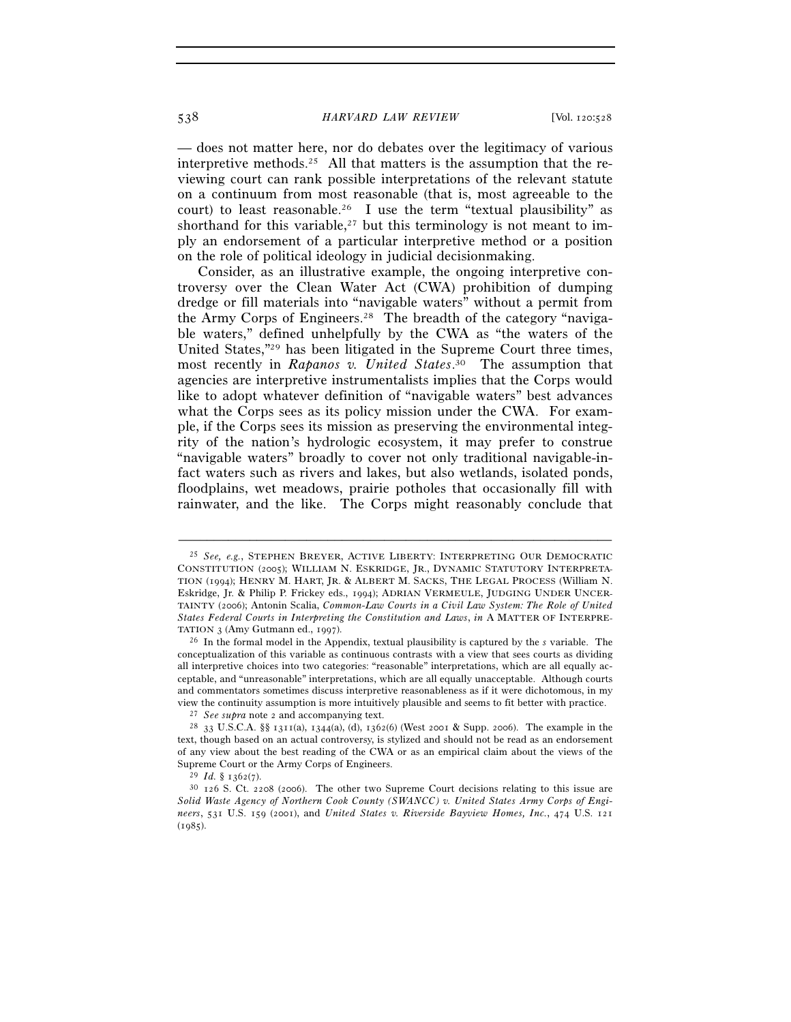— does not matter here, nor do debates over the legitimacy of various interpretive methods.<sup>25</sup> All that matters is the assumption that the reviewing court can rank possible interpretations of the relevant statute on a continuum from most reasonable (that is, most agreeable to the court) to least reasonable.<sup>26</sup> I use the term "textual plausibility" as shorthand for this variable,<sup>27</sup> but this terminology is not meant to imply an endorsement of a particular interpretive method or a position on the role of political ideology in judicial decisionmaking.

Consider, as an illustrative example, the ongoing interpretive controversy over the Clean Water Act (CWA) prohibition of dumping dredge or fill materials into "navigable waters" without a permit from the Army Corps of Engineers.28 The breadth of the category "navigable waters," defined unhelpfully by the CWA as "the waters of the United States,"29 has been litigated in the Supreme Court three times, most recently in *Rapanos v. United States*. 30 The assumption that agencies are interpretive instrumentalists implies that the Corps would like to adopt whatever definition of "navigable waters" best advances what the Corps sees as its policy mission under the CWA. For example, if the Corps sees its mission as preserving the environmental integrity of the nation's hydrologic ecosystem, it may prefer to construe "navigable waters" broadly to cover not only traditional navigable-infact waters such as rivers and lakes, but also wetlands, isolated ponds, floodplains, wet meadows, prairie potholes that occasionally fill with rainwater, and the like. The Corps might reasonably conclude that

<sup>25</sup> *See, e.g.*, STEPHEN BREYER, ACTIVE LIBERTY: INTERPRETING OUR DEMOCRATIC CONSTITUTION (2005); WILLIAM N. ESKRIDGE, JR., DYNAMIC STATUTORY INTERPRETA-TION (1994); HENRY M. HART, JR. & ALBERT M. SACKS, THE LEGAL PROCESS (William N. Eskridge, Jr. & Philip P. Frickey eds., 1994); ADRIAN VERMEULE, JUDGING UNDER UNCER-TAINTY (2006); Antonin Scalia, *Common-Law Courts in a Civil Law System: The Role of United States Federal Courts in Interpreting the Constitution and Laws*, *in* A MATTER OF INTERPRE-

TATION <sup>3</sup> (Amy Gutmann ed., 1997). 26 In the formal model in the Appendix, textual plausibility is captured by the *s* variable. The conceptualization of this variable as continuous contrasts with a view that sees courts as dividing all interpretive choices into two categories: "reasonable" interpretations, which are all equally acceptable, and "unreasonable" interpretations, which are all equally unacceptable. Although courts and commentators sometimes discuss interpretive reasonableness as if it were dichotomous, in my view the continuity assumption is more intuitively plausible and seems to fit better with practice.<br><sup>27</sup> See supra note 2 and accompanying text.<br><sup>28</sup> 33 U.S.C.A. §§ 1311(a), 1344(a), (d), 1362(6) (West 2001 & Supp. 2006).

text, though based on an actual controversy, is stylized and should not be read as an endorsement of any view about the best reading of the CWA or as an empirical claim about the views of the

<sup>&</sup>lt;sup>29</sup> *Id.* § 1362(7).  $Id$ . § 1362(7). The other two Supreme Court decisions relating to this issue are *Solid Waste Agency of Northern Cook County (SWANCC) v. United States Army Corps of Engineers*, 531 U.S. 159 (2001), and *United States v. Riverside Bayview Homes, Inc.*, 474 U.S. 121 (1985).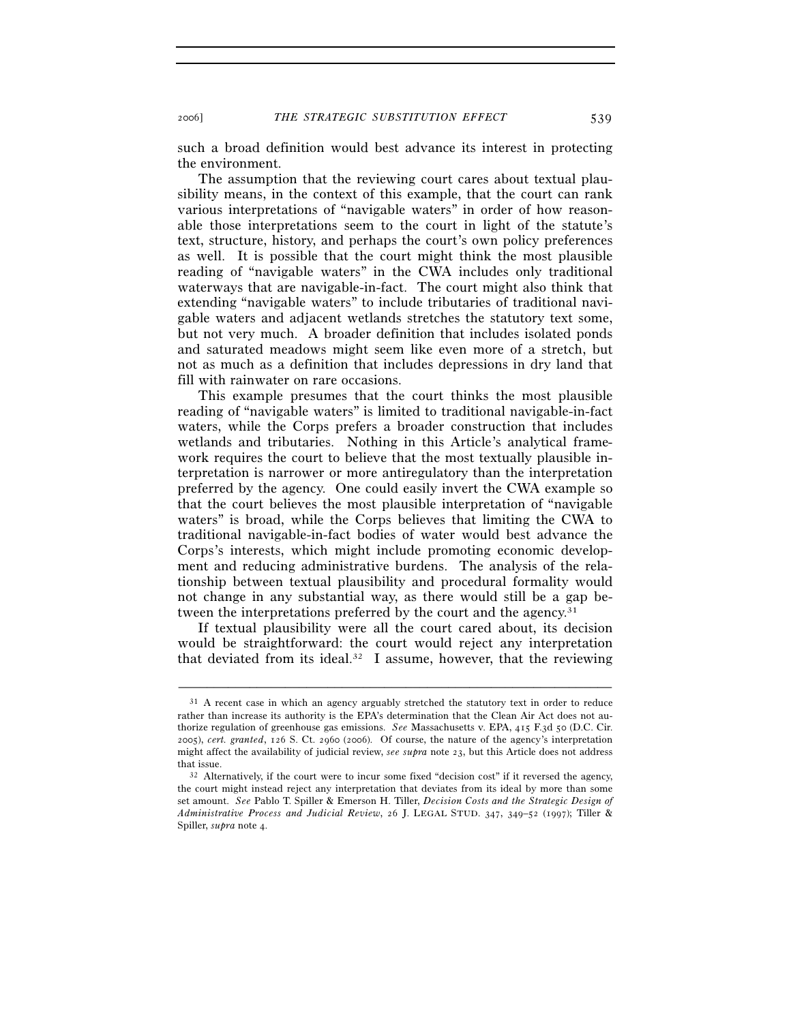2006] *THE STRATEGIC SUBSTITUTION EFFECT* 539

such a broad definition would best advance its interest in protecting the environment.

The assumption that the reviewing court cares about textual plausibility means, in the context of this example, that the court can rank various interpretations of "navigable waters" in order of how reasonable those interpretations seem to the court in light of the statute's text, structure, history, and perhaps the court's own policy preferences as well. It is possible that the court might think the most plausible reading of "navigable waters" in the CWA includes only traditional waterways that are navigable-in-fact. The court might also think that extending "navigable waters" to include tributaries of traditional navigable waters and adjacent wetlands stretches the statutory text some, but not very much. A broader definition that includes isolated ponds and saturated meadows might seem like even more of a stretch, but not as much as a definition that includes depressions in dry land that fill with rainwater on rare occasions.

This example presumes that the court thinks the most plausible reading of "navigable waters" is limited to traditional navigable-in-fact waters, while the Corps prefers a broader construction that includes wetlands and tributaries. Nothing in this Article's analytical framework requires the court to believe that the most textually plausible interpretation is narrower or more antiregulatory than the interpretation preferred by the agency. One could easily invert the CWA example so that the court believes the most plausible interpretation of "navigable waters" is broad, while the Corps believes that limiting the CWA to traditional navigable-in-fact bodies of water would best advance the Corps's interests, which might include promoting economic development and reducing administrative burdens. The analysis of the relationship between textual plausibility and procedural formality would not change in any substantial way, as there would still be a gap between the interpretations preferred by the court and the agency.<sup>31</sup>

If textual plausibility were all the court cared about, its decision would be straightforward: the court would reject any interpretation that deviated from its ideal.<sup>32</sup> I assume, however, that the reviewing

<sup>&</sup>lt;sup>31</sup> A recent case in which an agency arguably stretched the statutory text in order to reduce rather than increase its authority is the EPA's determination that the Clean Air Act does not authorize regulation of greenhouse gas emissions. *See* Massachusetts v. EPA, 415 F.3d 50 (D.C. Cir. 2005), *cert. granted*, 126 S. Ct. 2960 (2006). Of course, the nature of the agency's interpretation might affect the availability of judicial review, *see supra* note 23, but this Article does not address

 $32$  Alternatively, if the court were to incur some fixed "decision cost" if it reversed the agency, the court might instead reject any interpretation that deviates from its ideal by more than some set amount. *See* Pablo T. Spiller & Emerson H. Tiller, *Decision Costs and the Strategic Design of Administrative Process and Judicial Review*, 26 J. LEGAL STUD. 347, 349–52 (1997); Tiller & Spiller, *supra* note 4.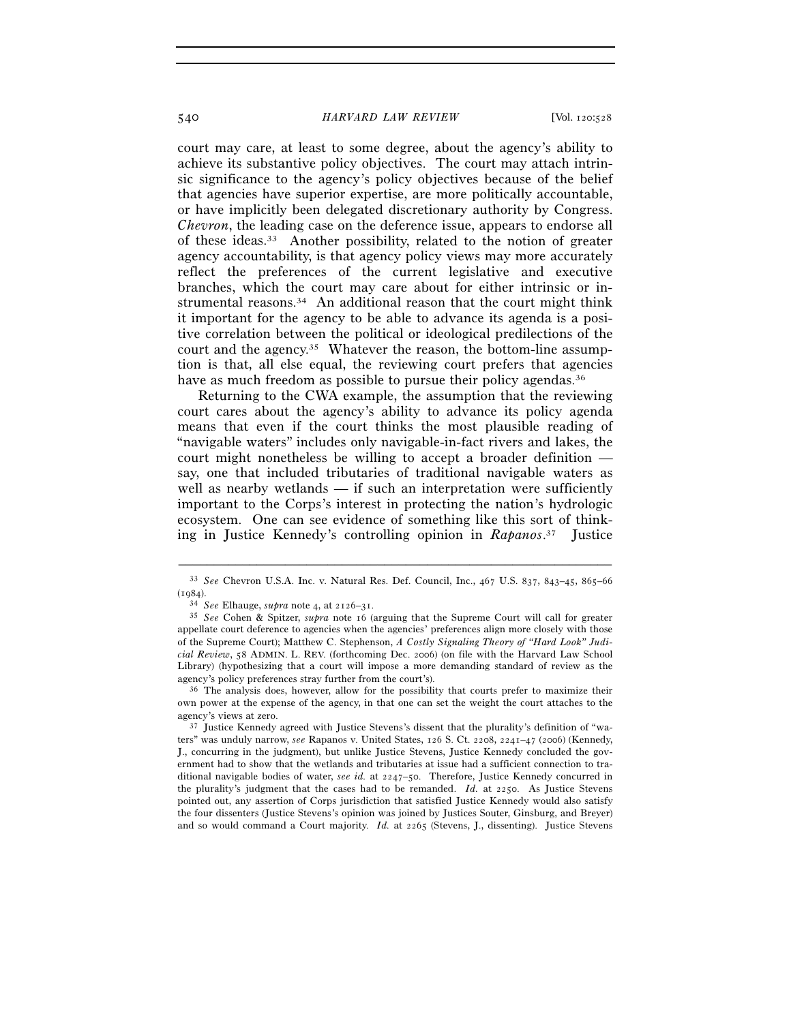court may care, at least to some degree, about the agency's ability to achieve its substantive policy objectives. The court may attach intrinsic significance to the agency's policy objectives because of the belief that agencies have superior expertise, are more politically accountable, or have implicitly been delegated discretionary authority by Congress. *Chevron*, the leading case on the deference issue, appears to endorse all of these ideas.33 Another possibility, related to the notion of greater agency accountability, is that agency policy views may more accurately reflect the preferences of the current legislative and executive branches, which the court may care about for either intrinsic or instrumental reasons.34 An additional reason that the court might think it important for the agency to be able to advance its agenda is a positive correlation between the political or ideological predilections of the court and the agency.35 Whatever the reason, the bottom-line assumption is that, all else equal, the reviewing court prefers that agencies have as much freedom as possible to pursue their policy agendas.<sup>36</sup>

Returning to the CWA example, the assumption that the reviewing court cares about the agency's ability to advance its policy agenda means that even if the court thinks the most plausible reading of "navigable waters" includes only navigable-in-fact rivers and lakes, the court might nonetheless be willing to accept a broader definition say, one that included tributaries of traditional navigable waters as well as nearby wetlands — if such an interpretation were sufficiently important to the Corps's interest in protecting the nation's hydrologic ecosystem. One can see evidence of something like this sort of thinking in Justice Kennedy's controlling opinion in *Rapanos*. 37 Justice

<sup>–––––––––––––––––––––––––––––––––––––––––––––––––––––––––––––</sup> 33 *See* Chevron U.S.A. Inc. v. Natural Res. Def. Council, Inc., 467 U.S. 837, 843–45, 865–66 (1984). 34 *See* Elhauge, *supra* note 4, at 2126–31. 35 *See* Cohen & Spitzer, *supra* note 16 (arguing that the Supreme Court will call for greater

appellate court deference to agencies when the agencies' preferences align more closely with those of the Supreme Court); Matthew C. Stephenson, *A Costly Signaling Theory of "Hard Look" Judicial Review*, 58 ADMIN. L. REV. (forthcoming Dec. 2006) (on file with the Harvard Law School Library) (hypothesizing that a court will impose a more demanding standard of review as the agency's policy preferences stray further from the court's).<br><sup>36</sup> The analysis does, however, allow for the possibility that courts prefer to maximize their

own power at the expense of the agency, in that one can set the weight the court attaches to the agency's views at zero.<br><sup>37</sup> Justice Kennedy agreed with Justice Stevens's dissent that the plurality's definition of "wa-

ters" was unduly narrow, *see* Rapanos v. United States, 126 S. Ct. 2208, 2241–47 (2006) (Kennedy, J., concurring in the judgment), but unlike Justice Stevens, Justice Kennedy concluded the government had to show that the wetlands and tributaries at issue had a sufficient connection to traditional navigable bodies of water, *see id.* at 2247–50. Therefore, Justice Kennedy concurred in the plurality's judgment that the cases had to be remanded. *Id.* at 2250. As Justice Stevens pointed out, any assertion of Corps jurisdiction that satisfied Justice Kennedy would also satisfy the four dissenters (Justice Stevens's opinion was joined by Justices Souter, Ginsburg, and Breyer) and so would command a Court majority. *Id.* at 2265 (Stevens, J., dissenting). Justice Stevens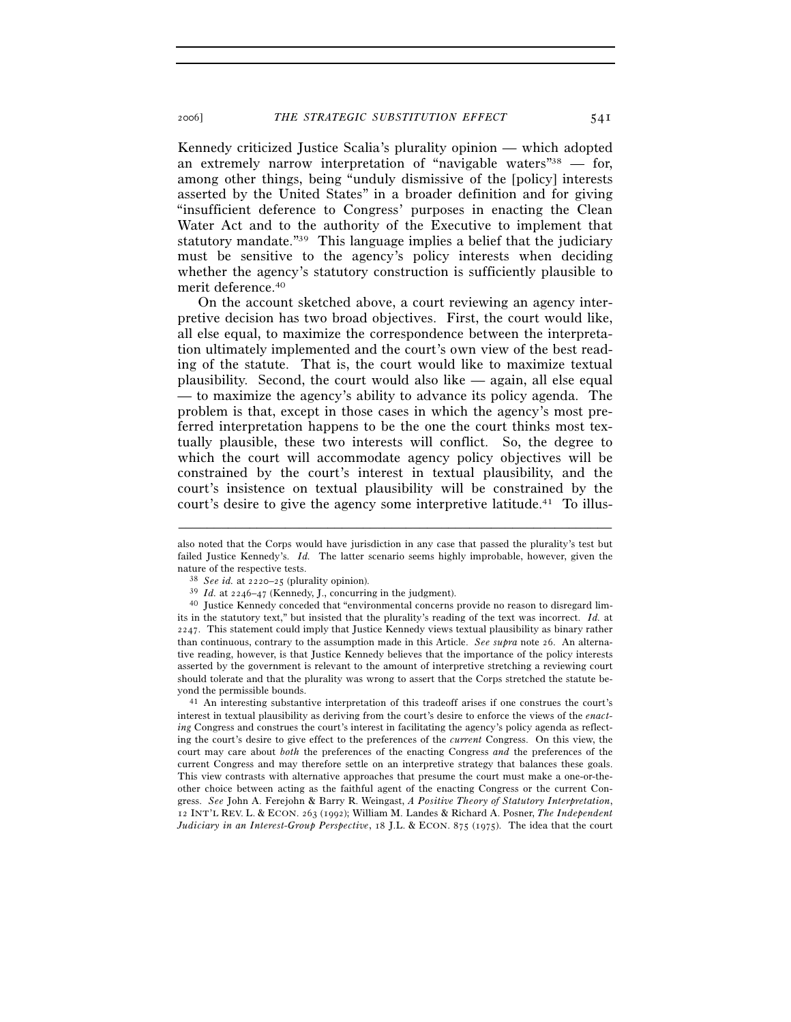Kennedy criticized Justice Scalia's plurality opinion — which adopted an extremely narrow interpretation of "navigable waters"38 — for, among other things, being "unduly dismissive of the [policy] interests asserted by the United States" in a broader definition and for giving "insufficient deference to Congress' purposes in enacting the Clean Water Act and to the authority of the Executive to implement that statutory mandate."39 This language implies a belief that the judiciary must be sensitive to the agency's policy interests when deciding whether the agency's statutory construction is sufficiently plausible to merit deference.40

On the account sketched above, a court reviewing an agency interpretive decision has two broad objectives. First, the court would like, all else equal, to maximize the correspondence between the interpretation ultimately implemented and the court's own view of the best reading of the statute. That is, the court would like to maximize textual plausibility. Second, the court would also like — again, all else equal — to maximize the agency's ability to advance its policy agenda. The problem is that, except in those cases in which the agency's most preferred interpretation happens to be the one the court thinks most textually plausible, these two interests will conflict. So, the degree to which the court will accommodate agency policy objectives will be constrained by the court's interest in textual plausibility, and the court's insistence on textual plausibility will be constrained by the court's desire to give the agency some interpretive latitude.<sup>41</sup> To illus-

–––––––––––––––––––––––––––––––––––––––––––––––––––––––––––––

interest in textual plausibility as deriving from the court's desire to enforce the views of the *enacting* Congress and construes the court's interest in facilitating the agency's policy agenda as reflecting the court's desire to give effect to the preferences of the *current* Congress. On this view, the court may care about *both* the preferences of the enacting Congress *and* the preferences of the current Congress and may therefore settle on an interpretive strategy that balances these goals. This view contrasts with alternative approaches that presume the court must make a one-or-theother choice between acting as the faithful agent of the enacting Congress or the current Congress. *See* John A. Ferejohn & Barry R. Weingast, *A Positive Theory of Statutory Interpretation*, 12 INT'L REV. L. & ECON. 263 (1992); William M. Landes & Richard A. Posner, *The Independent Judiciary in an Interest-Group Perspective*, 18 J.L. & ECON. 875 (1975). The idea that the court

also noted that the Corps would have jurisdiction in any case that passed the plurality's test but failed Justice Kennedy's. *Id.* The latter scenario seems highly improbable, however, given the

nature of the respective tests.<br>
<sup>38</sup> *See id.* at  $2220-25$  (plurality opinion).<br>
<sup>39</sup> *Id.* at  $2246-47$  (Kennedy, J., concurring in the judgment).<br>
<sup>40</sup> Justice Kennedy conceded that "environmental concerns provide no its in the statutory text," but insisted that the plurality's reading of the text was incorrect. *Id.* at 2247. This statement could imply that Justice Kennedy views textual plausibility as binary rather than continuous, contrary to the assumption made in this Article. *See supra* note 26. An alternative reading, however, is that Justice Kennedy believes that the importance of the policy interests asserted by the government is relevant to the amount of interpretive stretching a reviewing court should tolerate and that the plurality was wrong to assert that the Corps stretched the statute beyond the permissible bounds. 41 An interesting substantive interpretation of this tradeoff arises if one construes the court's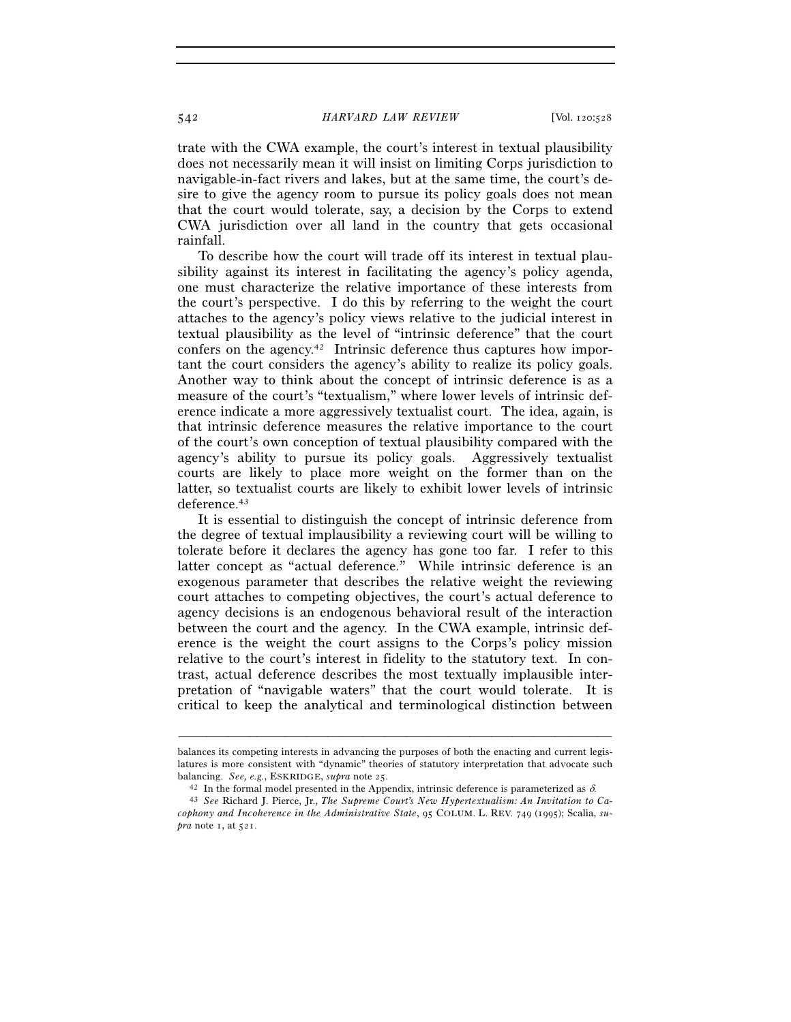trate with the CWA example, the court's interest in textual plausibility does not necessarily mean it will insist on limiting Corps jurisdiction to navigable-in-fact rivers and lakes, but at the same time, the court's desire to give the agency room to pursue its policy goals does not mean that the court would tolerate, say, a decision by the Corps to extend CWA jurisdiction over all land in the country that gets occasional rainfall.

To describe how the court will trade off its interest in textual plausibility against its interest in facilitating the agency's policy agenda, one must characterize the relative importance of these interests from the court's perspective. I do this by referring to the weight the court attaches to the agency's policy views relative to the judicial interest in textual plausibility as the level of "intrinsic deference" that the court confers on the agency.42 Intrinsic deference thus captures how important the court considers the agency's ability to realize its policy goals. Another way to think about the concept of intrinsic deference is as a measure of the court's "textualism," where lower levels of intrinsic deference indicate a more aggressively textualist court. The idea, again, is that intrinsic deference measures the relative importance to the court of the court's own conception of textual plausibility compared with the agency's ability to pursue its policy goals. Aggressively textualist courts are likely to place more weight on the former than on the latter, so textualist courts are likely to exhibit lower levels of intrinsic deference.43

It is essential to distinguish the concept of intrinsic deference from the degree of textual implausibility a reviewing court will be willing to tolerate before it declares the agency has gone too far. I refer to this latter concept as "actual deference." While intrinsic deference is an exogenous parameter that describes the relative weight the reviewing court attaches to competing objectives, the court's actual deference to agency decisions is an endogenous behavioral result of the interaction between the court and the agency. In the CWA example, intrinsic deference is the weight the court assigns to the Corps's policy mission relative to the court's interest in fidelity to the statutory text. In contrast, actual deference describes the most textually implausible interpretation of "navigable waters" that the court would tolerate. It is critical to keep the analytical and terminological distinction between

balances its competing interests in advancing the purposes of both the enacting and current legislatures is more consistent with "dynamic" theories of statutory interpretation that advocate such balancing. See, e.g., ESKRIDGE, supra note 25.<br>
<sup>42</sup> In the formal model presented in the Appendix, intrinsic deference is parameterized as  $\delta$ .<br>
<sup>43</sup> See Richard J. Pierce, Jr., *The Supreme Court's New Hypertextualism:* 

*cophony and Incoherence in the Administrative State*, 95 COLUM. L. REV. 749 (1995); Scalia, *supra* note 1, at 521.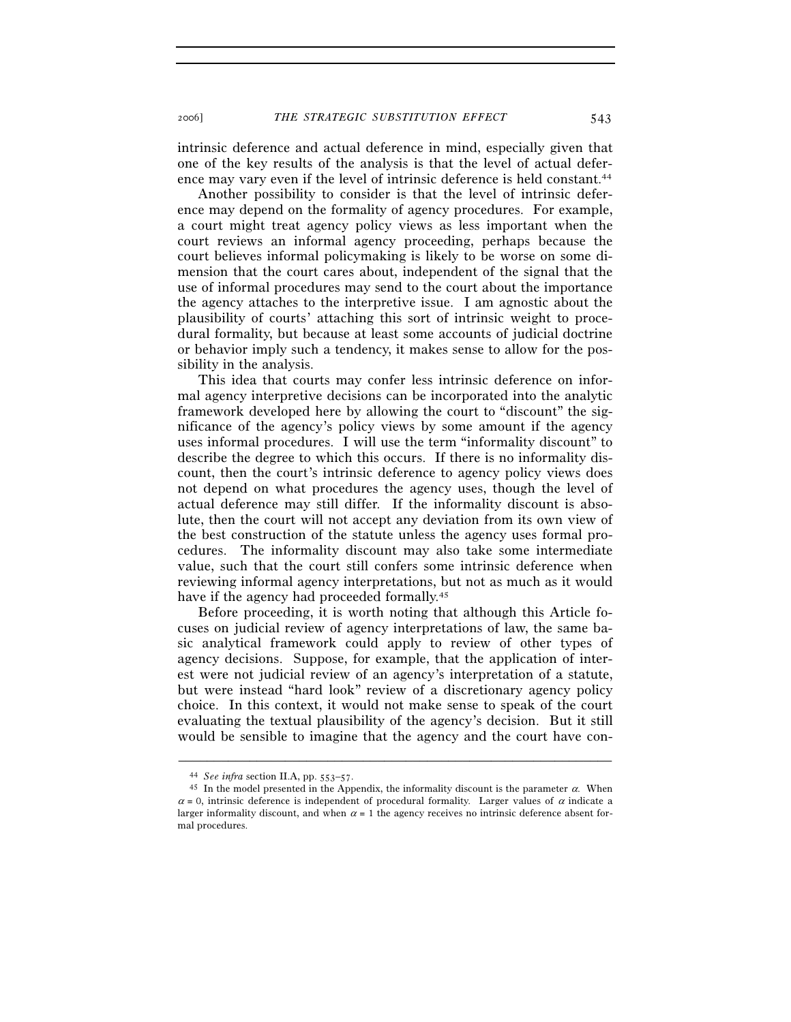2006] *THE STRATEGIC SUBSTITUTION EFFECT* 543

intrinsic deference and actual deference in mind, especially given that one of the key results of the analysis is that the level of actual deference may vary even if the level of intrinsic deference is held constant.<sup>44</sup>

Another possibility to consider is that the level of intrinsic deference may depend on the formality of agency procedures. For example, a court might treat agency policy views as less important when the court reviews an informal agency proceeding, perhaps because the court believes informal policymaking is likely to be worse on some dimension that the court cares about, independent of the signal that the use of informal procedures may send to the court about the importance the agency attaches to the interpretive issue. I am agnostic about the plausibility of courts' attaching this sort of intrinsic weight to procedural formality, but because at least some accounts of judicial doctrine or behavior imply such a tendency, it makes sense to allow for the possibility in the analysis.

This idea that courts may confer less intrinsic deference on informal agency interpretive decisions can be incorporated into the analytic framework developed here by allowing the court to "discount" the significance of the agency's policy views by some amount if the agency uses informal procedures. I will use the term "informality discount" to describe the degree to which this occurs. If there is no informality discount, then the court's intrinsic deference to agency policy views does not depend on what procedures the agency uses, though the level of actual deference may still differ. If the informality discount is absolute, then the court will not accept any deviation from its own view of the best construction of the statute unless the agency uses formal procedures. The informality discount may also take some intermediate value, such that the court still confers some intrinsic deference when reviewing informal agency interpretations, but not as much as it would have if the agency had proceeded formally.<sup>45</sup>

Before proceeding, it is worth noting that although this Article focuses on judicial review of agency interpretations of law, the same basic analytical framework could apply to review of other types of agency decisions. Suppose, for example, that the application of interest were not judicial review of an agency's interpretation of a statute, but were instead "hard look" review of a discretionary agency policy choice. In this context, it would not make sense to speak of the court evaluating the textual plausibility of the agency's decision. But it still would be sensible to imagine that the agency and the court have con-

<sup>&</sup>lt;sup>44</sup> *See infra* section II.A, pp. 553–57.<br><sup>45</sup> In the model presented in the Appendix, the informality discount is the parameter  $\alpha$ . When  $\alpha$  = 0, intrinsic deference is independent of procedural formality. Larger values of  $\alpha$  indicate a larger informality discount, and when  $\alpha = 1$  the agency receives no intrinsic deference absent formal procedures.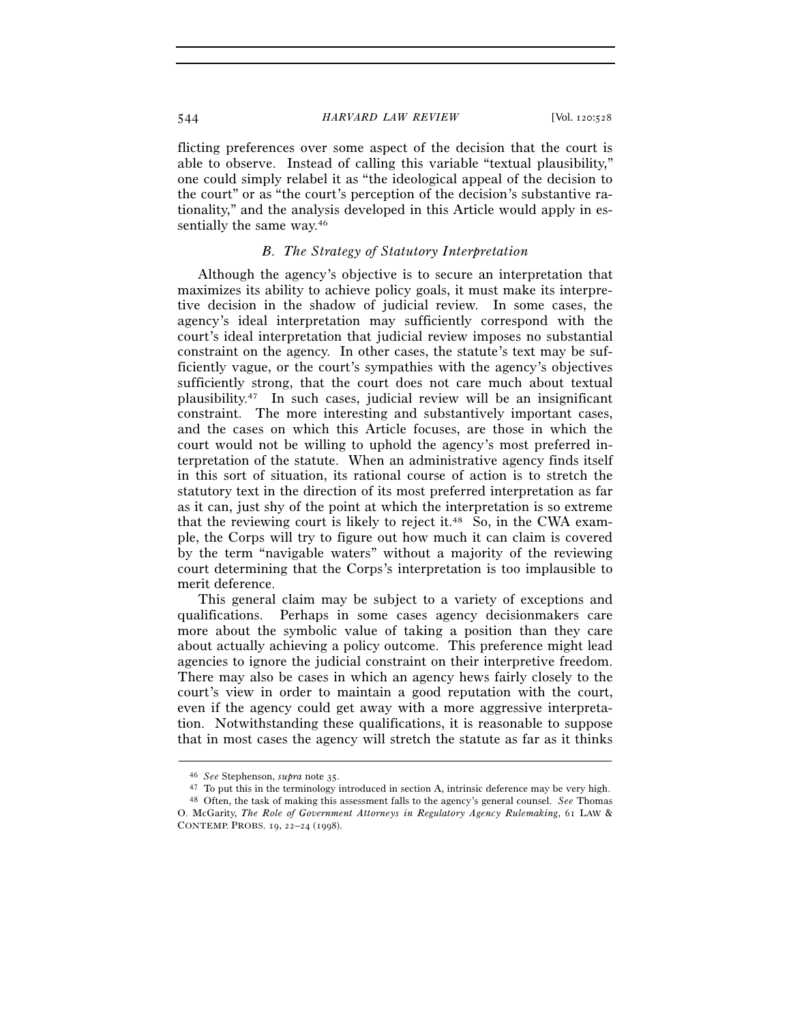flicting preferences over some aspect of the decision that the court is able to observe. Instead of calling this variable "textual plausibility," one could simply relabel it as "the ideological appeal of the decision to the court" or as "the court's perception of the decision's substantive rationality," and the analysis developed in this Article would apply in essentially the same way.<sup>46</sup>

# *B. The Strategy of Statutory Interpretation*

Although the agency's objective is to secure an interpretation that maximizes its ability to achieve policy goals, it must make its interpretive decision in the shadow of judicial review. In some cases, the agency's ideal interpretation may sufficiently correspond with the court's ideal interpretation that judicial review imposes no substantial constraint on the agency. In other cases, the statute's text may be sufficiently vague, or the court's sympathies with the agency's objectives sufficiently strong, that the court does not care much about textual plausibility.47 In such cases, judicial review will be an insignificant constraint. The more interesting and substantively important cases, and the cases on which this Article focuses, are those in which the court would not be willing to uphold the agency's most preferred interpretation of the statute. When an administrative agency finds itself in this sort of situation, its rational course of action is to stretch the statutory text in the direction of its most preferred interpretation as far as it can, just shy of the point at which the interpretation is so extreme that the reviewing court is likely to reject it. $48$  So, in the CWA example, the Corps will try to figure out how much it can claim is covered by the term "navigable waters" without a majority of the reviewing court determining that the Corps's interpretation is too implausible to merit deference.

This general claim may be subject to a variety of exceptions and qualifications. Perhaps in some cases agency decisionmakers care more about the symbolic value of taking a position than they care about actually achieving a policy outcome. This preference might lead agencies to ignore the judicial constraint on their interpretive freedom. There may also be cases in which an agency hews fairly closely to the court's view in order to maintain a good reputation with the court, even if the agency could get away with a more aggressive interpretation. Notwithstanding these qualifications, it is reasonable to suppose that in most cases the agency will stretch the statute as far as it thinks

<sup>&</sup>lt;sup>46</sup> See Stephenson, *supra* note 35.<br><sup>47</sup> To put this in the terminology introduced in section A, intrinsic deference may be very high.<br><sup>48</sup> Often, the task of making this assessment falls to the agency's general counsel

O. McGarity, *The Role of Government Attorneys in Regulatory Agency Rulemaking*, 61 LAW & CONTEMP. PROBS. 19, 22–24 (1998).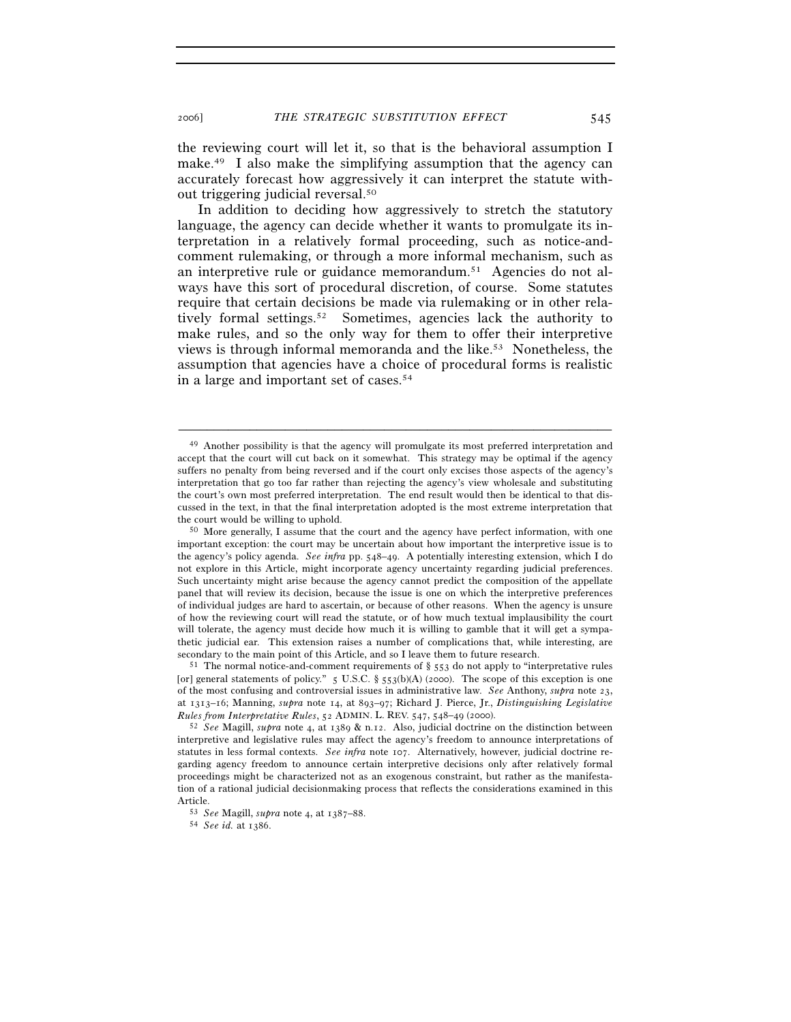the reviewing court will let it, so that is the behavioral assumption I make.49 I also make the simplifying assumption that the agency can accurately forecast how aggressively it can interpret the statute without triggering judicial reversal.50

In addition to deciding how aggressively to stretch the statutory language, the agency can decide whether it wants to promulgate its interpretation in a relatively formal proceeding, such as notice-andcomment rulemaking, or through a more informal mechanism, such as an interpretive rule or guidance memorandum.<sup>51</sup> Agencies do not always have this sort of procedural discretion, of course. Some statutes require that certain decisions be made via rulemaking or in other relatively formal settings.<sup>52</sup> Sometimes, agencies lack the authority to make rules, and so the only way for them to offer their interpretive views is through informal memoranda and the like.53 Nonetheless, the assumption that agencies have a choice of procedural forms is realistic in a large and important set of cases.54

–––––––––––––––––––––––––––––––––––––––––––––––––––––––––––––

[or] general statements of policy." 5 U.S.C. § 553(b)(A) (2000). The scope of this exception is one of the most confusing and controversial issues in administrative law. *See* Anthony, *supra* note 23, at 1313–16; Manning, *supra* note 14, at 893–97; Richard J. Pierce, Jr., *Distinguishing Legislative Rules from Interpretative Rules*, 52 ADMIN. L. REV. 547, 548–49 (2000). 52 *See* Magill, *supra* note 4, at 1389 & n.12. Also, judicial doctrine on the distinction between

interpretive and legislative rules may affect the agency's freedom to announce interpretations of statutes in less formal contexts. *See infra* note 107. Alternatively, however, judicial doctrine regarding agency freedom to announce certain interpretive decisions only after relatively formal proceedings might be characterized not as an exogenous constraint, but rather as the manifestation of a rational judicial decisionmaking process that reflects the considerations examined in this

<sup>49</sup> Another possibility is that the agency will promulgate its most preferred interpretation and accept that the court will cut back on it somewhat. This strategy may be optimal if the agency suffers no penalty from being reversed and if the court only excises those aspects of the agency's interpretation that go too far rather than rejecting the agency's view wholesale and substituting the court's own most preferred interpretation. The end result would then be identical to that discussed in the text, in that the final interpretation adopted is the most extreme interpretation that the court would be willing to uphold.<br><sup>50</sup> More generally, I assume that the court and the agency have perfect information, with one

important exception: the court may be uncertain about how important the interpretive issue is to the agency's policy agenda. *See infra* pp. 548–49. A potentially interesting extension, which I do not explore in this Article, might incorporate agency uncertainty regarding judicial preferences. Such uncertainty might arise because the agency cannot predict the composition of the appellate panel that will review its decision, because the issue is one on which the interpretive preferences of individual judges are hard to ascertain, or because of other reasons. When the agency is unsure of how the reviewing court will read the statute, or of how much textual implausibility the court will tolerate, the agency must decide how much it is willing to gamble that it will get a sympathetic judicial ear. This extension raises a number of complications that, while interesting, are secondary to the main point of this Article, and so I leave them to future research.<br> $51$  The normal notice-and-comment requirements of § 553 do not apply to "interpretative rules

Article. 53 *See* Magill, *supra* note 4, at 1387–88. 54 *See id.* at 1386.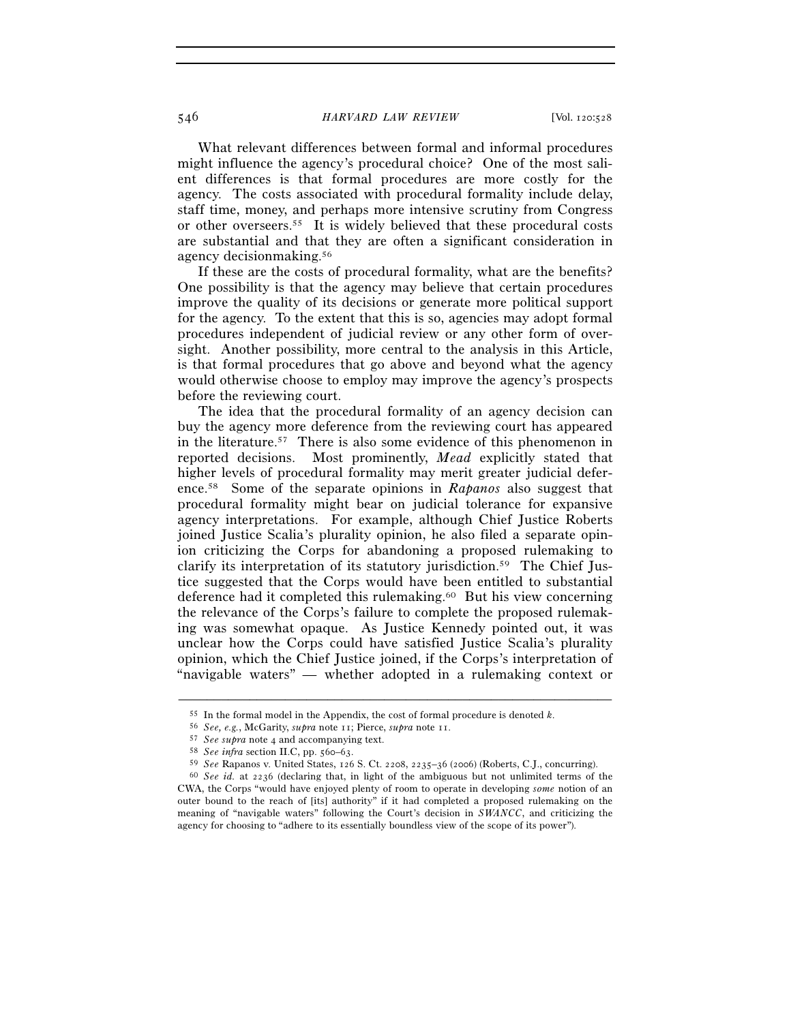What relevant differences between formal and informal procedures might influence the agency's procedural choice? One of the most salient differences is that formal procedures are more costly for the agency. The costs associated with procedural formality include delay, staff time, money, and perhaps more intensive scrutiny from Congress or other overseers.55 It is widely believed that these procedural costs are substantial and that they are often a significant consideration in agency decisionmaking.56

If these are the costs of procedural formality, what are the benefits? One possibility is that the agency may believe that certain procedures improve the quality of its decisions or generate more political support for the agency. To the extent that this is so, agencies may adopt formal procedures independent of judicial review or any other form of oversight. Another possibility, more central to the analysis in this Article, is that formal procedures that go above and beyond what the agency would otherwise choose to employ may improve the agency's prospects before the reviewing court.

The idea that the procedural formality of an agency decision can buy the agency more deference from the reviewing court has appeared in the literature.57 There is also some evidence of this phenomenon in reported decisions. Most prominently, *Mead* explicitly stated that higher levels of procedural formality may merit greater judicial deference.58 Some of the separate opinions in *Rapanos* also suggest that procedural formality might bear on judicial tolerance for expansive agency interpretations. For example, although Chief Justice Roberts joined Justice Scalia's plurality opinion, he also filed a separate opinion criticizing the Corps for abandoning a proposed rulemaking to clarify its interpretation of its statutory jurisdiction.59 The Chief Justice suggested that the Corps would have been entitled to substantial deference had it completed this rulemaking.60 But his view concerning the relevance of the Corps's failure to complete the proposed rulemaking was somewhat opaque. As Justice Kennedy pointed out, it was unclear how the Corps could have satisfied Justice Scalia's plurality opinion, which the Chief Justice joined, if the Corps's interpretation of "navigable waters" — whether adopted in a rulemaking context or

<sup>&</sup>lt;sup>55</sup> In the formal model in the Appendix, the cost of formal procedure is denoted *k*.<br>
<sup>56</sup> See, e.g., McGarity, *supra* note 11; Pierce, *supra* note 11.<br>
<sup>57</sup> See supra note 4 and accompanying text.<br>
<sup>58</sup> See infra sec CWA, the Corps "would have enjoyed plenty of room to operate in developing *some* notion of an outer bound to the reach of [its] authority" if it had completed a proposed rulemaking on the meaning of "navigable waters" following the Court's decision in *SWANCC*, and criticizing the agency for choosing to "adhere to its essentially boundless view of the scope of its power").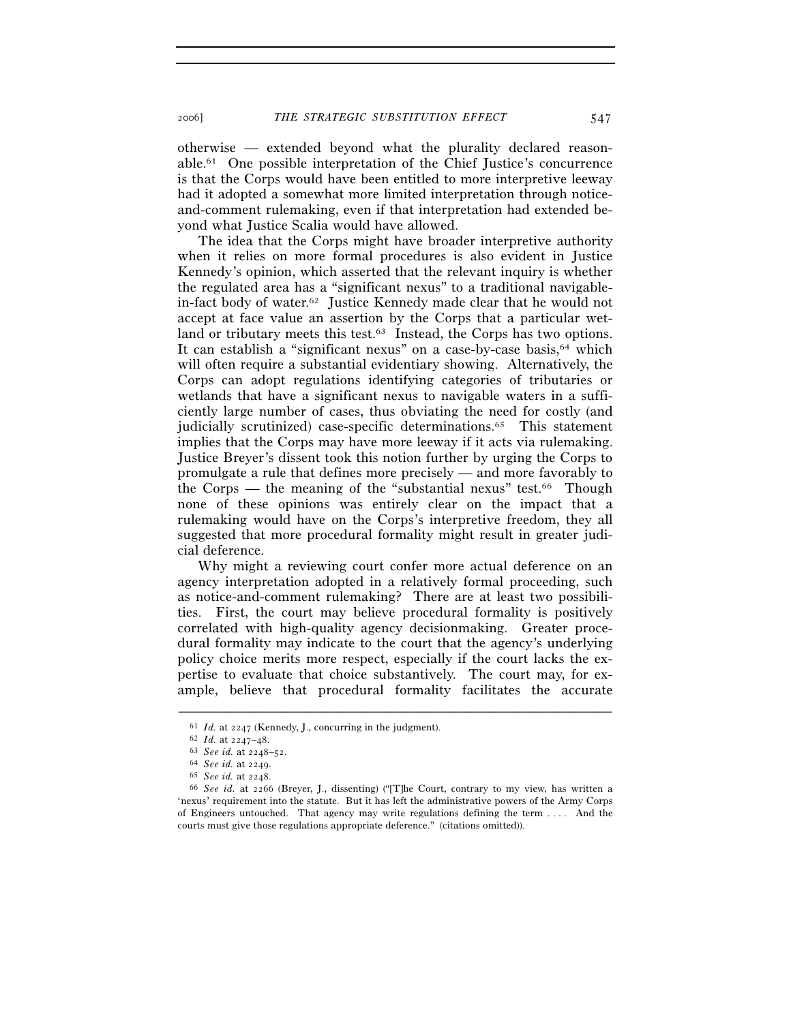otherwise — extended beyond what the plurality declared reasonable.61 One possible interpretation of the Chief Justice's concurrence is that the Corps would have been entitled to more interpretive leeway had it adopted a somewhat more limited interpretation through noticeand-comment rulemaking, even if that interpretation had extended beyond what Justice Scalia would have allowed.

The idea that the Corps might have broader interpretive authority when it relies on more formal procedures is also evident in Justice Kennedy's opinion, which asserted that the relevant inquiry is whether the regulated area has a "significant nexus" to a traditional navigablein-fact body of water.62 Justice Kennedy made clear that he would not accept at face value an assertion by the Corps that a particular wetland or tributary meets this test.<sup>63</sup> Instead, the Corps has two options. It can establish a "significant nexus" on a case-by-case basis,  $64$  which will often require a substantial evidentiary showing. Alternatively, the Corps can adopt regulations identifying categories of tributaries or wetlands that have a significant nexus to navigable waters in a sufficiently large number of cases, thus obviating the need for costly (and judicially scrutinized) case-specific determinations.<sup>65</sup> This statement implies that the Corps may have more leeway if it acts via rulemaking. Justice Breyer's dissent took this notion further by urging the Corps to promulgate a rule that defines more precisely — and more favorably to the Corps — the meaning of the "substantial nexus" test.<sup>66</sup> Though none of these opinions was entirely clear on the impact that a rulemaking would have on the Corps's interpretive freedom, they all suggested that more procedural formality might result in greater judicial deference.

Why might a reviewing court confer more actual deference on an agency interpretation adopted in a relatively formal proceeding, such as notice-and-comment rulemaking? There are at least two possibilities. First, the court may believe procedural formality is positively correlated with high-quality agency decisionmaking. Greater procedural formality may indicate to the court that the agency's underlying policy choice merits more respect, especially if the court lacks the expertise to evaluate that choice substantively. The court may, for example, believe that procedural formality facilitates the accurate

<sup>&</sup>lt;sup>61</sup> *Id.* at 2247 (Kennedy, J., concurring in the judgment).<br>
<sup>62</sup> *Id.* at 2247–48.<br>
<sup>63</sup> *See id.* at 2248–52.<br>
<sup>64</sup> *See id.* at 2249.<br>
<sup>65</sup> *See id.* at 2248.<br>
<sup>65</sup> *See id.* at 2266 (Breyer, J., dissenting) ("[T]he 'nexus' requirement into the statute. But it has left the administrative powers of the Army Corps of Engineers untouched. That agency may write regulations defining the term . . . . And the courts must give those regulations appropriate deference." (citations omitted)).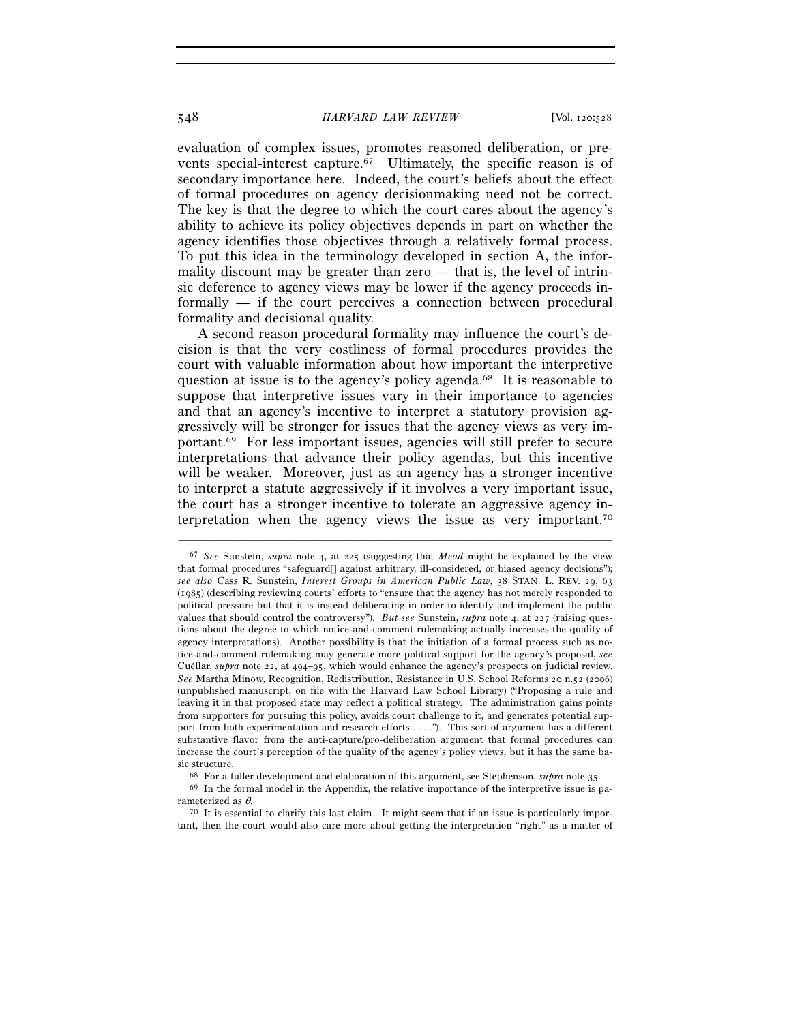evaluation of complex issues, promotes reasoned deliberation, or prevents special-interest capture.67 Ultimately, the specific reason is of secondary importance here. Indeed, the court's beliefs about the effect of formal procedures on agency decisionmaking need not be correct. The key is that the degree to which the court cares about the agency's ability to achieve its policy objectives depends in part on whether the agency identifies those objectives through a relatively formal process. To put this idea in the terminology developed in section A, the informality discount may be greater than zero — that is, the level of intrinsic deference to agency views may be lower if the agency proceeds informally — if the court perceives a connection between procedural formality and decisional quality.

A second reason procedural formality may influence the court's decision is that the very costliness of formal procedures provides the court with valuable information about how important the interpretive question at issue is to the agency's policy agenda.68 It is reasonable to suppose that interpretive issues vary in their importance to agencies and that an agency's incentive to interpret a statutory provision aggressively will be stronger for issues that the agency views as very important.69 For less important issues, agencies will still prefer to secure interpretations that advance their policy agendas, but this incentive will be weaker. Moreover, just as an agency has a stronger incentive to interpret a statute aggressively if it involves a very important issue, the court has a stronger incentive to tolerate an aggressive agency interpretation when the agency views the issue as very important.70

<sup>67</sup> *See* Sunstein, *supra* note 4, at 225 (suggesting that *Mead* might be explained by the view that formal procedures "safeguard[] against arbitrary, ill-considered, or biased agency decisions"); *see also* Cass R. Sunstein, *Interest Groups in American Public Law*, 38 STAN. L. REV. 29, 63 (1985) (describing reviewing courts' efforts to "ensure that the agency has not merely responded to political pressure but that it is instead deliberating in order to identify and implement the public values that should control the controversy"). *But see* Sunstein, *supra* note 4, at 227 (raising questions about the degree to which notice-and-comment rulemaking actually increases the quality of agency interpretations). Another possibility is that the initiation of a formal process such as notice-and-comment rulemaking may generate more political support for the agency's proposal, *see* Cuéllar, *supra* note 22, at 494–95, which would enhance the agency's prospects on judicial review. *See* Martha Minow, Recognition, Redistribution, Resistance in U.S. School Reforms 20 n.52 (2006) (unpublished manuscript, on file with the Harvard Law School Library) ("Proposing a rule and leaving it in that proposed state may reflect a political strategy. The administration gains points from supporters for pursuing this policy, avoids court challenge to it, and generates potential support from both experimentation and research efforts . . . ."). This sort of argument has a different substantive flavor from the anti-capture/pro-deliberation argument that formal procedures can increase the court's perception of the quality of the agency's policy views, but it has the same ba-

<sup>&</sup>lt;sup>68</sup> For a fuller development and elaboration of this argument, see Stephenson, *supra* note 35. <sup>69</sup> In the formal model in the Appendix, the relative importance of the interpretive issue is parameterized as  $\theta$ .

 $70$  It is essential to clarify this last claim. It might seem that if an issue is particularly important, then the court would also care more about getting the interpretation "right" as a matter of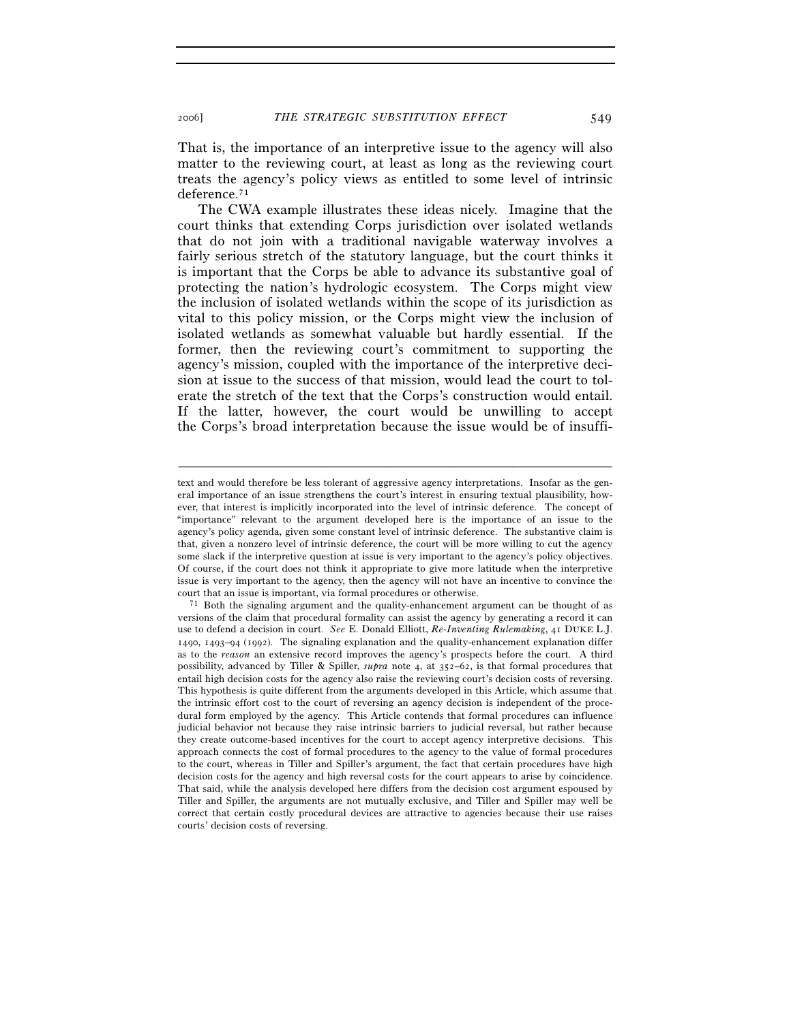That is, the importance of an interpretive issue to the agency will also matter to the reviewing court, at least as long as the reviewing court treats the agency's policy views as entitled to some level of intrinsic deference.71

The CWA example illustrates these ideas nicely. Imagine that the court thinks that extending Corps jurisdiction over isolated wetlands that do not join with a traditional navigable waterway involves a fairly serious stretch of the statutory language, but the court thinks it is important that the Corps be able to advance its substantive goal of protecting the nation's hydrologic ecosystem. The Corps might view the inclusion of isolated wetlands within the scope of its jurisdiction as vital to this policy mission, or the Corps might view the inclusion of isolated wetlands as somewhat valuable but hardly essential. If the former, then the reviewing court's commitment to supporting the agency's mission, coupled with the importance of the interpretive decision at issue to the success of that mission, would lead the court to tolerate the stretch of the text that the Corps's construction would entail. If the latter, however, the court would be unwilling to accept the Corps's broad interpretation because the issue would be of insuffi-

text and would therefore be less tolerant of aggressive agency interpretations. Insofar as the general importance of an issue strengthens the court's interest in ensuring textual plausibility, however, that interest is implicitly incorporated into the level of intrinsic deference. The concept of "importance" relevant to the argument developed here is the importance of an issue to the agency's policy agenda, given some constant level of intrinsic deference. The substantive claim is that, given a nonzero level of intrinsic deference, the court will be more willing to cut the agency some slack if the interpretive question at issue is very important to the agency's policy objectives. Of course, if the court does not think it appropriate to give more latitude when the interpretive issue is very important to the agency, then the agency will not have an incentive to convince the court that an issue is important, via formal procedures or otherwise. 71 Both the signaling argument and the quality-enhancement argument can be thought of as

versions of the claim that procedural formality can assist the agency by generating a record it can use to defend a decision in court. *See* E. Donald Elliott, *Re-Inventing Rulemaking*, 41 DUKE L.J. 1490, 1493–94 (1992). The signaling explanation and the quality-enhancement explanation differ as to the *reason* an extensive record improves the agency's prospects before the court. A third possibility, advanced by Tiller & Spiller, *supra* note 4, at 352–62, is that formal procedures that entail high decision costs for the agency also raise the reviewing court's decision costs of reversing. This hypothesis is quite different from the arguments developed in this Article, which assume that the intrinsic effort cost to the court of reversing an agency decision is independent of the procedural form employed by the agency. This Article contends that formal procedures can influence judicial behavior not because they raise intrinsic barriers to judicial reversal, but rather because they create outcome-based incentives for the court to accept agency interpretive decisions. This approach connects the cost of formal procedures to the agency to the value of formal procedures to the court, whereas in Tiller and Spiller's argument, the fact that certain procedures have high decision costs for the agency and high reversal costs for the court appears to arise by coincidence. That said, while the analysis developed here differs from the decision cost argument espoused by Tiller and Spiller, the arguments are not mutually exclusive, and Tiller and Spiller may well be correct that certain costly procedural devices are attractive to agencies because their use raises courts' decision costs of reversing.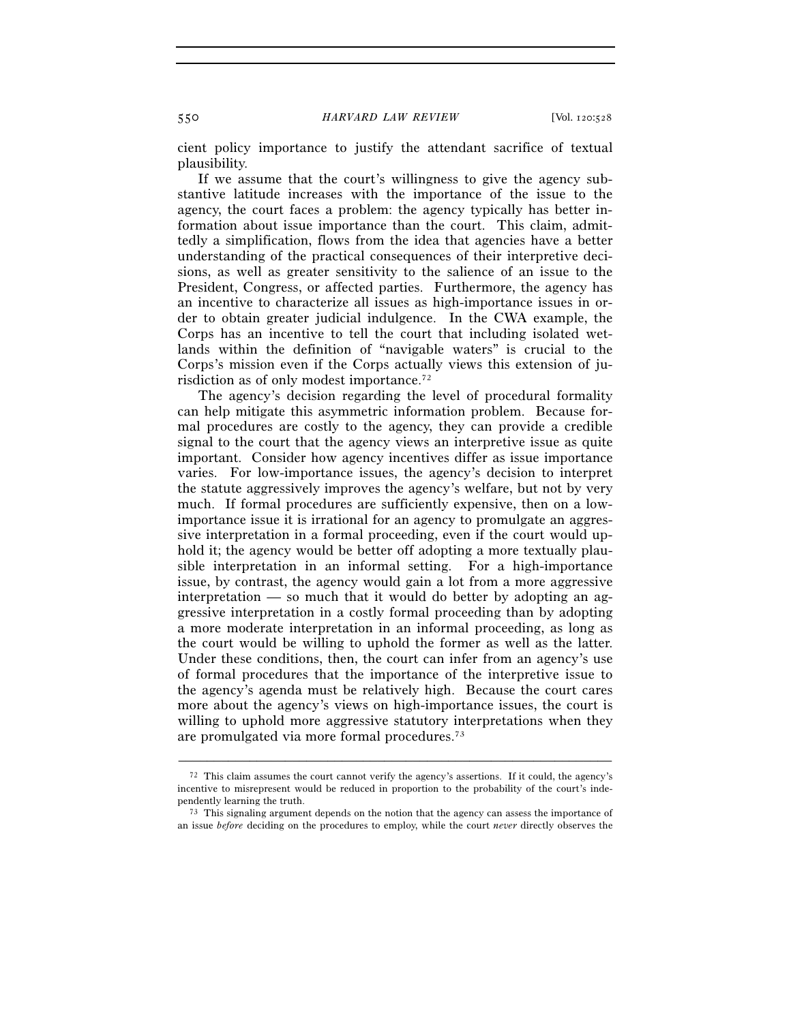cient policy importance to justify the attendant sacrifice of textual plausibility.

If we assume that the court's willingness to give the agency substantive latitude increases with the importance of the issue to the agency, the court faces a problem: the agency typically has better information about issue importance than the court. This claim, admittedly a simplification, flows from the idea that agencies have a better understanding of the practical consequences of their interpretive decisions, as well as greater sensitivity to the salience of an issue to the President, Congress, or affected parties. Furthermore, the agency has an incentive to characterize all issues as high-importance issues in order to obtain greater judicial indulgence. In the CWA example, the Corps has an incentive to tell the court that including isolated wetlands within the definition of "navigable waters" is crucial to the Corps's mission even if the Corps actually views this extension of jurisdiction as of only modest importance.72

The agency's decision regarding the level of procedural formality can help mitigate this asymmetric information problem. Because formal procedures are costly to the agency, they can provide a credible signal to the court that the agency views an interpretive issue as quite important. Consider how agency incentives differ as issue importance varies. For low-importance issues, the agency's decision to interpret the statute aggressively improves the agency's welfare, but not by very much. If formal procedures are sufficiently expensive, then on a lowimportance issue it is irrational for an agency to promulgate an aggressive interpretation in a formal proceeding, even if the court would uphold it; the agency would be better off adopting a more textually plausible interpretation in an informal setting. For a high-importance issue, by contrast, the agency would gain a lot from a more aggressive interpretation — so much that it would do better by adopting an aggressive interpretation in a costly formal proceeding than by adopting a more moderate interpretation in an informal proceeding, as long as the court would be willing to uphold the former as well as the latter. Under these conditions, then, the court can infer from an agency's use of formal procedures that the importance of the interpretive issue to the agency's agenda must be relatively high. Because the court cares more about the agency's views on high-importance issues, the court is willing to uphold more aggressive statutory interpretations when they are promulgated via more formal procedures.73

<sup>72</sup> This claim assumes the court cannot verify the agency's assertions. If it could, the agency's incentive to misrepresent would be reduced in proportion to the probability of the court's inde-

<sup>&</sup>lt;sup>73</sup> This signaling argument depends on the notion that the agency can assess the importance of an issue *before* deciding on the procedures to employ, while the court *never* directly observes the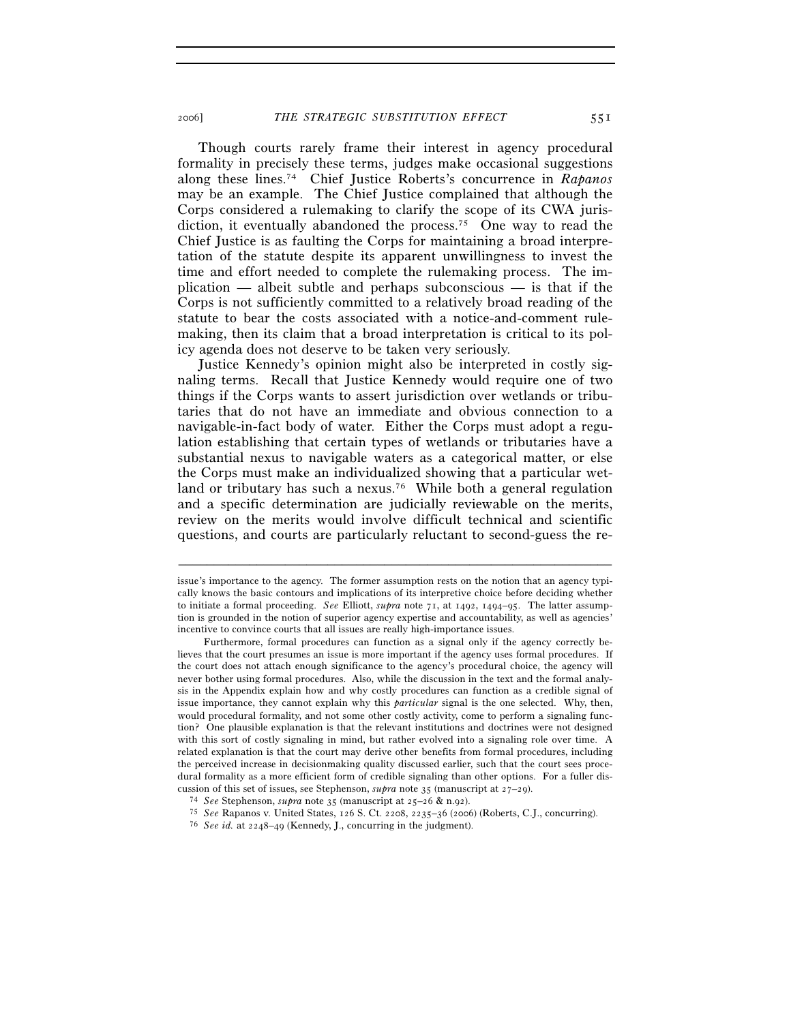Though courts rarely frame their interest in agency procedural formality in precisely these terms, judges make occasional suggestions along these lines.74 Chief Justice Roberts's concurrence in *Rapanos* may be an example. The Chief Justice complained that although the Corps considered a rulemaking to clarify the scope of its CWA jurisdiction, it eventually abandoned the process.75 One way to read the Chief Justice is as faulting the Corps for maintaining a broad interpretation of the statute despite its apparent unwillingness to invest the time and effort needed to complete the rulemaking process. The implication — albeit subtle and perhaps subconscious — is that if the Corps is not sufficiently committed to a relatively broad reading of the statute to bear the costs associated with a notice-and-comment rulemaking, then its claim that a broad interpretation is critical to its policy agenda does not deserve to be taken very seriously.

Justice Kennedy's opinion might also be interpreted in costly signaling terms. Recall that Justice Kennedy would require one of two things if the Corps wants to assert jurisdiction over wetlands or tributaries that do not have an immediate and obvious connection to a navigable-in-fact body of water. Either the Corps must adopt a regulation establishing that certain types of wetlands or tributaries have a substantial nexus to navigable waters as a categorical matter, or else the Corps must make an individualized showing that a particular wetland or tributary has such a nexus.<sup>76</sup> While both a general regulation and a specific determination are judicially reviewable on the merits, review on the merits would involve difficult technical and scientific questions, and courts are particularly reluctant to second-guess the re-

issue's importance to the agency. The former assumption rests on the notion that an agency typically knows the basic contours and implications of its interpretive choice before deciding whether to initiate a formal proceeding. *See* Elliott, *supra* note 71, at 1492, 1494–95. The latter assumption is grounded in the notion of superior agency expertise and accountability, as well as agencies' incentive to convince courts that all issues are really high-importance issues.

Furthermore, formal procedures can function as a signal only if the agency correctly believes that the court presumes an issue is more important if the agency uses formal procedures. If the court does not attach enough significance to the agency's procedural choice, the agency will never bother using formal procedures. Also, while the discussion in the text and the formal analysis in the Appendix explain how and why costly procedures can function as a credible signal of issue importance, they cannot explain why this *particular* signal is the one selected. Why, then, would procedural formality, and not some other costly activity, come to perform a signaling function? One plausible explanation is that the relevant institutions and doctrines were not designed with this sort of costly signaling in mind, but rather evolved into a signaling role over time. A related explanation is that the court may derive other benefits from formal procedures, including the perceived increase in decisionmaking quality discussed earlier, such that the court sees procedural formality as a more efficient form of credible signaling than other options. For a fuller discussion of this set of issues, see Stephenson, *supra* note 35 (manuscript at 27–29).<br><sup>74</sup> See Stephenson, *supra* note 35 (manuscript at 25–26 & n.92).<br><sup>75</sup> See Rapanos v. United States, 126 S. Ct. 2208, 2235–36 (2006) (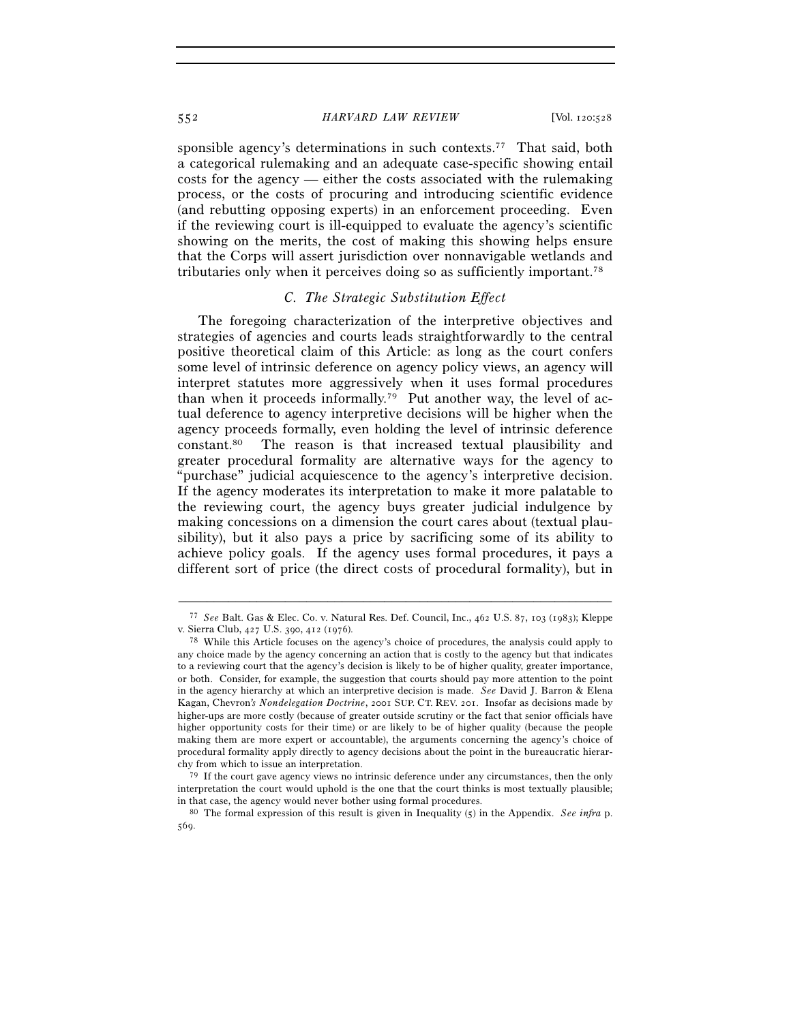sponsible agency's determinations in such contexts.<sup>77</sup> That said, both a categorical rulemaking and an adequate case-specific showing entail costs for the agency — either the costs associated with the rulemaking process, or the costs of procuring and introducing scientific evidence (and rebutting opposing experts) in an enforcement proceeding. Even if the reviewing court is ill-equipped to evaluate the agency's scientific showing on the merits, the cost of making this showing helps ensure that the Corps will assert jurisdiction over nonnavigable wetlands and tributaries only when it perceives doing so as sufficiently important.78

## *C. The Strategic Substitution Effect*

The foregoing characterization of the interpretive objectives and strategies of agencies and courts leads straightforwardly to the central positive theoretical claim of this Article: as long as the court confers some level of intrinsic deference on agency policy views, an agency will interpret statutes more aggressively when it uses formal procedures than when it proceeds informally.<sup>79</sup> Put another way, the level of actual deference to agency interpretive decisions will be higher when the agency proceeds formally, even holding the level of intrinsic deference constant.80 The reason is that increased textual plausibility and greater procedural formality are alternative ways for the agency to "purchase" judicial acquiescence to the agency's interpretive decision. If the agency moderates its interpretation to make it more palatable to the reviewing court, the agency buys greater judicial indulgence by making concessions on a dimension the court cares about (textual plausibility), but it also pays a price by sacrificing some of its ability to achieve policy goals. If the agency uses formal procedures, it pays a different sort of price (the direct costs of procedural formality), but in

<sup>–––––––––––––––––––––––––––––––––––––––––––––––––––––––––––––</sup> 77 *See* Balt. Gas & Elec. Co. v. Natural Res. Def. Council, Inc., 462 U.S. 87, 103 (1983); Kleppe v. Sierra Club, 427 U.S. 390, 412 (1976). 78 While this Article focuses on the agency's choice of procedures, the analysis could apply to

any choice made by the agency concerning an action that is costly to the agency but that indicates to a reviewing court that the agency's decision is likely to be of higher quality, greater importance, or both. Consider, for example, the suggestion that courts should pay more attention to the point in the agency hierarchy at which an interpretive decision is made. *See* David J. Barron & Elena Kagan, Chevron*'s Nondelegation Doctrine*, 2001 SUP. CT. REV. 201. Insofar as decisions made by higher-ups are more costly (because of greater outside scrutiny or the fact that senior officials have higher opportunity costs for their time) or are likely to be of higher quality (because the people making them are more expert or accountable), the arguments concerning the agency's choice of procedural formality apply directly to agency decisions about the point in the bureaucratic hierarchy from which to issue an interpretation.

<sup>79</sup> If the court gave agency views no intrinsic deference under any circumstances, then the only interpretation the court would uphold is the one that the court thinks is most textually plausible;<br>in that case, the agency would never bother using formal procedures.

in that case, the agency would never bother using formal procedures. 80 The formal expression of this result is given in Inequality (5) in the Appendix. *See infra* p. 569.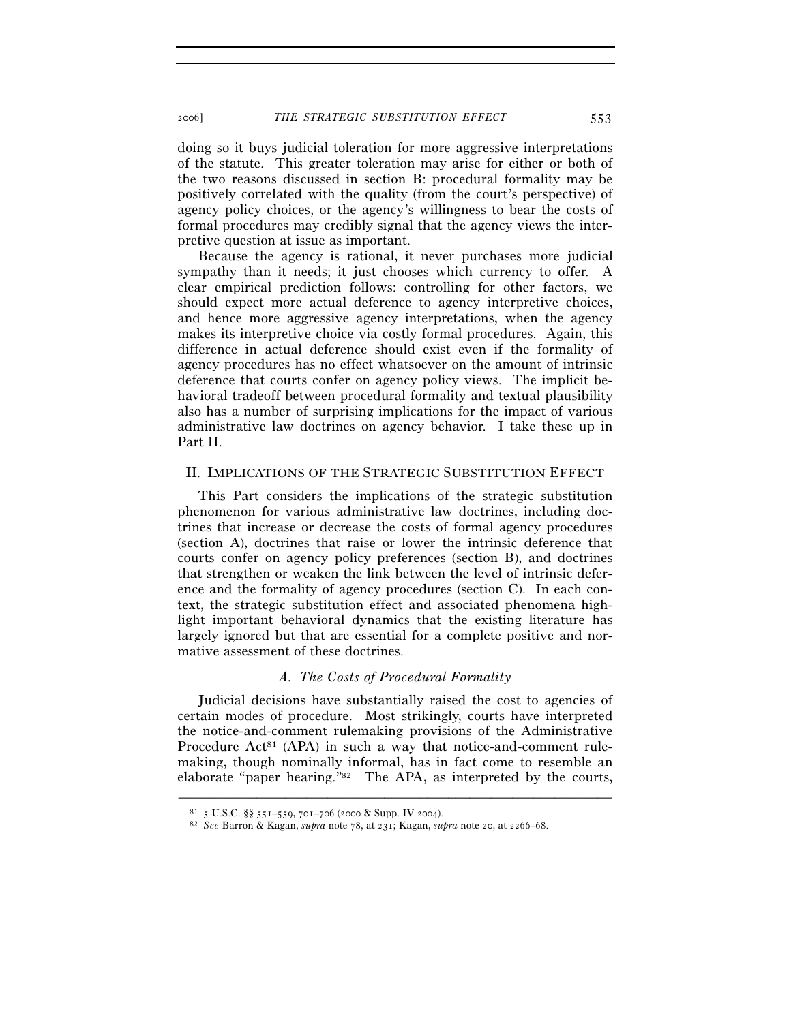doing so it buys judicial toleration for more aggressive interpretations of the statute. This greater toleration may arise for either or both of the two reasons discussed in section B: procedural formality may be positively correlated with the quality (from the court's perspective) of agency policy choices, or the agency's willingness to bear the costs of formal procedures may credibly signal that the agency views the interpretive question at issue as important.

Because the agency is rational, it never purchases more judicial sympathy than it needs; it just chooses which currency to offer. A clear empirical prediction follows: controlling for other factors, we should expect more actual deference to agency interpretive choices, and hence more aggressive agency interpretations, when the agency makes its interpretive choice via costly formal procedures. Again, this difference in actual deference should exist even if the formality of agency procedures has no effect whatsoever on the amount of intrinsic deference that courts confer on agency policy views. The implicit behavioral tradeoff between procedural formality and textual plausibility also has a number of surprising implications for the impact of various administrative law doctrines on agency behavior. I take these up in Part II.

## II. IMPLICATIONS OF THE STRATEGIC SUBSTITUTION EFFECT

This Part considers the implications of the strategic substitution phenomenon for various administrative law doctrines, including doctrines that increase or decrease the costs of formal agency procedures (section A), doctrines that raise or lower the intrinsic deference that courts confer on agency policy preferences (section B), and doctrines that strengthen or weaken the link between the level of intrinsic deference and the formality of agency procedures (section C). In each context, the strategic substitution effect and associated phenomena highlight important behavioral dynamics that the existing literature has largely ignored but that are essential for a complete positive and normative assessment of these doctrines.

## *A. The Costs of Procedural Formality*

Judicial decisions have substantially raised the cost to agencies of certain modes of procedure. Most strikingly, courts have interpreted the notice-and-comment rulemaking provisions of the Administrative Procedure  $Act^{81}$  (APA) in such a way that notice-and-comment rulemaking, though nominally informal, has in fact come to resemble an elaborate "paper hearing."82 The APA, as interpreted by the courts,

<sup>81</sup> <sup>5</sup> U.S.C. §§ 551–559, 701–706 (2000 & Supp. IV 2004). 82 *See* Barron & Kagan, *supra* note 78, at 231; Kagan, *supra* note 20, at 2266–68.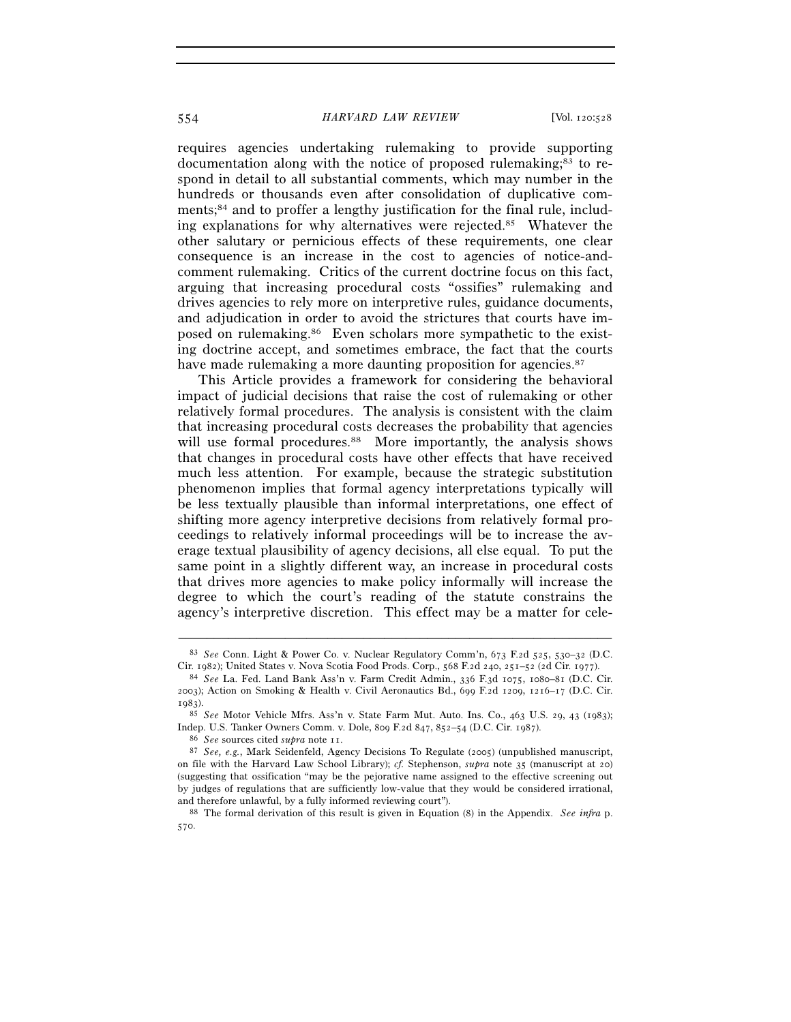requires agencies undertaking rulemaking to provide supporting documentation along with the notice of proposed rulemaking;83 to respond in detail to all substantial comments, which may number in the hundreds or thousands even after consolidation of duplicative comments;84 and to proffer a lengthy justification for the final rule, including explanations for why alternatives were rejected.85 Whatever the other salutary or pernicious effects of these requirements, one clear consequence is an increase in the cost to agencies of notice-andcomment rulemaking. Critics of the current doctrine focus on this fact, arguing that increasing procedural costs "ossifies" rulemaking and drives agencies to rely more on interpretive rules, guidance documents, and adjudication in order to avoid the strictures that courts have imposed on rulemaking.86 Even scholars more sympathetic to the existing doctrine accept, and sometimes embrace, the fact that the courts have made rulemaking a more daunting proposition for agencies.<sup>87</sup>

This Article provides a framework for considering the behavioral impact of judicial decisions that raise the cost of rulemaking or other relatively formal procedures. The analysis is consistent with the claim that increasing procedural costs decreases the probability that agencies will use formal procedures.<sup>88</sup> More importantly, the analysis shows that changes in procedural costs have other effects that have received much less attention. For example, because the strategic substitution phenomenon implies that formal agency interpretations typically will be less textually plausible than informal interpretations, one effect of shifting more agency interpretive decisions from relatively formal proceedings to relatively informal proceedings will be to increase the average textual plausibility of agency decisions, all else equal. To put the same point in a slightly different way, an increase in procedural costs that drives more agencies to make policy informally will increase the degree to which the court's reading of the statute constrains the agency's interpretive discretion. This effect may be a matter for cele-

<sup>–––––––––––––––––––––––––––––––––––––––––––––––––––––––––––––</sup> 83 *See* Conn. Light & Power Co. v. Nuclear Regulatory Comm'n, 673 F.2d 525, 530–32 (D.C.

Cir. 1982); United States v. Nova Scotia Food Prods. Corp., 568 F.2d 240, 251–52 (2d Cir. 1977). 84 *See* La. Fed. Land Bank Ass'n v. Farm Credit Admin., 336 F.3d 1075, 1080–81 (D.C. Cir. 2003); Action on Smoking & Health v. Civil Aeronautics Bd., 699 F.2d 1209, 1216–17 (D.C. Cir. 1983).

<sup>85</sup> *See* Motor Vehicle Mfrs. Ass'n v. State Farm Mut. Auto. Ins. Co., 463 U.S. 29, 43 (1983);

<sup>%</sup> See sources cited *supra* note 11.<br><sup>87</sup> See, e.g., Mark Seidenfeld, Agency Decisions To Regulate (2005) (unpublished manuscript, on file with the Harvard Law School Library); *cf.* Stephenson, *supra* note 35 (manuscript at 20) (suggesting that ossification "may be the pejorative name assigned to the effective screening out by judges of regulations that are sufficiently low-value that they would be considered irrational, and therefore unlawful, by a fully informed reviewing court").

and therefore unlawful, by a fully informed reviewing court"). 88 The formal derivation of this result is given in Equation (8) in the Appendix. *See infra* p. 570.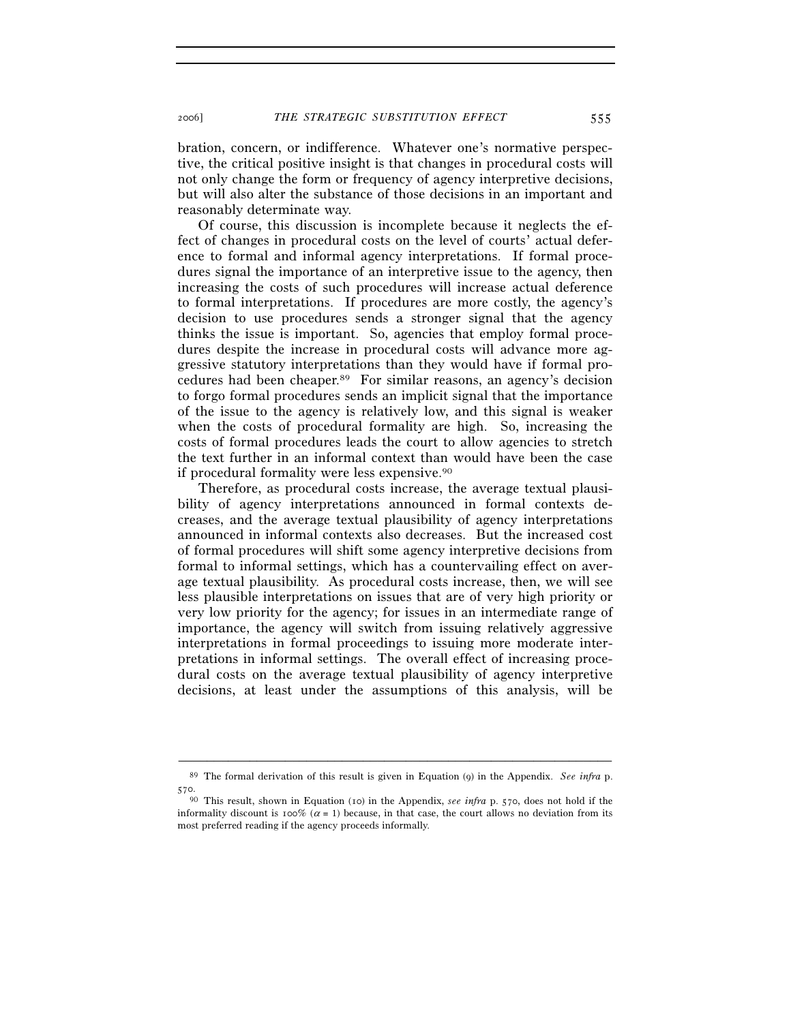bration, concern, or indifference. Whatever one's normative perspective, the critical positive insight is that changes in procedural costs will not only change the form or frequency of agency interpretive decisions, but will also alter the substance of those decisions in an important and reasonably determinate way.

Of course, this discussion is incomplete because it neglects the effect of changes in procedural costs on the level of courts' actual deference to formal and informal agency interpretations. If formal procedures signal the importance of an interpretive issue to the agency, then increasing the costs of such procedures will increase actual deference to formal interpretations. If procedures are more costly, the agency's decision to use procedures sends a stronger signal that the agency thinks the issue is important. So, agencies that employ formal procedures despite the increase in procedural costs will advance more aggressive statutory interpretations than they would have if formal procedures had been cheaper.89 For similar reasons, an agency's decision to forgo formal procedures sends an implicit signal that the importance of the issue to the agency is relatively low, and this signal is weaker when the costs of procedural formality are high. So, increasing the costs of formal procedures leads the court to allow agencies to stretch the text further in an informal context than would have been the case if procedural formality were less expensive.90

Therefore, as procedural costs increase, the average textual plausibility of agency interpretations announced in formal contexts decreases, and the average textual plausibility of agency interpretations announced in informal contexts also decreases. But the increased cost of formal procedures will shift some agency interpretive decisions from formal to informal settings, which has a countervailing effect on average textual plausibility. As procedural costs increase, then, we will see less plausible interpretations on issues that are of very high priority or very low priority for the agency; for issues in an intermediate range of importance, the agency will switch from issuing relatively aggressive interpretations in formal proceedings to issuing more moderate interpretations in informal settings. The overall effect of increasing procedural costs on the average textual plausibility of agency interpretive decisions, at least under the assumptions of this analysis, will be

<sup>–––––––––––––––––––––––––––––––––––––––––––––––––––––––––––––</sup> 89 The formal derivation of this result is given in Equation (9) in the Appendix. *See infra* p. 570.

<sup>90</sup> This result, shown in Equation (10) in the Appendix, *see infra* p. 570, does not hold if the informality discount is 100% ( $\alpha$  = 1) because, in that case, the court allows no deviation from its most preferred reading if the agency proceeds informally.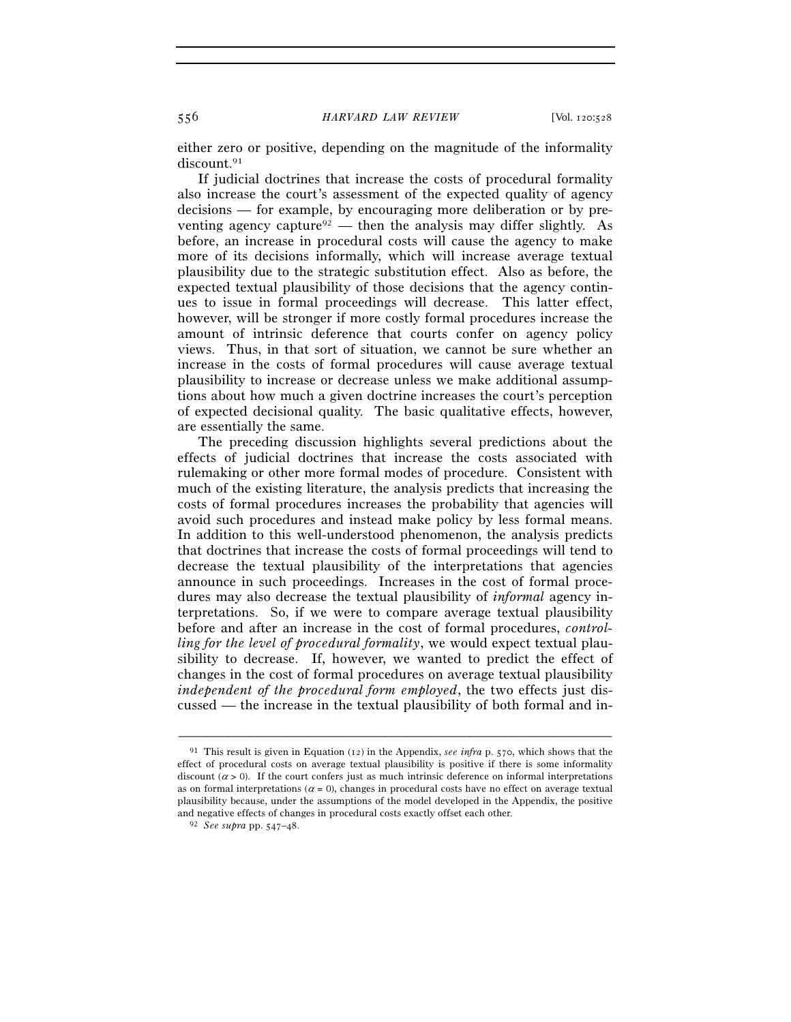either zero or positive, depending on the magnitude of the informality discount.<sup>91</sup>

If judicial doctrines that increase the costs of procedural formality also increase the court's assessment of the expected quality of agency decisions — for example, by encouraging more deliberation or by preventing agency capture<sup>92</sup> — then the analysis may differ slightly. As before, an increase in procedural costs will cause the agency to make more of its decisions informally, which will increase average textual plausibility due to the strategic substitution effect. Also as before, the expected textual plausibility of those decisions that the agency continues to issue in formal proceedings will decrease. This latter effect, however, will be stronger if more costly formal procedures increase the amount of intrinsic deference that courts confer on agency policy views. Thus, in that sort of situation, we cannot be sure whether an increase in the costs of formal procedures will cause average textual plausibility to increase or decrease unless we make additional assumptions about how much a given doctrine increases the court's perception of expected decisional quality. The basic qualitative effects, however, are essentially the same.

The preceding discussion highlights several predictions about the effects of judicial doctrines that increase the costs associated with rulemaking or other more formal modes of procedure. Consistent with much of the existing literature, the analysis predicts that increasing the costs of formal procedures increases the probability that agencies will avoid such procedures and instead make policy by less formal means. In addition to this well-understood phenomenon, the analysis predicts that doctrines that increase the costs of formal proceedings will tend to decrease the textual plausibility of the interpretations that agencies announce in such proceedings. Increases in the cost of formal procedures may also decrease the textual plausibility of *informal* agency interpretations. So, if we were to compare average textual plausibility before and after an increase in the cost of formal procedures, *controlling for the level of procedural formality*, we would expect textual plausibility to decrease. If, however, we wanted to predict the effect of changes in the cost of formal procedures on average textual plausibility *independent of the procedural form employed*, the two effects just discussed — the increase in the textual plausibility of both formal and in-

<sup>91</sup> This result is given in Equation (12) in the Appendix, *see infra* p. 570, which shows that the effect of procedural costs on average textual plausibility is positive if there is some informality discount ( $\alpha$  > 0). If the court confers just as much intrinsic deference on informal interpretations as on formal interpretations ( $\alpha = 0$ ), changes in procedural costs have no effect on average textual plausibility because, under the assumptions of the model developed in the Appendix, the positive and negative effects of changes in procedural costs exactly offset each other. 92 *See supra* pp. 547–48.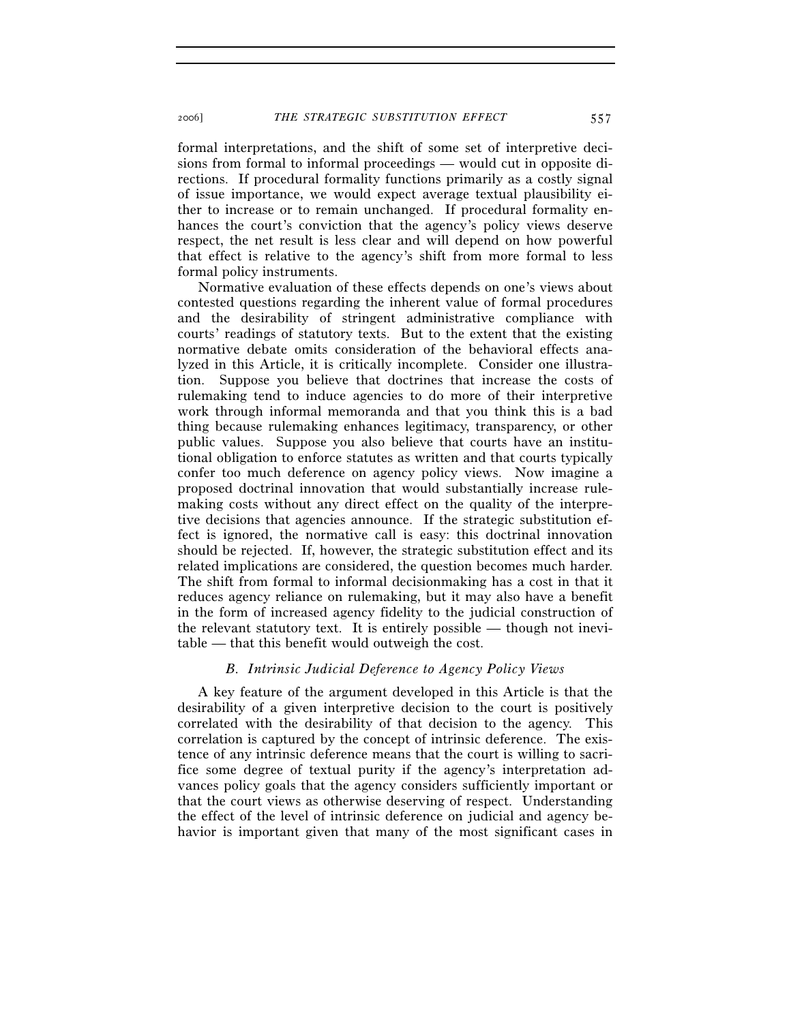formal interpretations, and the shift of some set of interpretive decisions from formal to informal proceedings — would cut in opposite directions. If procedural formality functions primarily as a costly signal of issue importance, we would expect average textual plausibility either to increase or to remain unchanged. If procedural formality enhances the court's conviction that the agency's policy views deserve respect, the net result is less clear and will depend on how powerful that effect is relative to the agency's shift from more formal to less formal policy instruments.

Normative evaluation of these effects depends on one's views about contested questions regarding the inherent value of formal procedures and the desirability of stringent administrative compliance with courts' readings of statutory texts. But to the extent that the existing normative debate omits consideration of the behavioral effects analyzed in this Article, it is critically incomplete. Consider one illustration. Suppose you believe that doctrines that increase the costs of rulemaking tend to induce agencies to do more of their interpretive work through informal memoranda and that you think this is a bad thing because rulemaking enhances legitimacy, transparency, or other public values. Suppose you also believe that courts have an institutional obligation to enforce statutes as written and that courts typically confer too much deference on agency policy views. Now imagine a proposed doctrinal innovation that would substantially increase rulemaking costs without any direct effect on the quality of the interpretive decisions that agencies announce. If the strategic substitution effect is ignored, the normative call is easy: this doctrinal innovation should be rejected. If, however, the strategic substitution effect and its related implications are considered, the question becomes much harder. The shift from formal to informal decisionmaking has a cost in that it reduces agency reliance on rulemaking, but it may also have a benefit in the form of increased agency fidelity to the judicial construction of the relevant statutory text. It is entirely possible — though not inevitable — that this benefit would outweigh the cost.

## *B. Intrinsic Judicial Deference to Agency Policy Views*

A key feature of the argument developed in this Article is that the desirability of a given interpretive decision to the court is positively correlated with the desirability of that decision to the agency. This correlation is captured by the concept of intrinsic deference. The existence of any intrinsic deference means that the court is willing to sacrifice some degree of textual purity if the agency's interpretation advances policy goals that the agency considers sufficiently important or that the court views as otherwise deserving of respect. Understanding the effect of the level of intrinsic deference on judicial and agency behavior is important given that many of the most significant cases in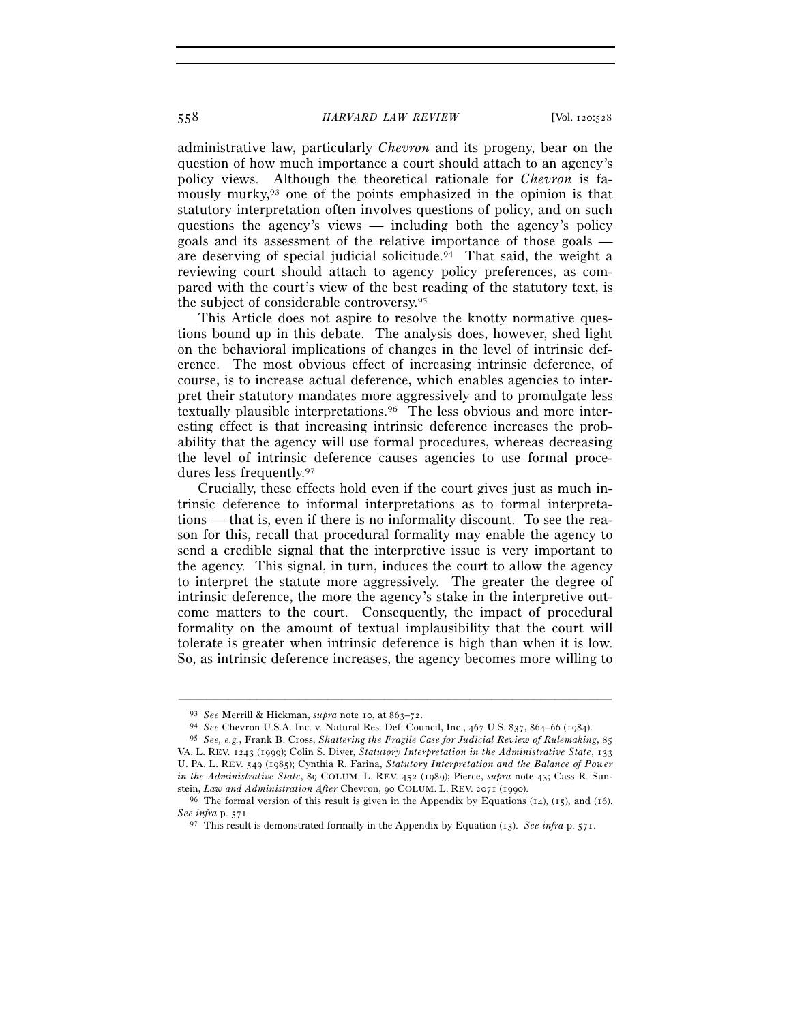administrative law, particularly *Chevron* and its progeny, bear on the question of how much importance a court should attach to an agency's policy views. Although the theoretical rationale for *Chevron* is famously murky,93 one of the points emphasized in the opinion is that statutory interpretation often involves questions of policy, and on such questions the agency's views — including both the agency's policy goals and its assessment of the relative importance of those goals are deserving of special judicial solicitude.94 That said, the weight a reviewing court should attach to agency policy preferences, as compared with the court's view of the best reading of the statutory text, is the subject of considerable controversy.95

This Article does not aspire to resolve the knotty normative questions bound up in this debate. The analysis does, however, shed light on the behavioral implications of changes in the level of intrinsic deference. The most obvious effect of increasing intrinsic deference, of course, is to increase actual deference, which enables agencies to interpret their statutory mandates more aggressively and to promulgate less textually plausible interpretations.96 The less obvious and more interesting effect is that increasing intrinsic deference increases the probability that the agency will use formal procedures, whereas decreasing the level of intrinsic deference causes agencies to use formal procedures less frequently.97

Crucially, these effects hold even if the court gives just as much intrinsic deference to informal interpretations as to formal interpretations — that is, even if there is no informality discount. To see the reason for this, recall that procedural formality may enable the agency to send a credible signal that the interpretive issue is very important to the agency. This signal, in turn, induces the court to allow the agency to interpret the statute more aggressively. The greater the degree of intrinsic deference, the more the agency's stake in the interpretive outcome matters to the court. Consequently, the impact of procedural formality on the amount of textual implausibility that the court will tolerate is greater when intrinsic deference is high than when it is low. So, as intrinsic deference increases, the agency becomes more willing to

<sup>93</sup> *See* Merrill & Hickman, *supra* note 10, at 863–72. 94 *See* Chevron U.S.A. Inc. v. Natural Res. Def. Council, Inc., 467 U.S. 837, 864–66 (1984).

<sup>95</sup> *See, e.g.*, Frank B. Cross, *Shattering the Fragile Case for Judicial Review of Rulemaking*, 85 VA. L. REV. 1243 (1999); Colin S. Diver, *Statutory Interpretation in the Administrative State*, 133 U. PA. L. REV. 549 (1985); Cynthia R. Farina, *Statutory Interpretation and the Balance of Power in the Administrative State*, 89 COLUM. L. REV. 452 (1989); Pierce, *supra* note 43; Cass R. Sunstein, *Law and Administration After* Chevron, 90 COLUM. L. REV. 2071 (1990).<br><sup>96</sup> The formal version of this result is given in the Appendix by Equations (14), (15), and (16).

*See infra* p. 571. 97 This result is demonstrated formally in the Appendix by Equation (13). *See infra* p. 571.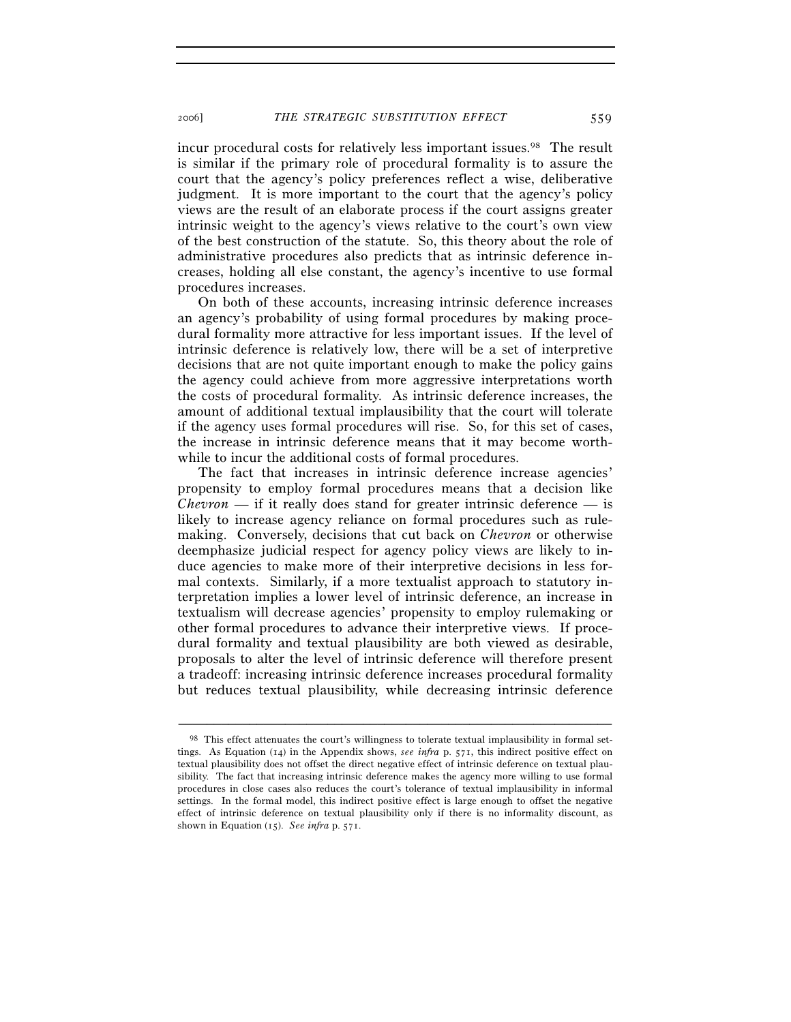incur procedural costs for relatively less important issues.<sup>98</sup> The result is similar if the primary role of procedural formality is to assure the court that the agency's policy preferences reflect a wise, deliberative judgment. It is more important to the court that the agency's policy views are the result of an elaborate process if the court assigns greater intrinsic weight to the agency's views relative to the court's own view of the best construction of the statute. So, this theory about the role of administrative procedures also predicts that as intrinsic deference increases, holding all else constant, the agency's incentive to use formal procedures increases.

On both of these accounts, increasing intrinsic deference increases an agency's probability of using formal procedures by making procedural formality more attractive for less important issues. If the level of intrinsic deference is relatively low, there will be a set of interpretive decisions that are not quite important enough to make the policy gains the agency could achieve from more aggressive interpretations worth the costs of procedural formality. As intrinsic deference increases, the amount of additional textual implausibility that the court will tolerate if the agency uses formal procedures will rise. So, for this set of cases, the increase in intrinsic deference means that it may become worthwhile to incur the additional costs of formal procedures.

The fact that increases in intrinsic deference increase agencies' propensity to employ formal procedures means that a decision like *Chevron* — if it really does stand for greater intrinsic deference — is likely to increase agency reliance on formal procedures such as rulemaking. Conversely, decisions that cut back on *Chevron* or otherwise deemphasize judicial respect for agency policy views are likely to induce agencies to make more of their interpretive decisions in less formal contexts. Similarly, if a more textualist approach to statutory interpretation implies a lower level of intrinsic deference, an increase in textualism will decrease agencies' propensity to employ rulemaking or other formal procedures to advance their interpretive views. If procedural formality and textual plausibility are both viewed as desirable, proposals to alter the level of intrinsic deference will therefore present a tradeoff: increasing intrinsic deference increases procedural formality but reduces textual plausibility, while decreasing intrinsic deference

<sup>98</sup> This effect attenuates the court's willingness to tolerate textual implausibility in formal settings. As Equation (14) in the Appendix shows, *see infra* p. 571, this indirect positive effect on textual plausibility does not offset the direct negative effect of intrinsic deference on textual plausibility. The fact that increasing intrinsic deference makes the agency more willing to use formal procedures in close cases also reduces the court's tolerance of textual implausibility in informal settings. In the formal model, this indirect positive effect is large enough to offset the negative effect of intrinsic deference on textual plausibility only if there is no informality discount, as shown in Equation (15). *See infra* p. 571.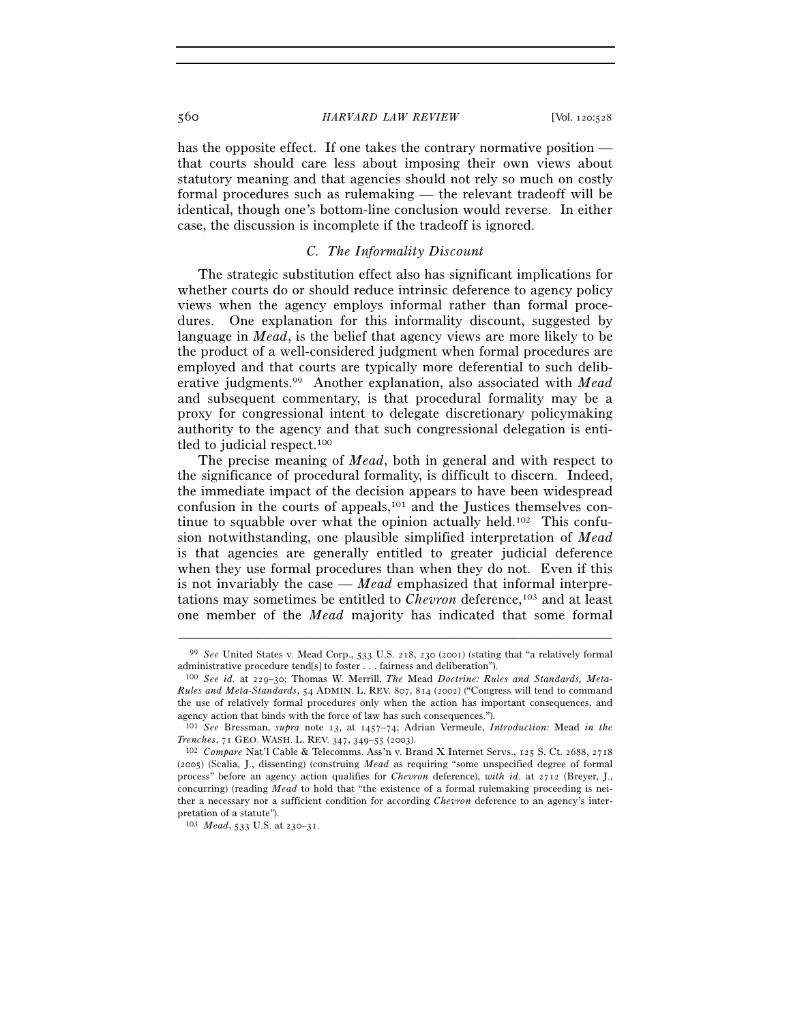has the opposite effect. If one takes the contrary normative position that courts should care less about imposing their own views about statutory meaning and that agencies should not rely so much on costly formal procedures such as rulemaking — the relevant tradeoff will be identical, though one's bottom-line conclusion would reverse. In either case, the discussion is incomplete if the tradeoff is ignored.

## *C. The Informality Discount*

The strategic substitution effect also has significant implications for whether courts do or should reduce intrinsic deference to agency policy views when the agency employs informal rather than formal procedures. One explanation for this informality discount, suggested by language in *Mead*, is the belief that agency views are more likely to be the product of a well-considered judgment when formal procedures are employed and that courts are typically more deferential to such deliberative judgments.99 Another explanation, also associated with *Mead* and subsequent commentary, is that procedural formality may be a proxy for congressional intent to delegate discretionary policymaking authority to the agency and that such congressional delegation is entitled to judicial respect.100

The precise meaning of *Mead*, both in general and with respect to the significance of procedural formality, is difficult to discern. Indeed, the immediate impact of the decision appears to have been widespread confusion in the courts of appeals,101 and the Justices themselves continue to squabble over what the opinion actually held.102 This confusion notwithstanding, one plausible simplified interpretation of *Mead* is that agencies are generally entitled to greater judicial deference when they use formal procedures than when they do not. Even if this is not invariably the case — *Mead* emphasized that informal interpretations may sometimes be entitled to *Chevron* deference,103 and at least one member of the *Mead* majority has indicated that some formal

<sup>–––––––––––––––––––––––––––––––––––––––––––––––––––––––––––––</sup> 99 *See* United States v. Mead Corp., 533 U.S. 218, 230 (2001) (stating that "a relatively formal administrative procedure tend[s] to foster . . . fairness and deliberation"). 100 *See id.* at 229–30; Thomas W. Merrill, *The* Mead *Doctrine: Rules and Standards, Meta-*

*Rules and Meta-Standards*, 54 ADMIN. L. REV. 807, 814 (2002) ("Congress will tend to command the use of relatively formal procedures only when the action has important consequences, and agency action that binds with the force of law has such consequences."). 101 *See* Bressman, *supra* note 13, at 1457–74; Adrian Vermeule, *Introduction:* Mead *in the* 

*Trenches*, 71 GEO. WASH. L. REV. 347, 349–55 (2003). 102 *Compare* Nat'l Cable & Telecomms. Ass'n v. Brand X Internet Servs., 125 S. Ct. 2688, <sup>2718</sup>

<sup>(</sup>2005) (Scalia, J., dissenting) (construing *Mead* as requiring "some unspecified degree of formal process" before an agency action qualifies for *Chevron* deference), *with id*. at 2712 (Breyer, J., concurring) (reading *Mead* to hold that "the existence of a formal rulemaking proceeding is neither a necessary nor a sufficient condition for according *Chevron* deference to an agency's interpretation of a statute").

<sup>103</sup> *Mead*, 533 U.S. at 230–31.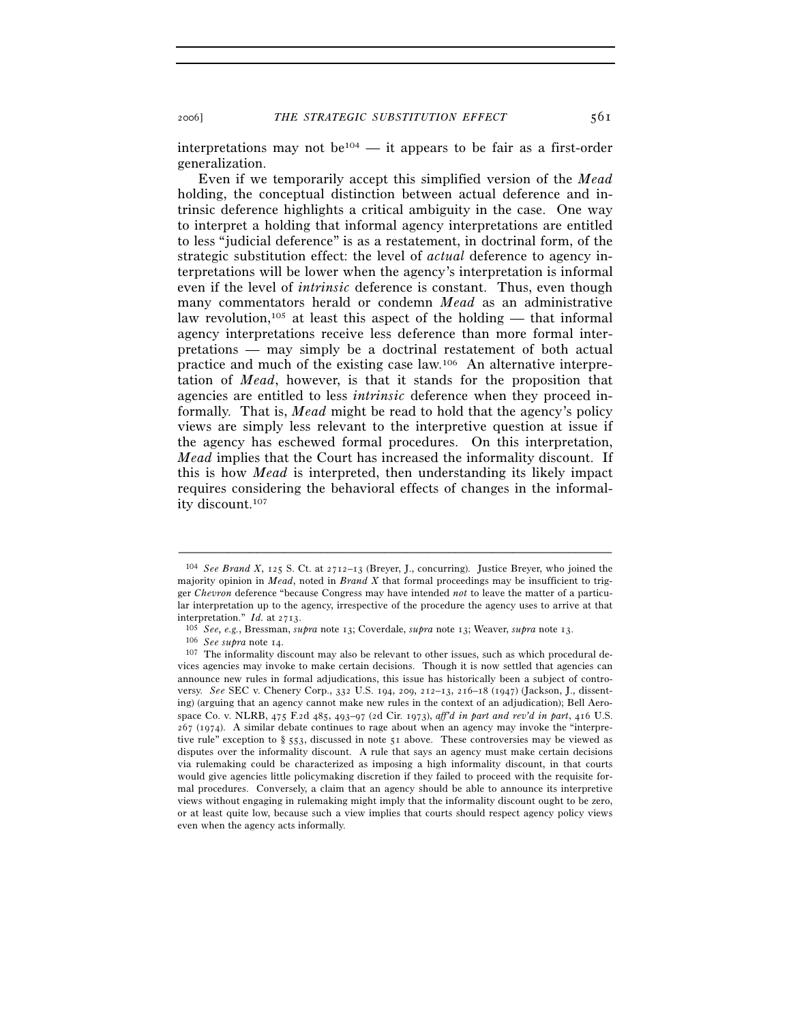2006] *THE STRATEGIC SUBSTITUTION EFFECT* 561

interpretations may not be<sup>104</sup> — it appears to be fair as a first-order generalization.

Even if we temporarily accept this simplified version of the *Mead* holding, the conceptual distinction between actual deference and intrinsic deference highlights a critical ambiguity in the case. One way to interpret a holding that informal agency interpretations are entitled to less "judicial deference" is as a restatement, in doctrinal form, of the strategic substitution effect: the level of *actual* deference to agency interpretations will be lower when the agency's interpretation is informal even if the level of *intrinsic* deference is constant. Thus, even though many commentators herald or condemn *Mead* as an administrative law revolution,<sup>105</sup> at least this aspect of the holding — that informal agency interpretations receive less deference than more formal interpretations — may simply be a doctrinal restatement of both actual practice and much of the existing case law.106 An alternative interpretation of *Mead*, however, is that it stands for the proposition that agencies are entitled to less *intrinsic* deference when they proceed informally. That is, *Mead* might be read to hold that the agency's policy views are simply less relevant to the interpretive question at issue if the agency has eschewed formal procedures. On this interpretation, *Mead* implies that the Court has increased the informality discount. If this is how *Mead* is interpreted, then understanding its likely impact requires considering the behavioral effects of changes in the informality discount.107

<sup>104</sup> *See Brand X*, 125 S. Ct. at 2712–13 (Breyer, J., concurring). Justice Breyer, who joined the majority opinion in *Mead*, noted in *Brand X* that formal proceedings may be insufficient to trigger *Chevron* deference "because Congress may have intended *not* to leave the matter of a particular interpretation up to the agency, irrespective of the procedure the agency uses to arrive at that interpretation."  $Id$  at  $2713$ .

<sup>&</sup>lt;sup>105</sup> *See, e.g.*, Bressman, *supra* note 13; Coverdale, *supra* note 13; Weaver, *supra* note 13.<br><sup>106</sup> *See supra* note 14.<br><sup>107</sup> The informality discount may also be relevant to other issues, such as which procedural d vices agencies may invoke to make certain decisions. Though it is now settled that agencies can announce new rules in formal adjudications, this issue has historically been a subject of controversy. *See* SEC v. Chenery Corp., 332 U.S. 194, 209, 212–13, 216–18 (1947) (Jackson, J., dissenting) (arguing that an agency cannot make new rules in the context of an adjudication); Bell Aerospace Co. v. NLRB, 475 F.2d 485, 493–97 (2d Cir. 1973), *aff'd in part and rev'd in part*, 416 U.S. 267 (1974). A similar debate continues to rage about when an agency may invoke the "interpretive rule" exception to § 553, discussed in note 51 above. These controversies may be viewed as disputes over the informality discount. A rule that says an agency must make certain decisions via rulemaking could be characterized as imposing a high informality discount, in that courts would give agencies little policymaking discretion if they failed to proceed with the requisite formal procedures. Conversely, a claim that an agency should be able to announce its interpretive views without engaging in rulemaking might imply that the informality discount ought to be zero, or at least quite low, because such a view implies that courts should respect agency policy views even when the agency acts informally.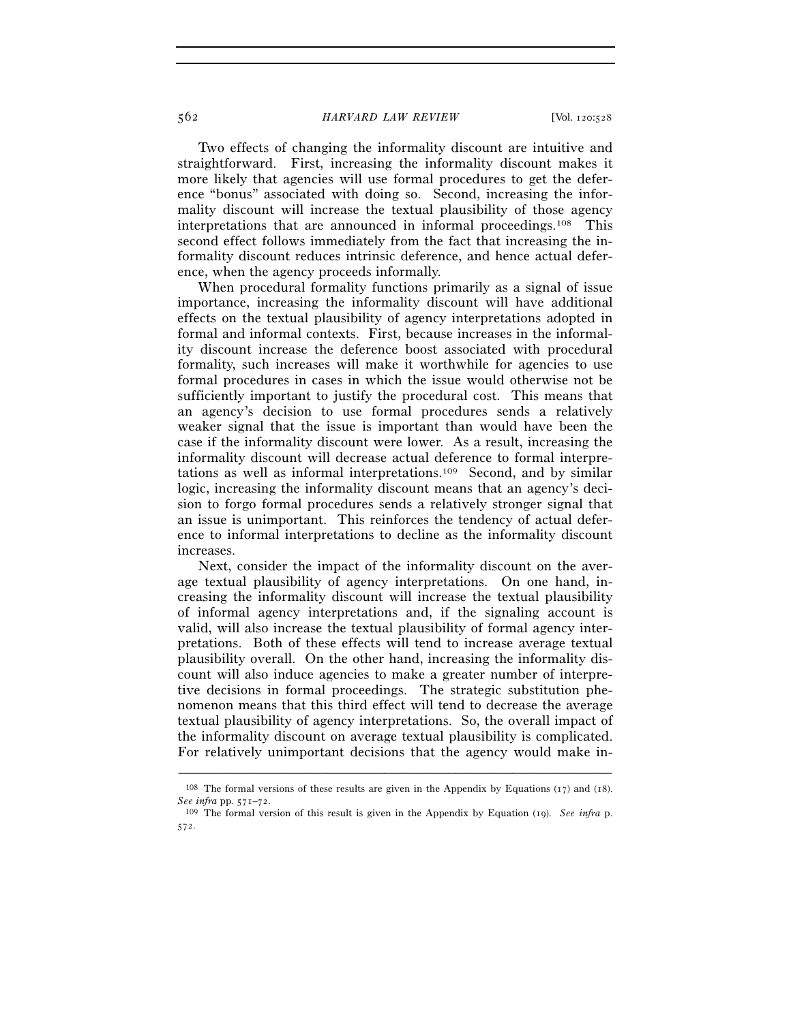Two effects of changing the informality discount are intuitive and straightforward. First, increasing the informality discount makes it more likely that agencies will use formal procedures to get the deference "bonus" associated with doing so. Second, increasing the informality discount will increase the textual plausibility of those agency interpretations that are announced in informal proceedings.108 This second effect follows immediately from the fact that increasing the informality discount reduces intrinsic deference, and hence actual deference, when the agency proceeds informally.

When procedural formality functions primarily as a signal of issue importance, increasing the informality discount will have additional effects on the textual plausibility of agency interpretations adopted in formal and informal contexts. First, because increases in the informality discount increase the deference boost associated with procedural formality, such increases will make it worthwhile for agencies to use formal procedures in cases in which the issue would otherwise not be sufficiently important to justify the procedural cost. This means that an agency's decision to use formal procedures sends a relatively weaker signal that the issue is important than would have been the case if the informality discount were lower. As a result, increasing the informality discount will decrease actual deference to formal interpretations as well as informal interpretations.109 Second, and by similar logic, increasing the informality discount means that an agency's decision to forgo formal procedures sends a relatively stronger signal that an issue is unimportant. This reinforces the tendency of actual deference to informal interpretations to decline as the informality discount increases.

Next, consider the impact of the informality discount on the average textual plausibility of agency interpretations. On one hand, increasing the informality discount will increase the textual plausibility of informal agency interpretations and, if the signaling account is valid, will also increase the textual plausibility of formal agency interpretations. Both of these effects will tend to increase average textual plausibility overall. On the other hand, increasing the informality discount will also induce agencies to make a greater number of interpretive decisions in formal proceedings. The strategic substitution phenomenon means that this third effect will tend to decrease the average textual plausibility of agency interpretations. So, the overall impact of the informality discount on average textual plausibility is complicated. For relatively unimportant decisions that the agency would make in-

<sup>–––––––––––––––––––––––––––––––––––––––––––––––––––––––––––––</sup> 108 The formal versions of these results are given in the Appendix by Equations (17) and (18). *See infra* pp. 571–72. 109 The formal version of this result is given in the Appendix by Equation (19). *See infra* p.

<sup>572</sup>.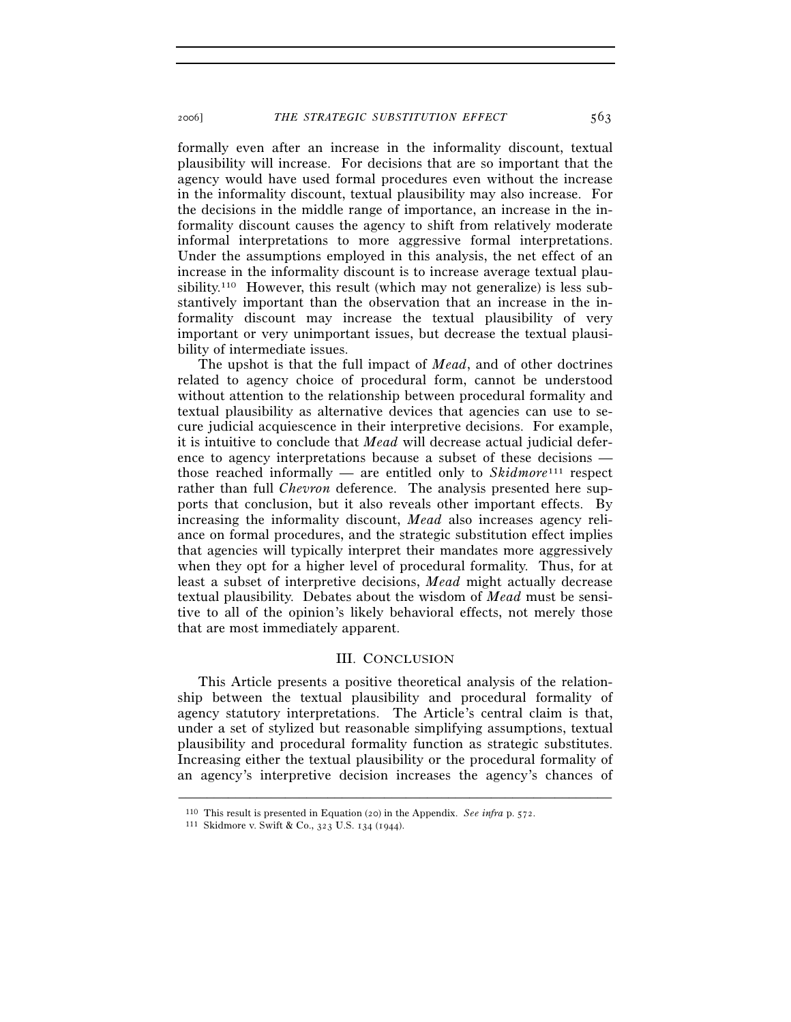formally even after an increase in the informality discount, textual plausibility will increase. For decisions that are so important that the agency would have used formal procedures even without the increase in the informality discount, textual plausibility may also increase. For the decisions in the middle range of importance, an increase in the informality discount causes the agency to shift from relatively moderate informal interpretations to more aggressive formal interpretations. Under the assumptions employed in this analysis, the net effect of an increase in the informality discount is to increase average textual plausibility.110 However, this result (which may not generalize) is less substantively important than the observation that an increase in the informality discount may increase the textual plausibility of very important or very unimportant issues, but decrease the textual plausibility of intermediate issues.

The upshot is that the full impact of *Mead*, and of other doctrines related to agency choice of procedural form, cannot be understood without attention to the relationship between procedural formality and textual plausibility as alternative devices that agencies can use to secure judicial acquiescence in their interpretive decisions. For example, it is intuitive to conclude that *Mead* will decrease actual judicial deference to agency interpretations because a subset of these decisions those reached informally — are entitled only to *Skidmore*111 respect rather than full *Chevron* deference. The analysis presented here supports that conclusion, but it also reveals other important effects. By increasing the informality discount, *Mead* also increases agency reliance on formal procedures, and the strategic substitution effect implies that agencies will typically interpret their mandates more aggressively when they opt for a higher level of procedural formality. Thus, for at least a subset of interpretive decisions, *Mead* might actually decrease textual plausibility. Debates about the wisdom of *Mead* must be sensitive to all of the opinion's likely behavioral effects, not merely those that are most immediately apparent.

# III. CONCLUSION

This Article presents a positive theoretical analysis of the relationship between the textual plausibility and procedural formality of agency statutory interpretations. The Article's central claim is that, under a set of stylized but reasonable simplifying assumptions, textual plausibility and procedural formality function as strategic substitutes. Increasing either the textual plausibility or the procedural formality of an agency's interpretive decision increases the agency's chances of

<sup>110</sup> This result is presented in Equation (20) in the Appendix. *See infra* p. 572. 111 Skidmore v. Swift & Co., 323 U.S. 134 (1944).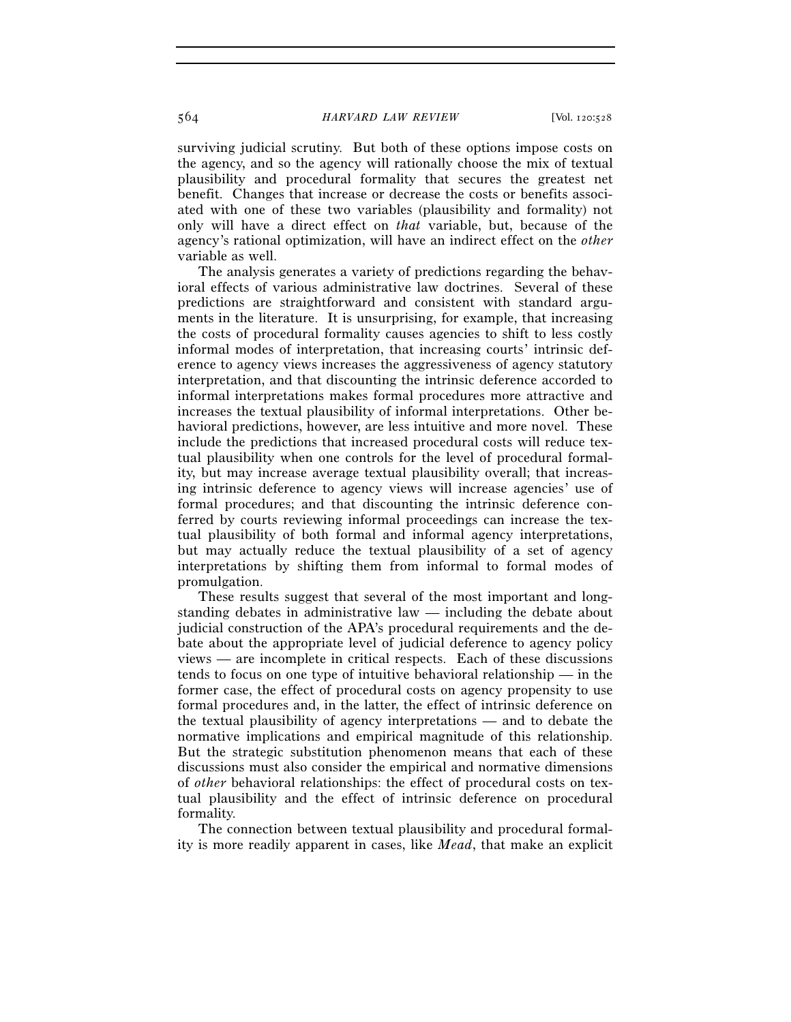surviving judicial scrutiny. But both of these options impose costs on the agency, and so the agency will rationally choose the mix of textual plausibility and procedural formality that secures the greatest net benefit. Changes that increase or decrease the costs or benefits associated with one of these two variables (plausibility and formality) not only will have a direct effect on *that* variable, but, because of the agency's rational optimization, will have an indirect effect on the *other* variable as well.

The analysis generates a variety of predictions regarding the behavioral effects of various administrative law doctrines. Several of these predictions are straightforward and consistent with standard arguments in the literature. It is unsurprising, for example, that increasing the costs of procedural formality causes agencies to shift to less costly informal modes of interpretation, that increasing courts' intrinsic deference to agency views increases the aggressiveness of agency statutory interpretation, and that discounting the intrinsic deference accorded to informal interpretations makes formal procedures more attractive and increases the textual plausibility of informal interpretations. Other behavioral predictions, however, are less intuitive and more novel. These include the predictions that increased procedural costs will reduce textual plausibility when one controls for the level of procedural formality, but may increase average textual plausibility overall; that increasing intrinsic deference to agency views will increase agencies' use of formal procedures; and that discounting the intrinsic deference conferred by courts reviewing informal proceedings can increase the textual plausibility of both formal and informal agency interpretations, but may actually reduce the textual plausibility of a set of agency interpretations by shifting them from informal to formal modes of promulgation.

These results suggest that several of the most important and longstanding debates in administrative law — including the debate about judicial construction of the APA's procedural requirements and the debate about the appropriate level of judicial deference to agency policy views — are incomplete in critical respects. Each of these discussions tends to focus on one type of intuitive behavioral relationship — in the former case, the effect of procedural costs on agency propensity to use formal procedures and, in the latter, the effect of intrinsic deference on the textual plausibility of agency interpretations — and to debate the normative implications and empirical magnitude of this relationship. But the strategic substitution phenomenon means that each of these discussions must also consider the empirical and normative dimensions of *other* behavioral relationships: the effect of procedural costs on textual plausibility and the effect of intrinsic deference on procedural formality.

The connection between textual plausibility and procedural formality is more readily apparent in cases, like *Mead*, that make an explicit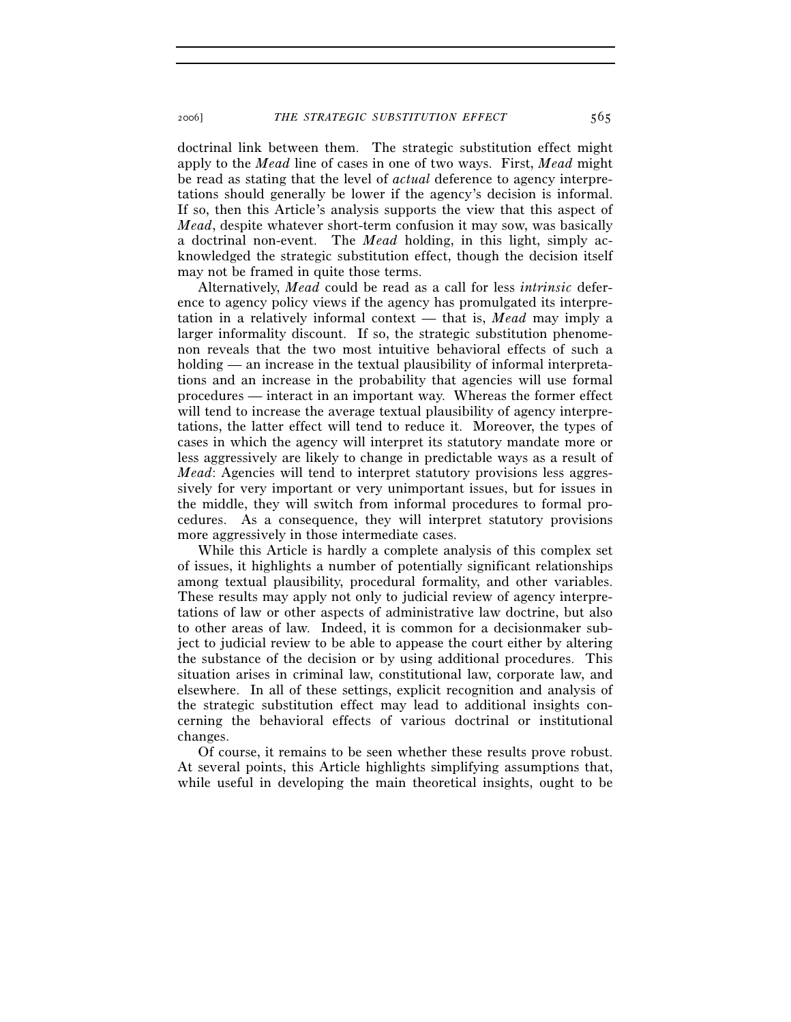doctrinal link between them. The strategic substitution effect might apply to the *Mead* line of cases in one of two ways. First, *Mead* might be read as stating that the level of *actual* deference to agency interpretations should generally be lower if the agency's decision is informal. If so, then this Article's analysis supports the view that this aspect of *Mead*, despite whatever short-term confusion it may sow, was basically a doctrinal non-event. The *Mead* holding, in this light, simply acknowledged the strategic substitution effect, though the decision itself may not be framed in quite those terms.

Alternatively, *Mead* could be read as a call for less *intrinsic* deference to agency policy views if the agency has promulgated its interpretation in a relatively informal context — that is, *Mead* may imply a larger informality discount. If so, the strategic substitution phenomenon reveals that the two most intuitive behavioral effects of such a holding — an increase in the textual plausibility of informal interpretations and an increase in the probability that agencies will use formal procedures — interact in an important way. Whereas the former effect will tend to increase the average textual plausibility of agency interpretations, the latter effect will tend to reduce it. Moreover, the types of cases in which the agency will interpret its statutory mandate more or less aggressively are likely to change in predictable ways as a result of *Mead*: Agencies will tend to interpret statutory provisions less aggressively for very important or very unimportant issues, but for issues in the middle, they will switch from informal procedures to formal procedures. As a consequence, they will interpret statutory provisions more aggressively in those intermediate cases.

While this Article is hardly a complete analysis of this complex set of issues, it highlights a number of potentially significant relationships among textual plausibility, procedural formality, and other variables. These results may apply not only to judicial review of agency interpretations of law or other aspects of administrative law doctrine, but also to other areas of law. Indeed, it is common for a decisionmaker subject to judicial review to be able to appease the court either by altering the substance of the decision or by using additional procedures. This situation arises in criminal law, constitutional law, corporate law, and elsewhere. In all of these settings, explicit recognition and analysis of the strategic substitution effect may lead to additional insights concerning the behavioral effects of various doctrinal or institutional changes.

Of course, it remains to be seen whether these results prove robust. At several points, this Article highlights simplifying assumptions that, while useful in developing the main theoretical insights, ought to be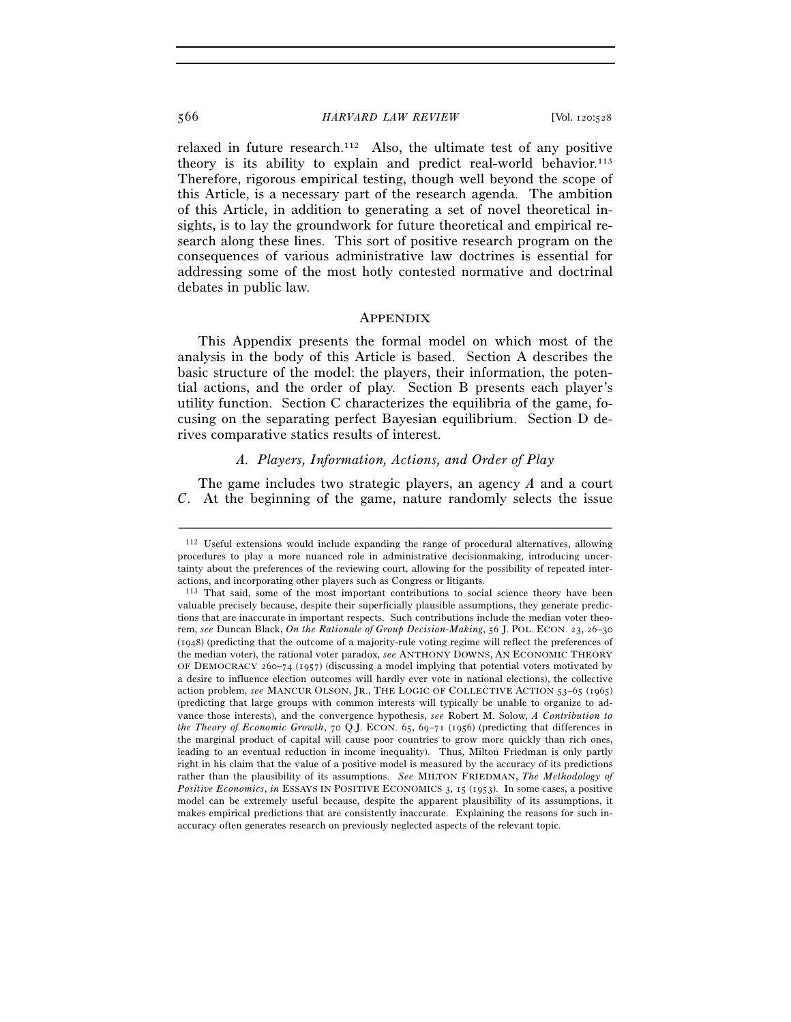relaxed in future research.112 Also, the ultimate test of any positive theory is its ability to explain and predict real-world behavior.<sup>113</sup> Therefore, rigorous empirical testing, though well beyond the scope of this Article, is a necessary part of the research agenda. The ambition of this Article, in addition to generating a set of novel theoretical insights, is to lay the groundwork for future theoretical and empirical research along these lines. This sort of positive research program on the consequences of various administrative law doctrines is essential for addressing some of the most hotly contested normative and doctrinal debates in public law.

## APPENDIX

This Appendix presents the formal model on which most of the analysis in the body of this Article is based. Section A describes the basic structure of the model: the players, their information, the potential actions, and the order of play. Section B presents each player's utility function. Section C characterizes the equilibria of the game, focusing on the separating perfect Bayesian equilibrium. Section D derives comparative statics results of interest.

## *A. Players, Information, Actions, and Order of Play*

The game includes two strategic players, an agency *A* and a court *C*. At the beginning of the game, nature randomly selects the issue

<sup>112</sup> Useful extensions would include expanding the range of procedural alternatives, allowing procedures to play a more nuanced role in administrative decisionmaking, introducing uncertainty about the preferences of the reviewing court, allowing for the possibility of repeated interactions, and incorporating other players such as Congress or litigants.

<sup>113</sup> That said, some of the most important contributions to social science theory have been valuable precisely because, despite their superficially plausible assumptions, they generate predictions that are inaccurate in important respects. Such contributions include the median voter theorem, *see* Duncan Black, *On the Rationale of Group Decision-Making*, 56 J. POL. ECON. 23, 26–30 (1948) (predicting that the outcome of a majority-rule voting regime will reflect the preferences of the median voter), the rational voter paradox, *see* ANTHONY DOWNS, AN ECONOMIC THEORY OF DEMOCRACY  $260-74$  (1957) (discussing a model implying that potential voters motivated by a desire to influence election outcomes will hardly ever vote in national elections), the collective action problem, *see* MANCUR OLSON, JR., THE LOGIC OF COLLECTIVE ACTION 53–65 (1965) (predicting that large groups with common interests will typically be unable to organize to advance those interests), and the convergence hypothesis, *see* Robert M. Solow, *A Contribution to the Theory of Economic Growth*, 70 Q.J. ECON. 65, 69–71 (1956) (predicting that differences in the marginal product of capital will cause poor countries to grow more quickly than rich ones, leading to an eventual reduction in income inequality). Thus, Milton Friedman is only partly right in his claim that the value of a positive model is measured by the accuracy of its predictions rather than the plausibility of its assumptions. *See* MILTON FRIEDMAN, *The Methodology of Positive Economics*, *in* ESSAYS IN POSITIVE ECONOMICS 3, 15 (1953). In some cases, a positive model can be extremely useful because, despite the apparent plausibility of its assumptions, it makes empirical predictions that are consistently inaccurate. Explaining the reasons for such inaccuracy often generates research on previously neglected aspects of the relevant topic.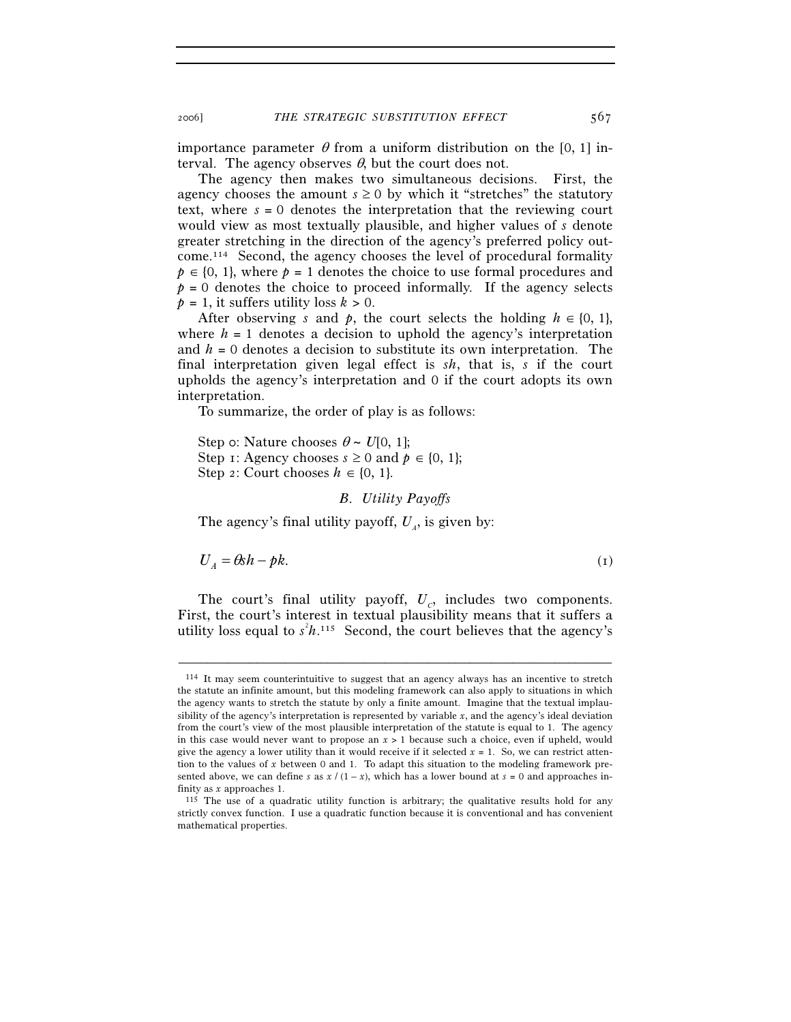importance parameter  $\theta$  from a uniform distribution on the [0, 1] interval. The agency observes  $\theta$ , but the court does not.

The agency then makes two simultaneous decisions. First, the agency chooses the amount  $s \geq 0$  by which it "stretches" the statutory text, where *s* = 0 denotes the interpretation that the reviewing court would view as most textually plausible, and higher values of *s* denote greater stretching in the direction of the agency's preferred policy outcome.114 Second, the agency chooses the level of procedural formality  $p \in \{0, 1\}$ , where  $p = 1$  denotes the choice to use formal procedures and  $p = 0$  denotes the choice to proceed informally. If the agency selects  $p = 1$ , it suffers utility loss  $k > 0$ .

After observing *s* and *p*, the court selects the holding  $h \in \{0, 1\}$ , where  $h = 1$  denotes a decision to uphold the agency's interpretation and  $h = 0$  denotes a decision to substitute its own interpretation. The final interpretation given legal effect is *sh*, that is, *s* if the court upholds the agency's interpretation and 0 if the court adopts its own interpretation.

To summarize, the order of play is as follows:

Step o: Nature chooses  $\theta \sim U[0, 1]$ ; Step 1: Agency chooses  $s \ge 0$  and  $p \in \{0, 1\}$ ; Step 2: Court chooses  $h \in \{0, 1\}$ .

## *B. Utility Payoffs*

The agency's final utility payoff,  $U_A$ , is given by:

 $U_A = \theta h - \rho k.$  (1)

The court's final utility payoff,  $U_c$ , includes two components. First, the court's interest in textual plausibility means that it suffers a utility loss equal to  $s^2h$ .<sup>115</sup> Second, the court believes that the agency's

<sup>114</sup> It may seem counterintuitive to suggest that an agency always has an incentive to stretch the statute an infinite amount, but this modeling framework can also apply to situations in which the agency wants to stretch the statute by only a finite amount. Imagine that the textual implausibility of the agency's interpretation is represented by variable *x*, and the agency's ideal deviation from the court's view of the most plausible interpretation of the statute is equal to 1. The agency in this case would never want to propose an *x* > 1 because such a choice, even if upheld, would give the agency a lower utility than it would receive if it selected  $x = 1$ . So, we can restrict attention to the values of *x* between 0 and 1. To adapt this situation to the modeling framework presented above, we can define *s* as  $x / (1 - x)$ , which has a lower bound at  $s = 0$  and approaches in-

finity as *x* approaches 1.<br><sup>115</sup> The use of a quadratic utility function is arbitrary; the qualitative results hold for any strictly convex function. I use a quadratic function because it is conventional and has convenient mathematical properties.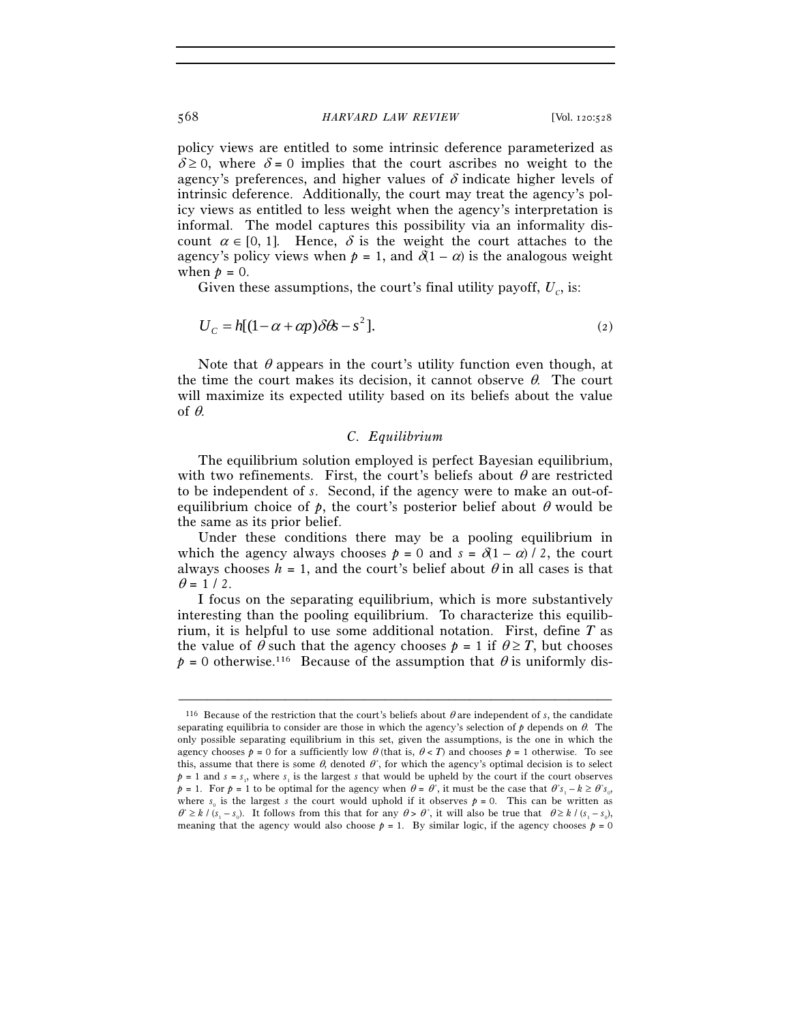policy views are entitled to some intrinsic deference parameterized as  $\delta \geq 0$ , where  $\delta = 0$  implies that the court ascribes no weight to the agency's preferences, and higher values of  $\delta$  indicate higher levels of intrinsic deference. Additionally, the court may treat the agency's policy views as entitled to less weight when the agency's interpretation is informal. The model captures this possibility via an informality discount  $\alpha \in [0, 1]$ . Hence,  $\delta$  is the weight the court attaches to the agency's policy views when  $p = 1$ , and  $\delta(1 - \alpha)$  is the analogous weight when  $p = 0$ .

Given these assumptions, the court's final utility payoff,  $U_c$ , is:

$$
U_C = h[(1 - \alpha + \alpha p)\delta\theta s - s^2].
$$
\n<sup>(2)</sup>

Note that  $\theta$  appears in the court's utility function even though, at the time the court makes its decision, it cannot observe  $\theta$ . The court will maximize its expected utility based on its beliefs about the value of θ.

## *C. Equilibrium*

The equilibrium solution employed is perfect Bayesian equilibrium, with two refinements. First, the court's beliefs about  $\theta$  are restricted to be independent of *s*. Second, if the agency were to make an out-ofequilibrium choice of  $p$ , the court's posterior belief about  $\theta$  would be the same as its prior belief.

Under these conditions there may be a pooling equilibrium in which the agency always chooses  $p = 0$  and  $s = \delta(1 - \alpha)/2$ , the court always chooses  $h = 1$ , and the court's belief about  $\theta$  in all cases is that  $\theta = 1/2$ .

I focus on the separating equilibrium, which is more substantively interesting than the pooling equilibrium. To characterize this equilibrium, it is helpful to use some additional notation. First, define *T* as the value of  $\theta$  such that the agency chooses  $p = 1$  if  $\theta \geq T$ , but chooses  $p = 0$  otherwise.<sup>116</sup> Because of the assumption that  $\theta$  is uniformly dis-

<sup>&</sup>lt;sup>116</sup> Because of the restriction that the court's beliefs about  $\theta$  are independent of *s*, the candidate separating equilibria to consider are those in which the agency's selection of *p* depends on θ. The only possible separating equilibrium in this set, given the assumptions, is the one in which the agency chooses  $p = 0$  for a sufficiently low  $\theta$  (that is,  $\theta < T$ ) and chooses  $p = 1$  otherwise. To see this, assume that there is some  $\theta$ , denoted  $\theta^*$ , for which the agency's optimal decision is to select  $p = 1$  and  $s = s_1$ , where *s*<sub>1</sub> is the largest *s* that would be upheld by the court if the court observes  $p = 1$ . For  $p = 1$  to be optimal for the agency when  $\theta = \theta^*$ , it must be the case that  $\theta^* s_1 - k \ge \theta^* s_0$ , where  $s_0$  is the largest *s* the court would uphold if it observes  $p = 0$ . This can be written as  $\theta^* \ge k / (s_1 - s_0)$ . It follows from this that for any  $\theta > \theta^*$ , it will also be true that  $\theta \ge k / (s_1 - s_0)$ , meaning that the agency would also choose  $p = 1$ . By similar logic, if the agency chooses  $p = 0$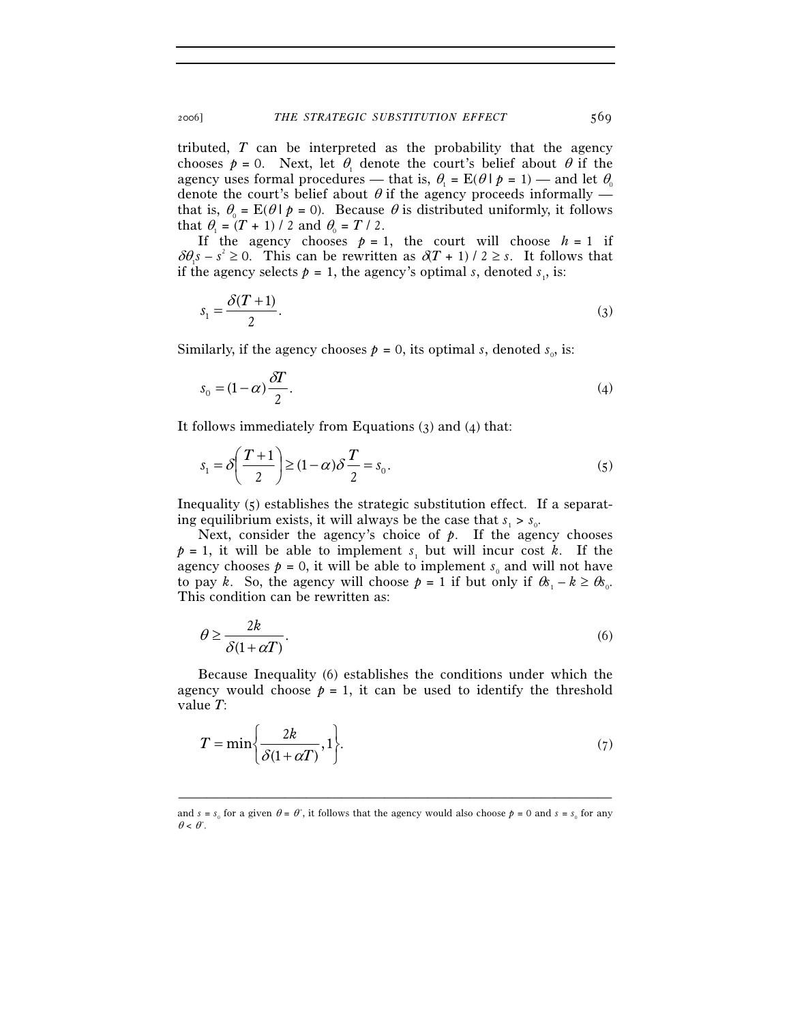tributed, *T* can be interpreted as the probability that the agency chooses  $p = 0$ . Next, let  $\theta_1$  denote the court's belief about  $\theta$  if the agency uses formal procedures — that is,  $\theta_1 = E(\theta | p = 1)$  — and let  $\theta_0$ denote the court's belief about  $\theta$  if the agency proceeds informally that is,  $\theta_0 = E(\theta | p = 0)$ . Because  $\theta$  is distributed uniformly, it follows that  $\theta_1 = (T + 1) / 2$  and  $\theta_0 = T / 2$ .

If the agency chooses  $p = 1$ , the court will choose  $h = 1$  if  $\delta\theta_1 s - s^2 \ge 0$ . This can be rewritten as  $\delta(T + 1) / 2 \ge s$ . It follows that if the agency selects  $p = 1$ , the agency's optimal *s*, denoted *s*<sub>1</sub>, is:

$$
s_1 = \frac{\delta(T+1)}{2}.\tag{3}
$$

Similarly, if the agency chooses  $p = 0$ , its optimal *s*, denoted *s*<sub>0</sub>, is:

$$
s_0 = (1 - \alpha) \frac{\delta T}{2}.
$$
\n<sup>(4)</sup>

It follows immediately from Equations (3) and (4) that:

$$
s_1 = \delta \left( \frac{T+1}{2} \right) \ge (1 - \alpha) \delta \frac{T}{2} = s_0.
$$
 (5)

Inequality (5) establishes the strategic substitution effect. If a separating equilibrium exists, it will always be the case that  $s_1 > s_0$ .

Next, consider the agency's choice of  $p$ . If the agency chooses  $p = 1$ , it will be able to implement  $s_1$  but will incur cost *k*. If the agency chooses  $p = 0$ , it will be able to implement  $s_0$  and will not have to pay *k*. So, the agency will choose  $p = 1$  if but only if  $\theta_{\text{s}_1} - k \ge \theta_{\text{s}_0}$ . This condition can be rewritten as:

$$
\theta \ge \frac{2k}{\delta(1+\alpha T)}.\tag{6}
$$

Because Inequality (6) establishes the conditions under which the agency would choose  $p = 1$ , it can be used to identify the threshold value *T*:

$$
T = \min\left\{\frac{2k}{\delta(1+\alpha T)}, 1\right\}.
$$
 (7)

<sup>–––––––––––––––––––––––––––––––––––––––––––––––––––––––––––––</sup> and  $s = s_0$  for a given  $\theta = \theta^*$ , it follows that the agency would also choose  $p = 0$  and  $s = s_0$  for any  $\theta < \theta^*$ .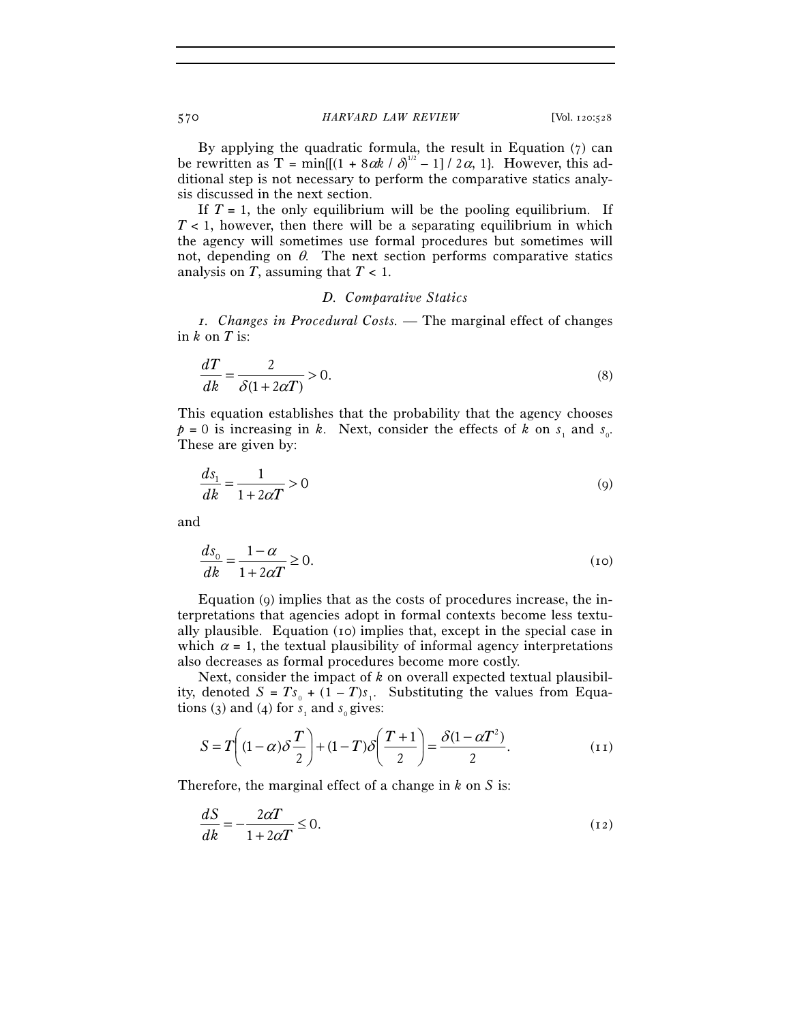By applying the quadratic formula, the result in Equation (7) can be rewritten as  $T = min\{[(1 + 8\alpha k / \delta)^{1/2} - 1]/2\alpha, 1\}$ . However, this additional step is not necessary to perform the comparative statics analysis discussed in the next section.

If  $T = 1$ , the only equilibrium will be the pooling equilibrium. If  $T < 1$ , however, then there will be a separating equilibrium in which the agency will sometimes use formal procedures but sometimes will not, depending on  $\theta$ . The next section performs comparative statics analysis on  $T$ , assuming that  $T < 1$ .

## *D. Comparative Statics*

*1. Changes in Procedural Costs.* — The marginal effect of changes in *k* on *T* is:

$$
\frac{dT}{dk} = \frac{2}{\delta(1 + 2\alpha T)} > 0.
$$
\n(8)

This equation establishes that the probability that the agency chooses  $p = 0$  is increasing in *k*. Next, consider the effects of *k* on  $s_1$  and  $s_0$ . These are given by:

$$
\frac{ds_1}{dk} = \frac{1}{1 + 2\alpha T} > 0\tag{9}
$$

and

$$
\frac{ds_0}{dk} = \frac{1 - \alpha}{1 + 2\alpha T} \ge 0.
$$
\n<sup>(10)</sup>

Equation (9) implies that as the costs of procedures increase, the interpretations that agencies adopt in formal contexts become less textually plausible. Equation (10) implies that, except in the special case in which  $\alpha = 1$ , the textual plausibility of informal agency interpretations also decreases as formal procedures become more costly.

Next, consider the impact of *k* on overall expected textual plausibility, denoted  $S = Ts_0 + (1 - T)s_1$ . Substituting the values from Equations (3) and (4) for  $s_1$  and  $s_0$  gives:

$$
S = T\left((1-\alpha)\delta\frac{T}{2}\right) + (1-T)\delta\left(\frac{T+1}{2}\right) = \frac{\delta(1-\alpha T^2)}{2}.
$$
 (11)

Therefore, the marginal effect of a change in *k* on *S* is:

$$
\frac{dS}{dk} = -\frac{2\alpha T}{1 + 2\alpha T} \le 0.
$$
\n(12)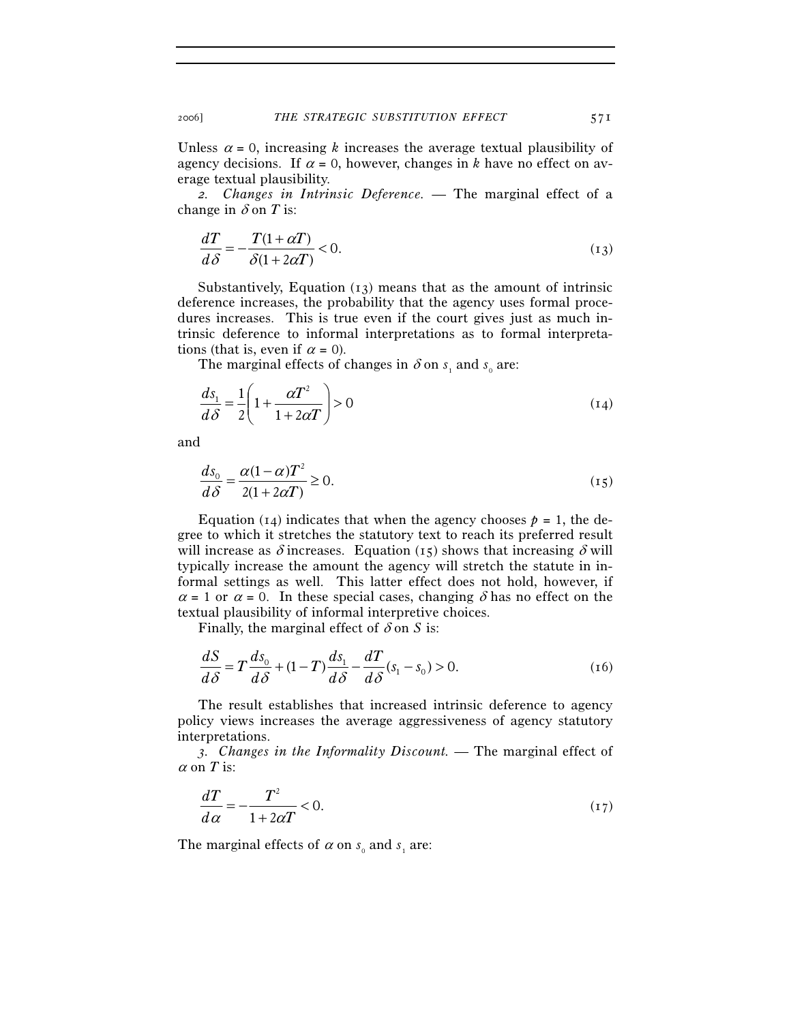Unless  $\alpha = 0$ , increasing *k* increases the average textual plausibility of agency decisions. If  $\alpha = 0$ , however, changes in *k* have no effect on average textual plausibility.

*2. Changes in Intrinsic Deference.* — The marginal effect of a change in  $\delta$  on *T* is:

$$
\frac{dT}{d\delta} = -\frac{T(1+\alpha T)}{\delta(1+2\alpha T)} < 0. \tag{13}
$$

Substantively, Equation  $(13)$  means that as the amount of intrinsic deference increases, the probability that the agency uses formal procedures increases. This is true even if the court gives just as much intrinsic deference to informal interpretations as to formal interpretations (that is, even if  $\alpha = 0$ ).

The marginal effects of changes in  $\delta$  on  $s_1$  and  $s_0$  are:

$$
\frac{ds_1}{d\delta} = \frac{1}{2} \left( 1 + \frac{\alpha T^2}{1 + 2\alpha T} \right) > 0 \tag{14}
$$

and

$$
\frac{ds_0}{d\delta} = \frac{\alpha(1-\alpha)T^2}{2(1+2\alpha T)} \ge 0.
$$
\n(15)

Equation (14) indicates that when the agency chooses  $p = 1$ , the degree to which it stretches the statutory text to reach its preferred result will increase as  $\delta$  increases. Equation (15) shows that increasing  $\delta$  will typically increase the amount the agency will stretch the statute in informal settings as well. This latter effect does not hold, however, if  $\alpha = 1$  or  $\alpha = 0$ . In these special cases, changing  $\delta$  has no effect on the textual plausibility of informal interpretive choices.

Finally, the marginal effect of  $\delta$  on *S* is:

$$
\frac{dS}{d\delta} = T\frac{ds_0}{d\delta} + (1 - T)\frac{ds_1}{d\delta} - \frac{dT}{d\delta}(s_1 - s_0) > 0.
$$
\n(16)

The result establishes that increased intrinsic deference to agency policy views increases the average aggressiveness of agency statutory interpretations.

*3. Changes in the Informality Discount.* — The marginal effect of  $\alpha$  on *T* is:

$$
\frac{dT}{d\alpha} = -\frac{T^2}{1 + 2\alpha T} < 0. \tag{17}
$$

The marginal effects of  $\alpha$  on  $s_0$  and  $s_1$  are: